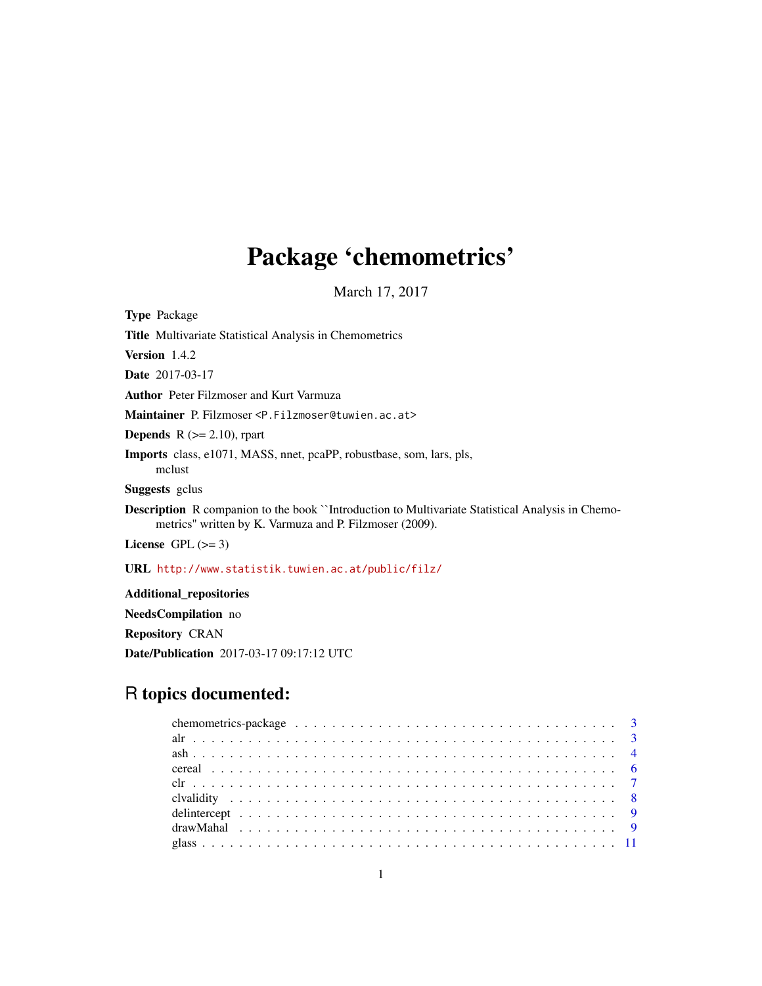# Package 'chemometrics'

March 17, 2017

Title Multivariate Statistical Analysis in Chemometrics Version 1.4.2 Date 2017-03-17 Author Peter Filzmoser and Kurt Varmuza Maintainer P. Filzmoser <P.Filzmoser@tuwien.ac.at> **Depends** R  $(>= 2.10)$ , rpart Imports class, e1071, MASS, nnet, pcaPP, robustbase, som, lars, pls, mclust Suggests gclus Description R companion to the book ``Introduction to Multivariate Statistical Analysis in Chemometrics'' written by K. Varmuza and P. Filzmoser (2009). License GPL  $(>= 3)$ URL <http://www.statistik.tuwien.ac.at/public/filz/>

Additional\_repositories NeedsCompilation no Repository CRAN Date/Publication 2017-03-17 09:17:12 UTC

# R topics documented:

<span id="page-0-0"></span>Type Package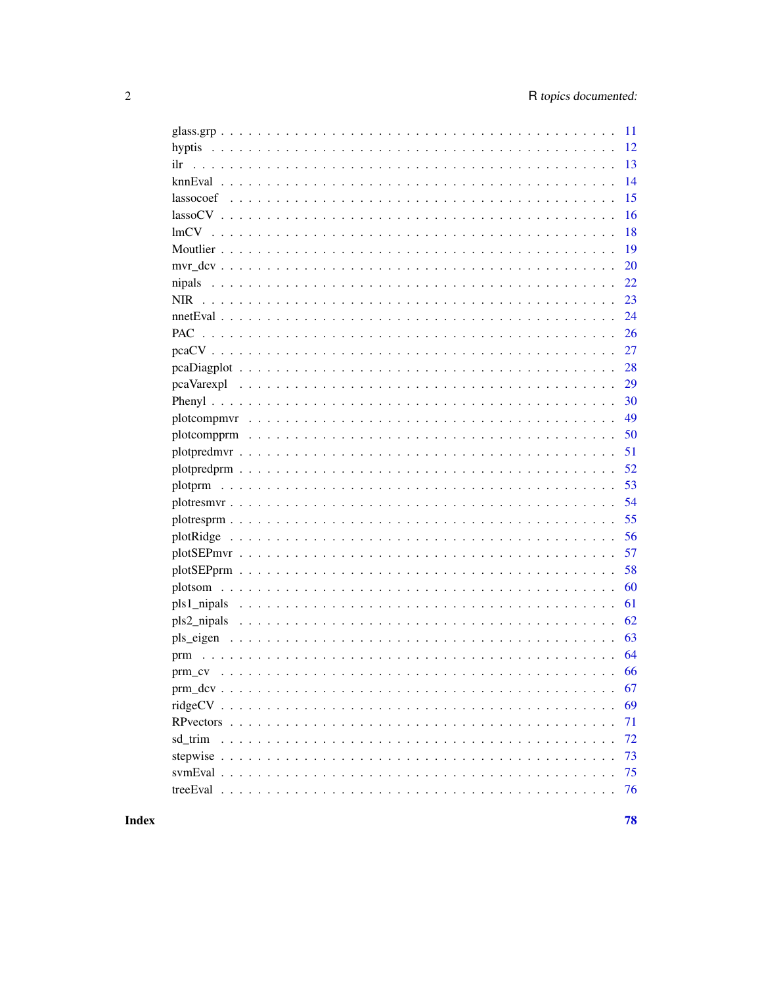| $-11$ |
|-------|
|       |
| 13    |
| 14    |
| 15    |
| 16    |
| 18    |
| 19    |
| 20    |
| 22    |
| 23    |
| 24    |
| 26    |
| 27    |
| 28    |
| 29    |
| 30    |
| 49    |
| 50    |
| 51    |
| 52    |
| 53    |
| 54    |
| 55    |
| 56    |
| 57    |
| 58    |
| 60    |
| 61    |
| 62    |
| 63    |
| 64    |
| 66    |
| 67    |
| 69    |
| 71    |
| 72    |
| 73    |
| 75    |
| 76    |
|       |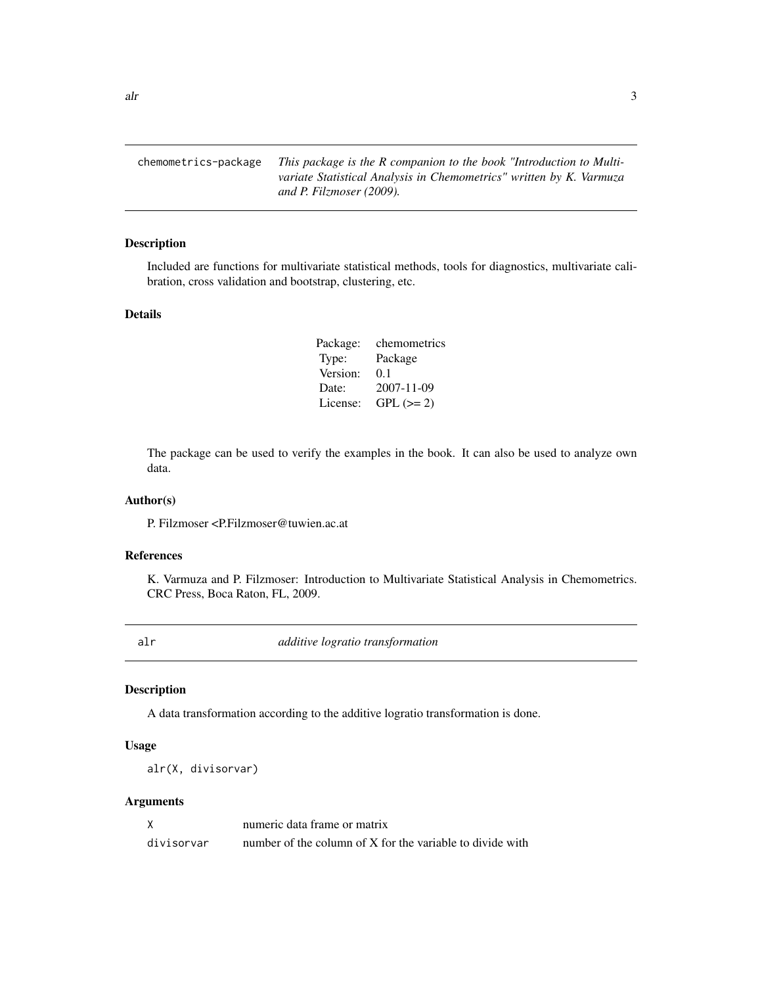<span id="page-2-0"></span> $\Delta$ alr  $\Delta$ 

chemometrics-package *This package is the R companion to the book "Introduction to Multivariate Statistical Analysis in Chemometrics" written by K. Varmuza and P. Filzmoser (2009).*

#### Description

Included are functions for multivariate statistical methods, tools for diagnostics, multivariate calibration, cross validation and bootstrap, clustering, etc.

# Details

| Package: | chemometrics |
|----------|--------------|
| Type:    | Package      |
| Version: | 0.1          |
| Date:    | 2007-11-09   |
| License: | $GPL (=2)$   |

The package can be used to verify the examples in the book. It can also be used to analyze own data.

# Author(s)

P. Filzmoser <P.Filzmoser@tuwien.ac.at

#### References

K. Varmuza and P. Filzmoser: Introduction to Multivariate Statistical Analysis in Chemometrics. CRC Press, Boca Raton, FL, 2009.

<span id="page-2-1"></span>alr *additive logratio transformation*

#### Description

A data transformation according to the additive logratio transformation is done.

# Usage

alr(X, divisorvar)

# Arguments

|            | numeric data frame or matrix                              |
|------------|-----------------------------------------------------------|
| divisorvar | number of the column of X for the variable to divide with |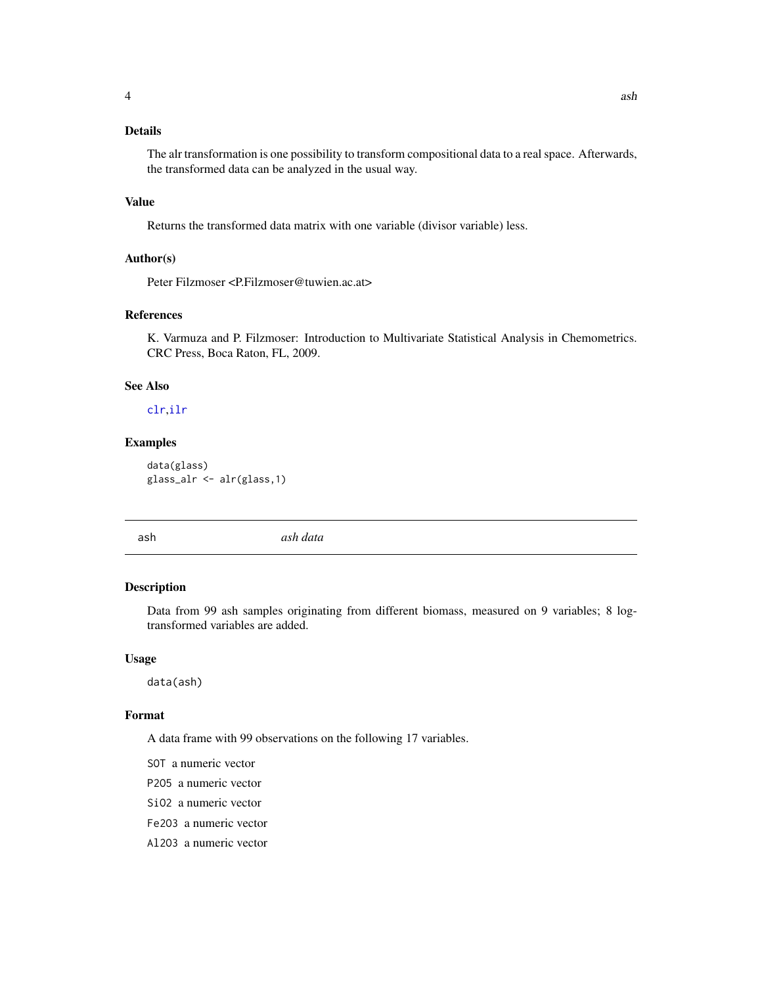# <span id="page-3-0"></span>Details

The alr transformation is one possibility to transform compositional data to a real space. Afterwards, the transformed data can be analyzed in the usual way.

#### Value

Returns the transformed data matrix with one variable (divisor variable) less.

#### Author(s)

Peter Filzmoser <P.Filzmoser@tuwien.ac.at>

# References

K. Varmuza and P. Filzmoser: Introduction to Multivariate Statistical Analysis in Chemometrics. CRC Press, Boca Raton, FL, 2009.

# See Also

# [clr](#page-6-1),[ilr](#page-12-1)

#### Examples

data(glass) glass\_alr <- alr(glass,1)

ash *ash data*

# Description

Data from 99 ash samples originating from different biomass, measured on 9 variables; 8 logtransformed variables are added.

#### Usage

data(ash)

#### Format

A data frame with 99 observations on the following 17 variables.

- SOT a numeric vector
- P2O5 a numeric vector
- SiO2 a numeric vector
- Fe2O3 a numeric vector
- Al2O3 a numeric vector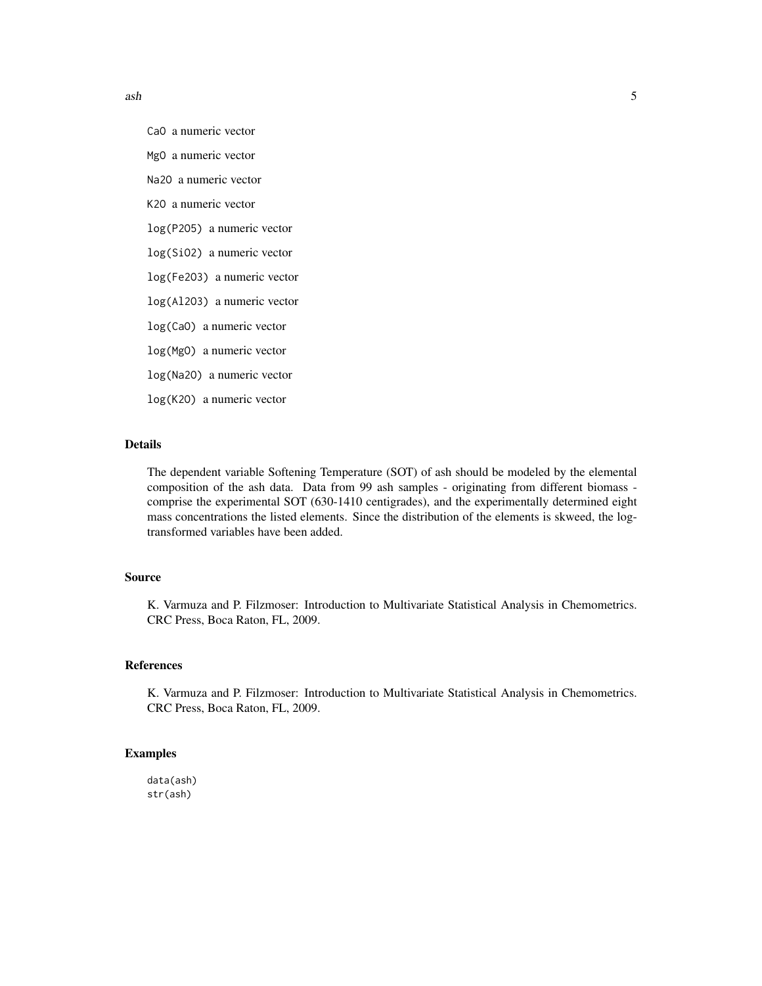$a$ sh  $5$ 

CaO a numeric vector

MgO a numeric vector

Na2O a numeric vector

K2O a numeric vector

log(P2O5) a numeric vector

log(SiO2) a numeric vector

log(Fe2O3) a numeric vector

log(Al2O3) a numeric vector

log(CaO) a numeric vector

log(MgO) a numeric vector

log(Na2O) a numeric vector

log(K2O) a numeric vector

# Details

The dependent variable Softening Temperature (SOT) of ash should be modeled by the elemental composition of the ash data. Data from 99 ash samples - originating from different biomass comprise the experimental SOT (630-1410 centigrades), and the experimentally determined eight mass concentrations the listed elements. Since the distribution of the elements is skweed, the logtransformed variables have been added.

#### Source

K. Varmuza and P. Filzmoser: Introduction to Multivariate Statistical Analysis in Chemometrics. CRC Press, Boca Raton, FL, 2009.

# References

K. Varmuza and P. Filzmoser: Introduction to Multivariate Statistical Analysis in Chemometrics. CRC Press, Boca Raton, FL, 2009.

# Examples

data(ash) str(ash)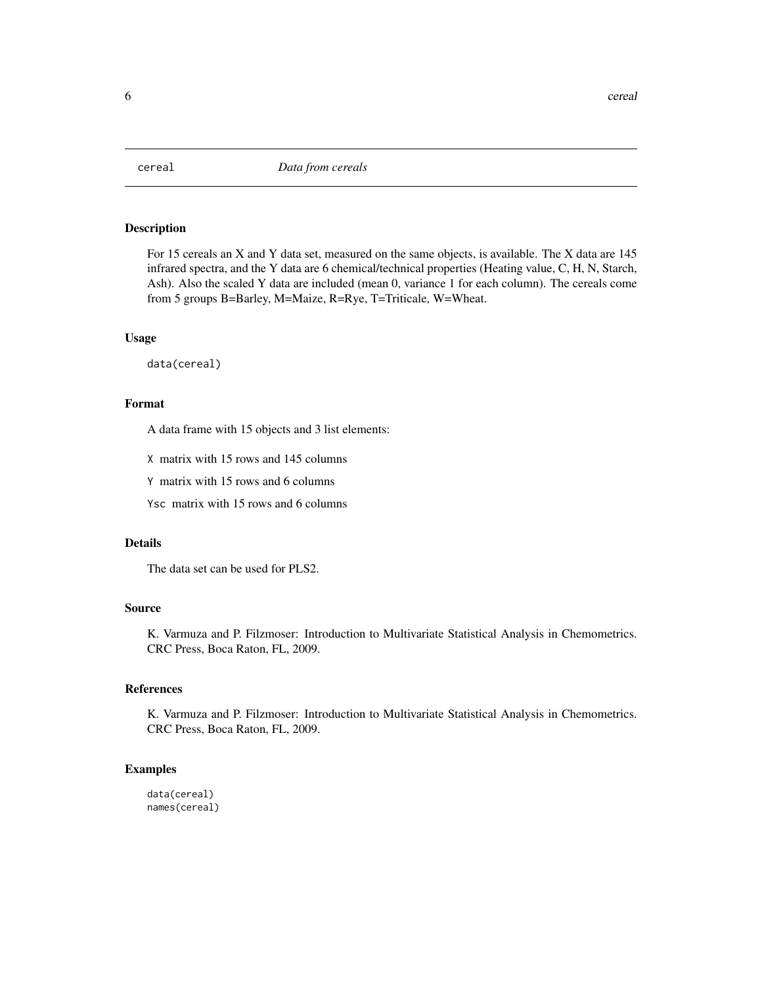<span id="page-5-0"></span>

For 15 cereals an X and Y data set, measured on the same objects, is available. The X data are 145 infrared spectra, and the Y data are 6 chemical/technical properties (Heating value, C, H, N, Starch, Ash). Also the scaled Y data are included (mean 0, variance 1 for each column). The cereals come from 5 groups B=Barley, M=Maize, R=Rye, T=Triticale, W=Wheat.

#### Usage

data(cereal)

# Format

A data frame with 15 objects and 3 list elements:

X matrix with 15 rows and 145 columns

Y matrix with 15 rows and 6 columns

Ysc matrix with 15 rows and 6 columns

# Details

The data set can be used for PLS2.

# Source

K. Varmuza and P. Filzmoser: Introduction to Multivariate Statistical Analysis in Chemometrics. CRC Press, Boca Raton, FL, 2009.

# References

K. Varmuza and P. Filzmoser: Introduction to Multivariate Statistical Analysis in Chemometrics. CRC Press, Boca Raton, FL, 2009.

#### Examples

data(cereal) names(cereal)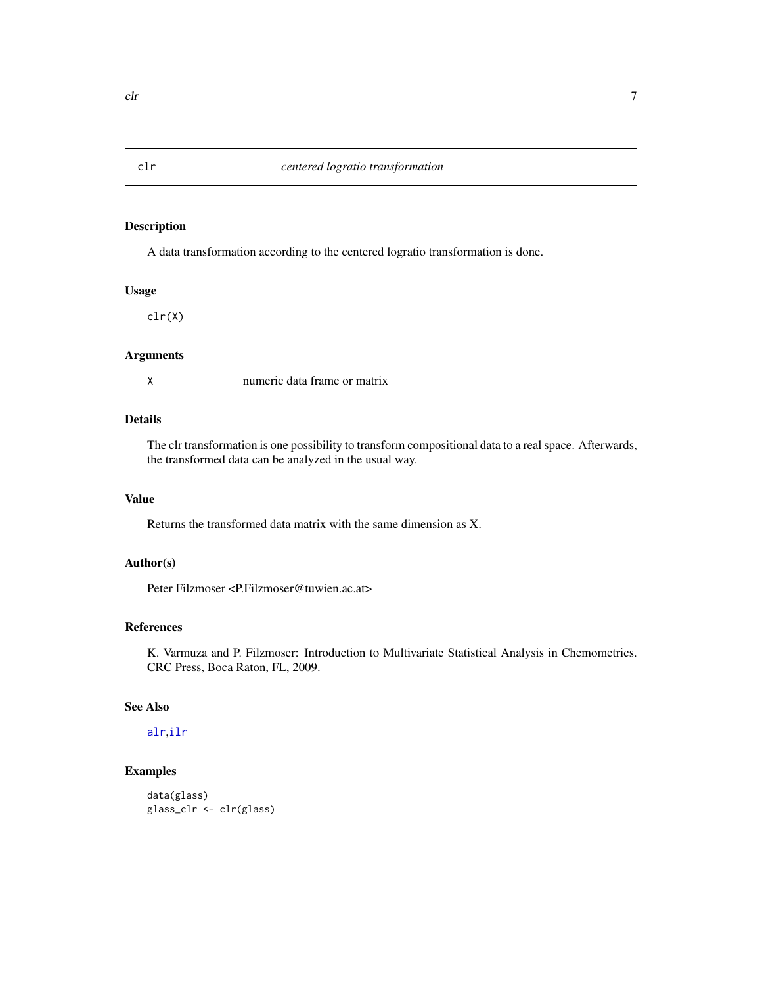<span id="page-6-1"></span><span id="page-6-0"></span>A data transformation according to the centered logratio transformation is done.

#### Usage

clr(X)

#### Arguments

X numeric data frame or matrix

# Details

The clr transformation is one possibility to transform compositional data to a real space. Afterwards, the transformed data can be analyzed in the usual way.

# Value

Returns the transformed data matrix with the same dimension as X.

# Author(s)

Peter Filzmoser <P.Filzmoser@tuwien.ac.at>

#### References

K. Varmuza and P. Filzmoser: Introduction to Multivariate Statistical Analysis in Chemometrics. CRC Press, Boca Raton, FL, 2009.

# See Also

[alr](#page-2-1),[ilr](#page-12-1)

# Examples

```
data(glass)
glass_clr <- clr(glass)
```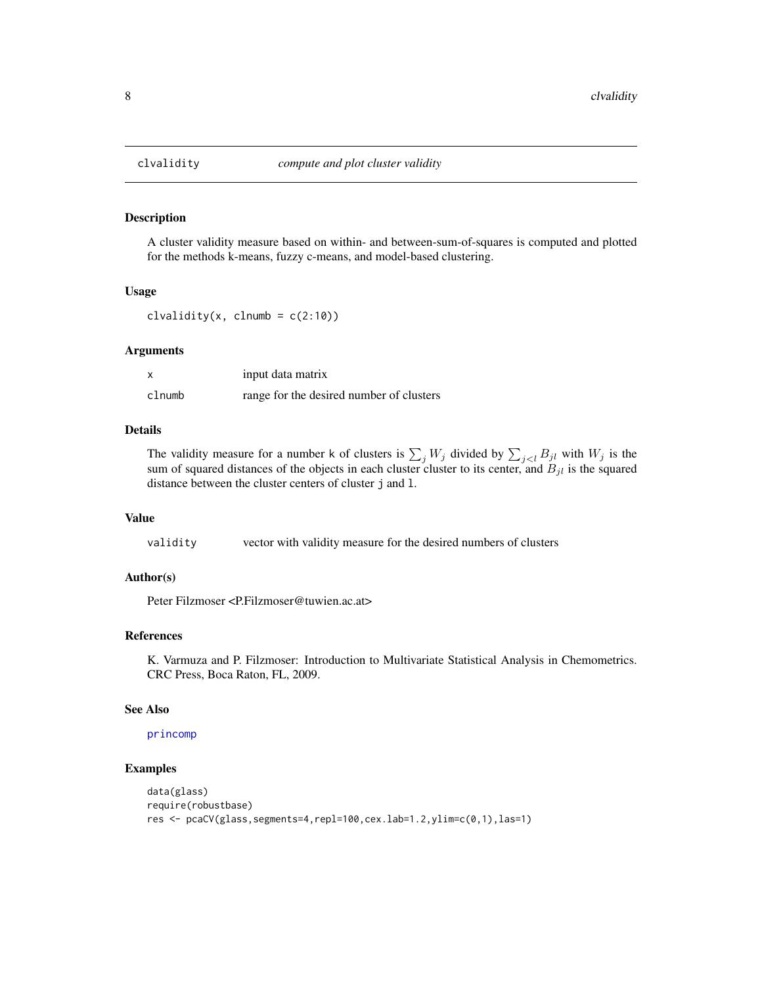<span id="page-7-0"></span>

A cluster validity measure based on within- and between-sum-of-squares is computed and plotted for the methods k-means, fuzzy c-means, and model-based clustering.

#### Usage

clvalidity(x, clnumb =  $c(2:10)$ )

#### Arguments

|        | input data matrix                        |
|--------|------------------------------------------|
| clnumb | range for the desired number of clusters |

#### Details

The validity measure for a number k of clusters is  $\sum_j W_j$  divided by  $\sum_{j\leq l} B_{jl}$  with  $W_j$  is the sum of squared distances of the objects in each cluster cluster to its center, and  $B_{jl}$  is the squared distance between the cluster centers of cluster j and l.

#### Value

validity vector with validity measure for the desired numbers of clusters

#### Author(s)

Peter Filzmoser <P.Filzmoser@tuwien.ac.at>

# References

K. Varmuza and P. Filzmoser: Introduction to Multivariate Statistical Analysis in Chemometrics. CRC Press, Boca Raton, FL, 2009.

#### See Also

[princomp](#page-0-0)

#### Examples

```
data(glass)
require(robustbase)
res <- pcaCV(glass,segments=4,repl=100,cex.lab=1.2,ylim=c(0,1),las=1)
```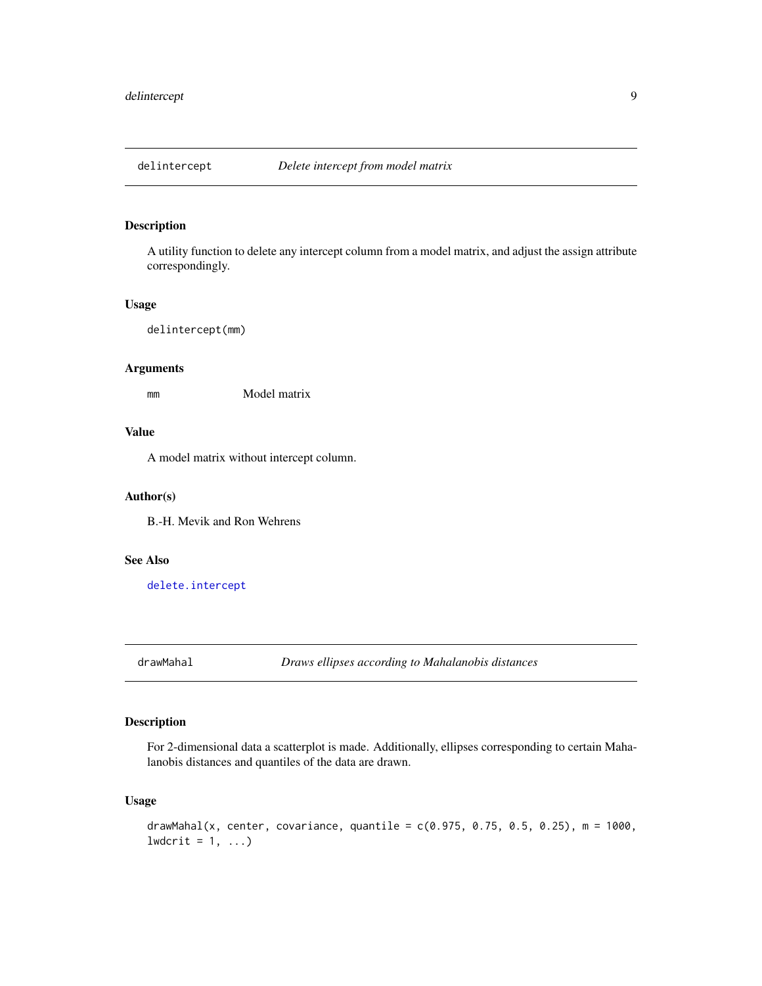<span id="page-8-0"></span>

A utility function to delete any intercept column from a model matrix, and adjust the assign attribute correspondingly.

#### Usage

delintercept(mm)

# Arguments

mm Model matrix

# Value

A model matrix without intercept column.

#### Author(s)

B.-H. Mevik and Ron Wehrens

# See Also

[delete.intercept](#page-0-0)

drawMahal *Draws ellipses according to Mahalanobis distances*

# Description

For 2-dimensional data a scatterplot is made. Additionally, ellipses corresponding to certain Mahalanobis distances and quantiles of the data are drawn.

#### Usage

```
drawMahal(x, center, covariance, quantile = c(0.975, 0.75, 0.5, 0.25), m = 1000,
lwdcrit = 1, ...)
```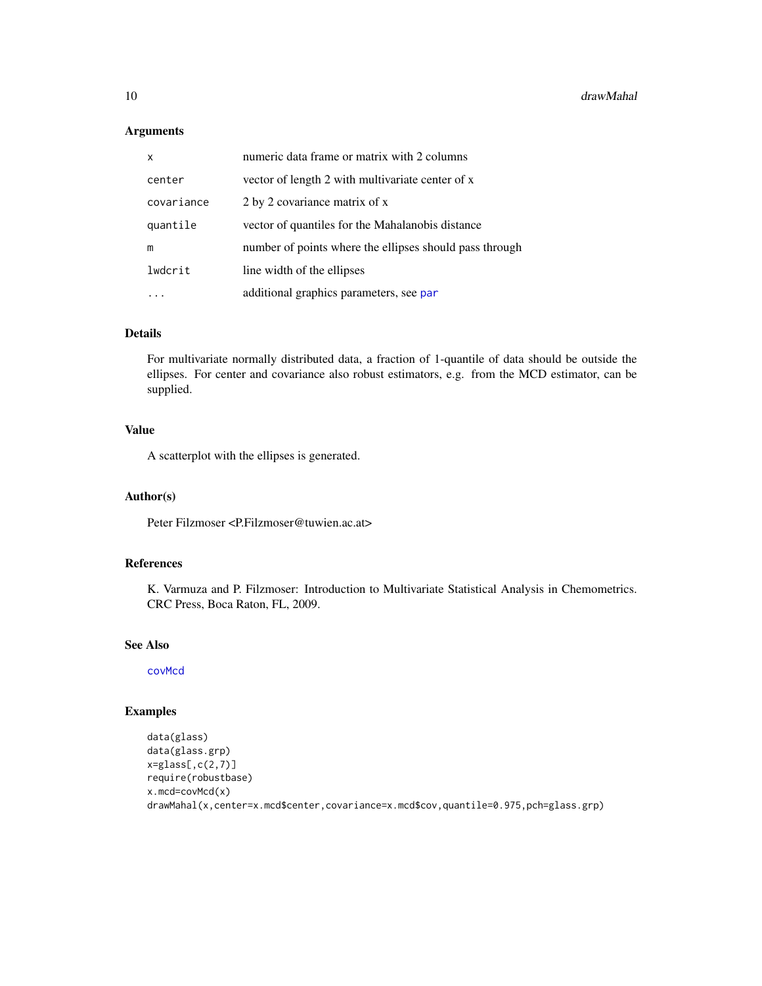# Arguments

| X          | numeric data frame or matrix with 2 columns             |
|------------|---------------------------------------------------------|
| center     | vector of length 2 with multivariate center of x        |
| covariance | 2 by 2 covariance matrix of x                           |
| quantile   | vector of quantiles for the Mahalanobis distance        |
| m          | number of points where the ellipses should pass through |
| lwdcrit    | line width of the ellipses                              |
|            | additional graphics parameters, see par                 |

#### Details

For multivariate normally distributed data, a fraction of 1-quantile of data should be outside the ellipses. For center and covariance also robust estimators, e.g. from the MCD estimator, can be supplied.

# Value

A scatterplot with the ellipses is generated.

# Author(s)

Peter Filzmoser <P.Filzmoser@tuwien.ac.at>

# References

K. Varmuza and P. Filzmoser: Introduction to Multivariate Statistical Analysis in Chemometrics. CRC Press, Boca Raton, FL, 2009.

#### See Also

[covMcd](#page-0-0)

# Examples

```
data(glass)
data(glass.grp)
x=glass[,c(2,7)]
require(robustbase)
x.mcd=covMcd(x)
drawMahal(x,center=x.mcd$center,covariance=x.mcd$cov,quantile=0.975,pch=glass.grp)
```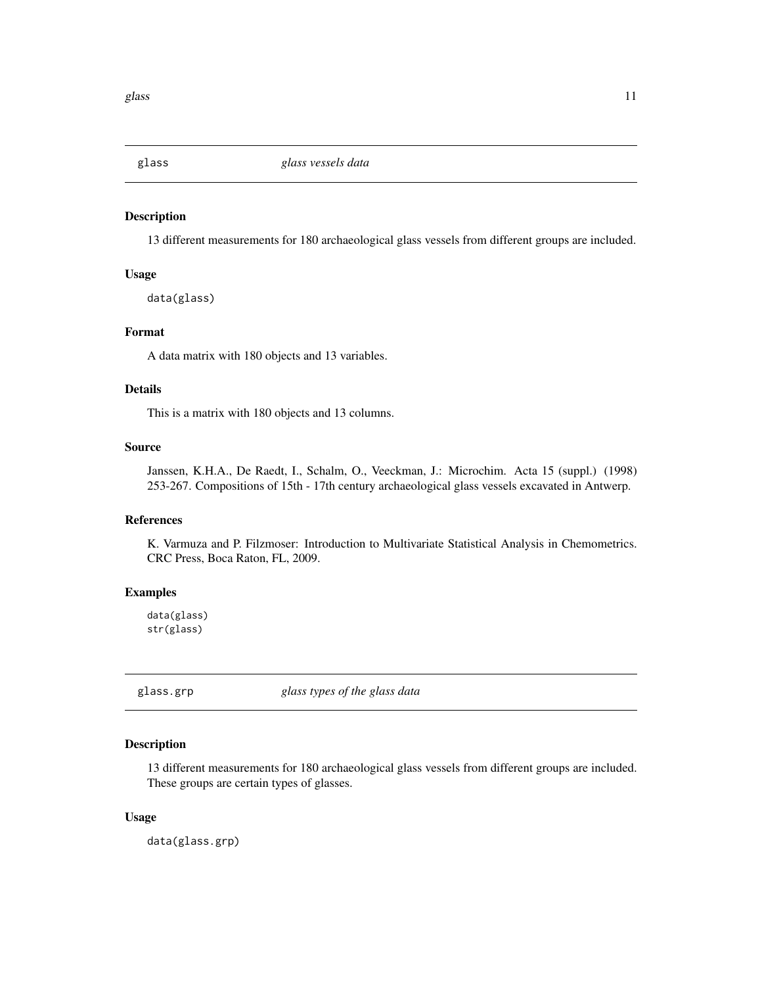<span id="page-10-0"></span>

13 different measurements for 180 archaeological glass vessels from different groups are included.

# Usage

data(glass)

#### Format

A data matrix with 180 objects and 13 variables.

# Details

This is a matrix with 180 objects and 13 columns.

# Source

Janssen, K.H.A., De Raedt, I., Schalm, O., Veeckman, J.: Microchim. Acta 15 (suppl.) (1998) 253-267. Compositions of 15th - 17th century archaeological glass vessels excavated in Antwerp.

# References

K. Varmuza and P. Filzmoser: Introduction to Multivariate Statistical Analysis in Chemometrics. CRC Press, Boca Raton, FL, 2009.

# Examples

data(glass) str(glass)

glass.grp *glass types of the glass data*

# Description

13 different measurements for 180 archaeological glass vessels from different groups are included. These groups are certain types of glasses.

#### Usage

data(glass.grp)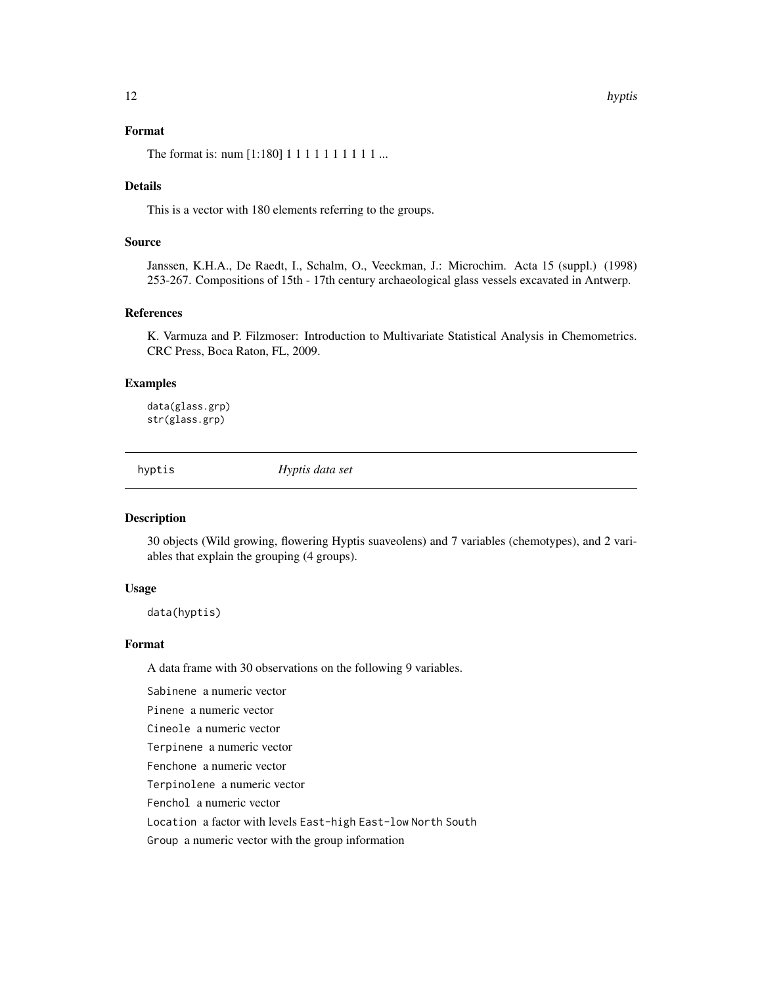# <span id="page-11-0"></span>Format

The format is: num [1:180] 1 1 1 1 1 1 1 1 1 1 ...

#### Details

This is a vector with 180 elements referring to the groups.

# Source

Janssen, K.H.A., De Raedt, I., Schalm, O., Veeckman, J.: Microchim. Acta 15 (suppl.) (1998) 253-267. Compositions of 15th - 17th century archaeological glass vessels excavated in Antwerp.

#### References

K. Varmuza and P. Filzmoser: Introduction to Multivariate Statistical Analysis in Chemometrics. CRC Press, Boca Raton, FL, 2009.

# Examples

data(glass.grp) str(glass.grp)

hyptis *Hyptis data set*

#### Description

30 objects (Wild growing, flowering Hyptis suaveolens) and 7 variables (chemotypes), and 2 variables that explain the grouping (4 groups).

# Usage

data(hyptis)

#### Format

A data frame with 30 observations on the following 9 variables.

Sabinene a numeric vector

Pinene a numeric vector

Cineole a numeric vector

Terpinene a numeric vector

Fenchone a numeric vector

Terpinolene a numeric vector

Fenchol a numeric vector

Location a factor with levels East-high East-low North South

Group a numeric vector with the group information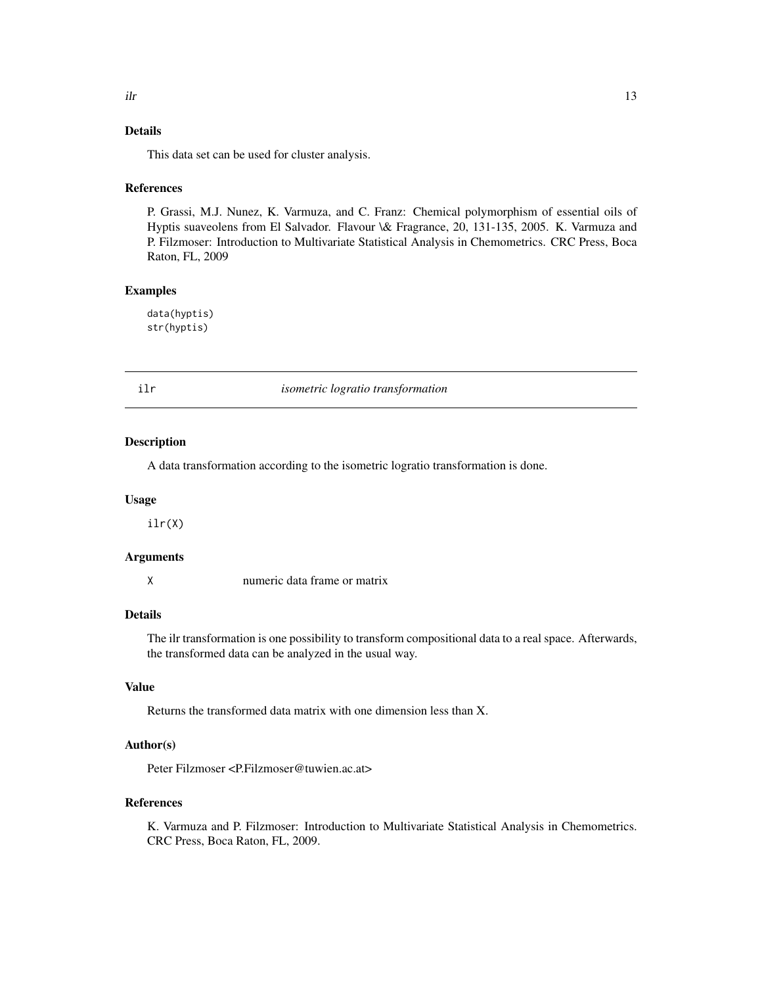# <span id="page-12-0"></span>Details

This data set can be used for cluster analysis.

#### References

P. Grassi, M.J. Nunez, K. Varmuza, and C. Franz: Chemical polymorphism of essential oils of Hyptis suaveolens from El Salvador. Flavour \& Fragrance, 20, 131-135, 2005. K. Varmuza and P. Filzmoser: Introduction to Multivariate Statistical Analysis in Chemometrics. CRC Press, Boca Raton, FL, 2009

#### Examples

data(hyptis) str(hyptis)

<span id="page-12-1"></span>

ilr *isometric logratio transformation*

#### Description

A data transformation according to the isometric logratio transformation is done.

#### Usage

ilr(X)

#### Arguments

X numeric data frame or matrix

# Details

The ilr transformation is one possibility to transform compositional data to a real space. Afterwards, the transformed data can be analyzed in the usual way.

# Value

Returns the transformed data matrix with one dimension less than X.

# Author(s)

Peter Filzmoser <P.Filzmoser@tuwien.ac.at>

#### References

K. Varmuza and P. Filzmoser: Introduction to Multivariate Statistical Analysis in Chemometrics. CRC Press, Boca Raton, FL, 2009.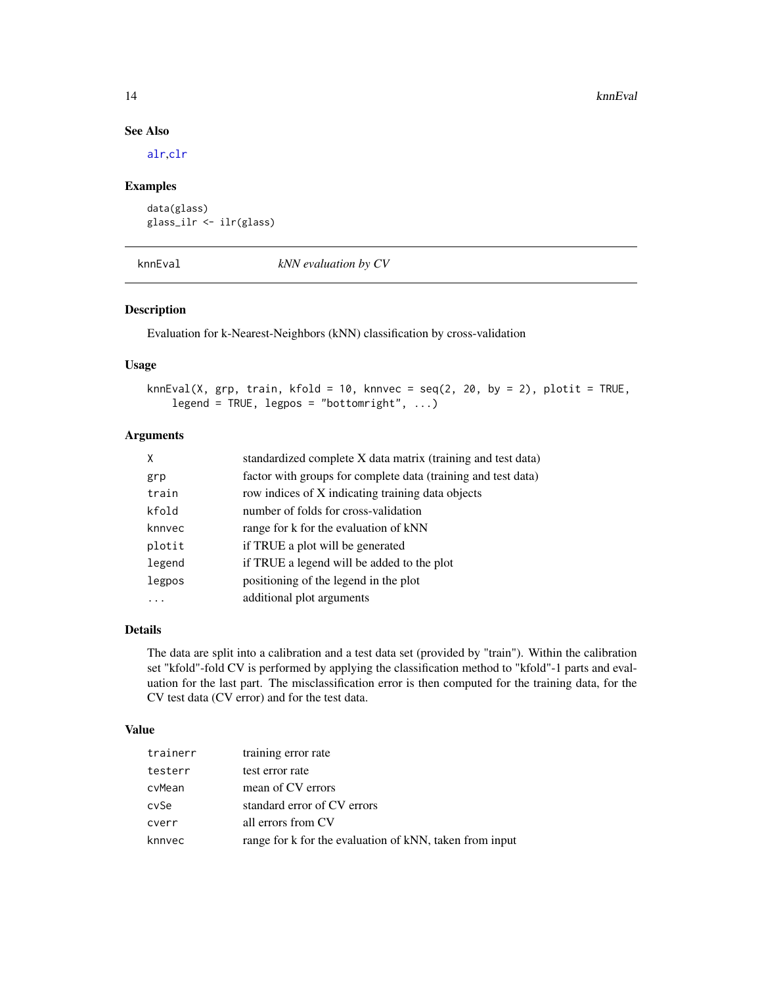# See Also

[alr](#page-2-1),[clr](#page-6-1)

#### Examples

```
data(glass)
glass_ilr <- ilr(glass)
```
knnEval *kNN evaluation by CV*

# Description

Evaluation for k-Nearest-Neighbors (kNN) classification by cross-validation

#### Usage

```
knnEval(X, grp, train, kfold = 10, knnvec = seq(2, 20, by = 2), plotit = TRUE,
    legend = TRUE, legpos = "bottomright", \ldots)
```
# Arguments

| X      | standardized complete X data matrix (training and test data)  |
|--------|---------------------------------------------------------------|
| grp    | factor with groups for complete data (training and test data) |
| train  | row indices of X indicating training data objects             |
| kfold  | number of folds for cross-validation                          |
| knnvec | range for k for the evaluation of kNN                         |
| plotit | if TRUE a plot will be generated                              |
| legend | if TRUE a legend will be added to the plot                    |
| legpos | positioning of the legend in the plot                         |
| .      | additional plot arguments                                     |

# Details

The data are split into a calibration and a test data set (provided by "train"). Within the calibration set "kfold"-fold CV is performed by applying the classification method to "kfold"-1 parts and evaluation for the last part. The misclassification error is then computed for the training data, for the CV test data (CV error) and for the test data.

#### Value

| trainerr | training error rate                                     |
|----------|---------------------------------------------------------|
| testerr  | test error rate                                         |
| cvMean   | mean of CV errors                                       |
| cySe     | standard error of CV errors                             |
| cverr    | all errors from CV                                      |
| knnvec   | range for k for the evaluation of kNN, taken from input |

<span id="page-13-0"></span>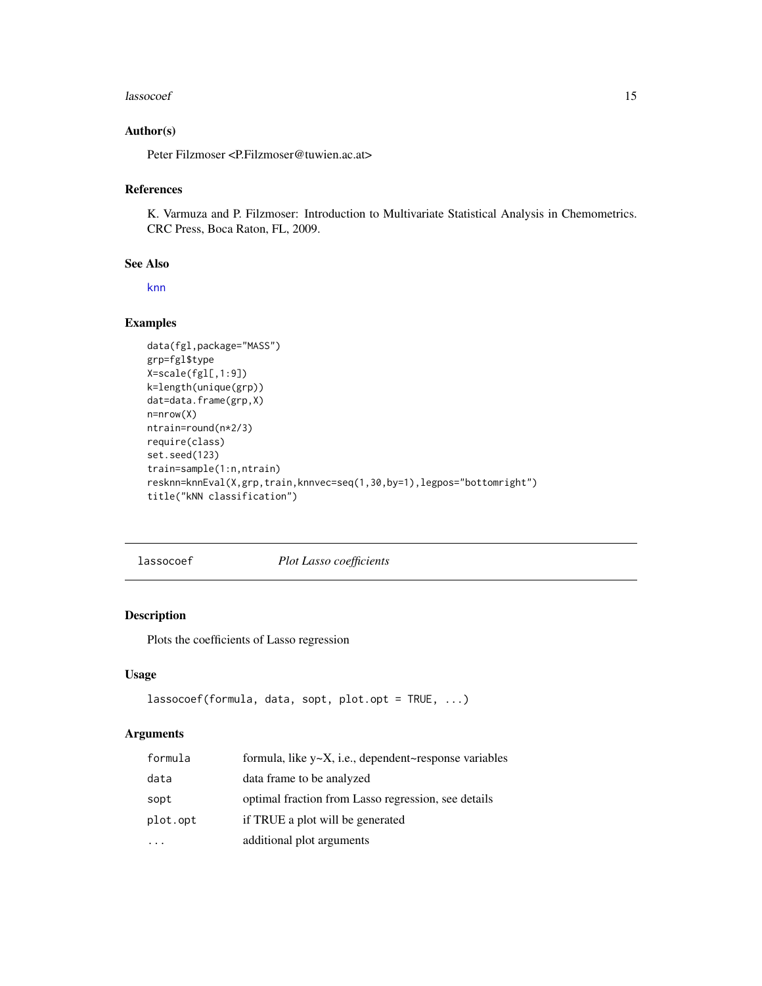#### <span id="page-14-0"></span>lassocoef and the contract of the contract of the contract of the contract of the contract of the contract of the contract of the contract of the contract of the contract of the contract of the contract of the contract of

# Author(s)

Peter Filzmoser <P.Filzmoser@tuwien.ac.at>

#### References

K. Varmuza and P. Filzmoser: Introduction to Multivariate Statistical Analysis in Chemometrics. CRC Press, Boca Raton, FL, 2009.

#### See Also

[knn](#page-0-0)

# Examples

```
data(fgl,package="MASS")
grp=fgl$type
X=scale(fgl[,1:9])
k=length(unique(grp))
dat=data.frame(grp,X)
n=nrow(X)
ntrain=round(n*2/3)
require(class)
set.seed(123)
train=sample(1:n,ntrain)
resknn=knnEval(X,grp,train,knnvec=seq(1,30,by=1),legpos="bottomright")
title("kNN classification")
```
<span id="page-14-1"></span>lassocoef *Plot Lasso coefficients*

# Description

Plots the coefficients of Lasso regression

#### Usage

```
lassocoef(formula, data, sopt, plot.opt = TRUE, ...)
```
# Arguments

| formula  | formula, like $y \sim X$ , i.e., dependent~response variables |
|----------|---------------------------------------------------------------|
| data     | data frame to be analyzed                                     |
| sopt     | optimal fraction from Lasso regression, see details           |
| plot.opt | if TRUE a plot will be generated                              |
|          | additional plot arguments                                     |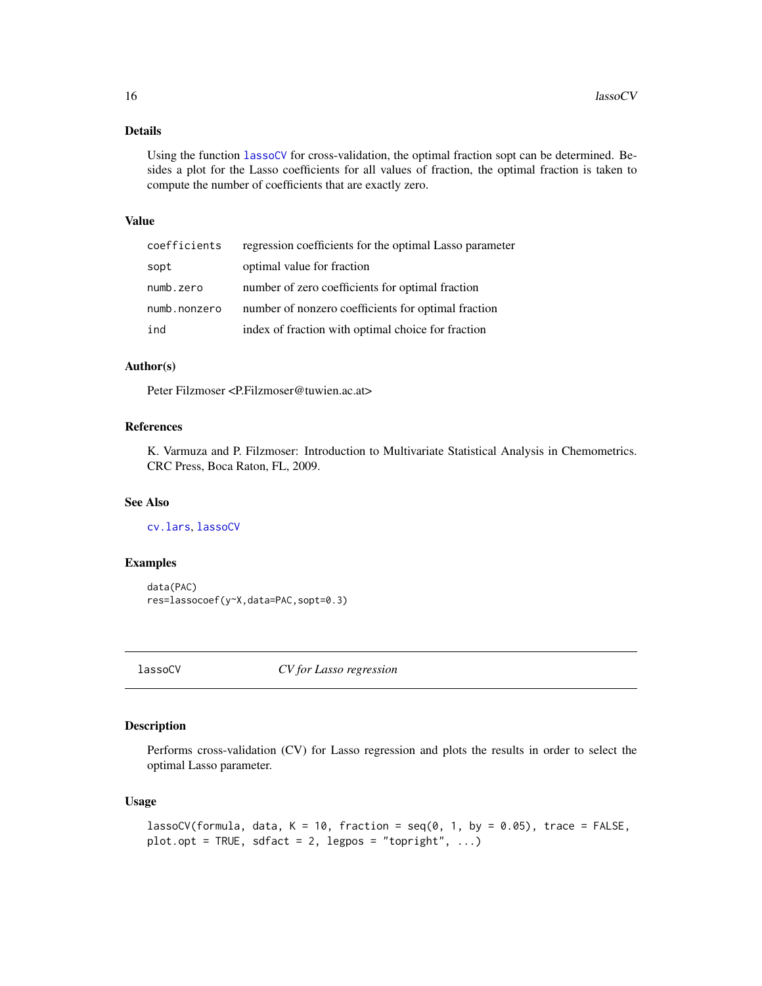# Details

Using the function [lassoCV](#page-15-1) for cross-validation, the optimal fraction sopt can be determined. Besides a plot for the Lasso coefficients for all values of fraction, the optimal fraction is taken to compute the number of coefficients that are exactly zero.

#### Value

| coefficients | regression coefficients for the optimal Lasso parameter |
|--------------|---------------------------------------------------------|
| sopt         | optimal value for fraction                              |
| numb.zero    | number of zero coefficients for optimal fraction        |
| numb.nonzero | number of nonzero coefficients for optimal fraction     |
| ind          | index of fraction with optimal choice for fraction      |

#### Author(s)

Peter Filzmoser <P.Filzmoser@tuwien.ac.at>

# References

K. Varmuza and P. Filzmoser: Introduction to Multivariate Statistical Analysis in Chemometrics. CRC Press, Boca Raton, FL, 2009.

#### See Also

[cv.lars](#page-0-0), [lassoCV](#page-15-1)

# Examples

```
data(PAC)
res=lassocoef(y~X,data=PAC,sopt=0.3)
```
<span id="page-15-1"></span>lassoCV *CV for Lasso regression*

# Description

Performs cross-validation (CV) for Lasso regression and plots the results in order to select the optimal Lasso parameter.

# Usage

```
lassoCV(formula, data, K = 10, fraction = seq(0, 1, by = 0.05), trace = FALSE,
plot.opt = TRUE, sdfact = 2, legpos = "topright", ...)
```
<span id="page-15-0"></span>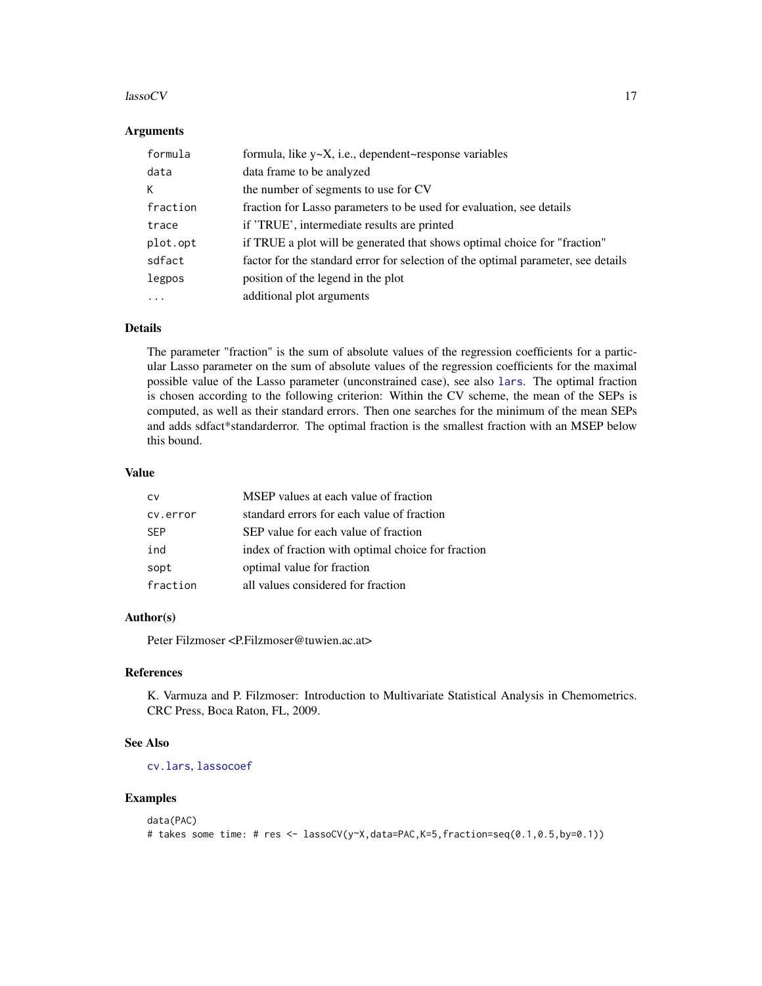#### $\lambda$  assoCV and  $\lambda$  17

# Arguments

| formula  | formula, like $y \sim X$ , i.e., dependent~response variables                     |
|----------|-----------------------------------------------------------------------------------|
| data     | data frame to be analyzed                                                         |
| К        | the number of segments to use for CV                                              |
| fraction | fraction for Lasso parameters to be used for evaluation, see details              |
| trace    | if 'TRUE', intermediate results are printed                                       |
| plot.opt | if TRUE a plot will be generated that shows optimal choice for "fraction"         |
| sdfact   | factor for the standard error for selection of the optimal parameter, see details |
| legpos   | position of the legend in the plot                                                |
| .        | additional plot arguments                                                         |

# Details

The parameter "fraction" is the sum of absolute values of the regression coefficients for a particular Lasso parameter on the sum of absolute values of the regression coefficients for the maximal possible value of the Lasso parameter (unconstrained case), see also [lars](#page-0-0). The optimal fraction is chosen according to the following criterion: Within the CV scheme, the mean of the SEPs is computed, as well as their standard errors. Then one searches for the minimum of the mean SEPs and adds sdfact\*standarderror. The optimal fraction is the smallest fraction with an MSEP below this bound.

# Value

| CV         | MSEP values at each value of fraction              |
|------------|----------------------------------------------------|
| cv.error   | standard errors for each value of fraction         |
| <b>SFP</b> | SEP value for each value of fraction               |
| ind        | index of fraction with optimal choice for fraction |
| sopt       | optimal value for fraction                         |
| fraction   | all values considered for fraction                 |

# Author(s)

Peter Filzmoser <P.Filzmoser@tuwien.ac.at>

#### References

K. Varmuza and P. Filzmoser: Introduction to Multivariate Statistical Analysis in Chemometrics. CRC Press, Boca Raton, FL, 2009.

#### See Also

[cv.lars](#page-0-0), [lassocoef](#page-14-1)

#### Examples

```
data(PAC)
# takes some time: # res <- lassoCV(y~X,data=PAC,K=5,fraction=seq(0.1,0.5,by=0.1))
```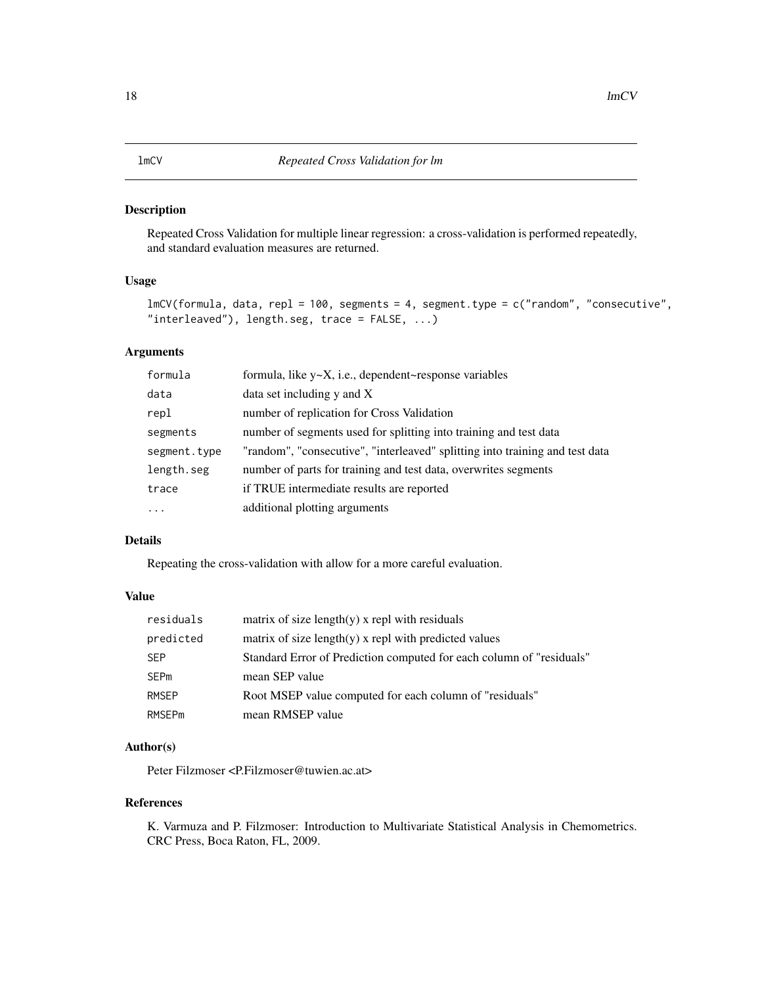<span id="page-17-0"></span>Repeated Cross Validation for multiple linear regression: a cross-validation is performed repeatedly, and standard evaluation measures are returned.

# Usage

```
lmCV(formula, data, repl = 100, segments = 4, segment.type = c("random", "consecutive",
"interleaved"), length.seg, trace = FALSE, ...)
```
# Arguments

| formula      | formula, like y~X, i.e., dependent~response variables                        |
|--------------|------------------------------------------------------------------------------|
| data         | data set including $y$ and $X$                                               |
| repl         | number of replication for Cross Validation                                   |
| segments     | number of segments used for splitting into training and test data            |
| segment.type | "random", "consecutive", "interleaved" splitting into training and test data |
| length.seg   | number of parts for training and test data, overwrites segments              |
| trace        | if TRUE intermediate results are reported                                    |
| $\cdots$     | additional plotting arguments                                                |

# Details

Repeating the cross-validation with allow for a more careful evaluation.

# Value

| residuals    | matrix of size length $(y)$ x repl with residuals                    |
|--------------|----------------------------------------------------------------------|
| predicted    | matrix of size length $(y)$ x repl with predicted values             |
| <b>SEP</b>   | Standard Error of Prediction computed for each column of "residuals" |
| SEPm         | mean SEP value                                                       |
| <b>RMSEP</b> | Root MSEP value computed for each column of "residuals"              |
| RMSFPm       | mean RMSEP value                                                     |

# Author(s)

Peter Filzmoser <P.Filzmoser@tuwien.ac.at>

#### References

K. Varmuza and P. Filzmoser: Introduction to Multivariate Statistical Analysis in Chemometrics. CRC Press, Boca Raton, FL, 2009.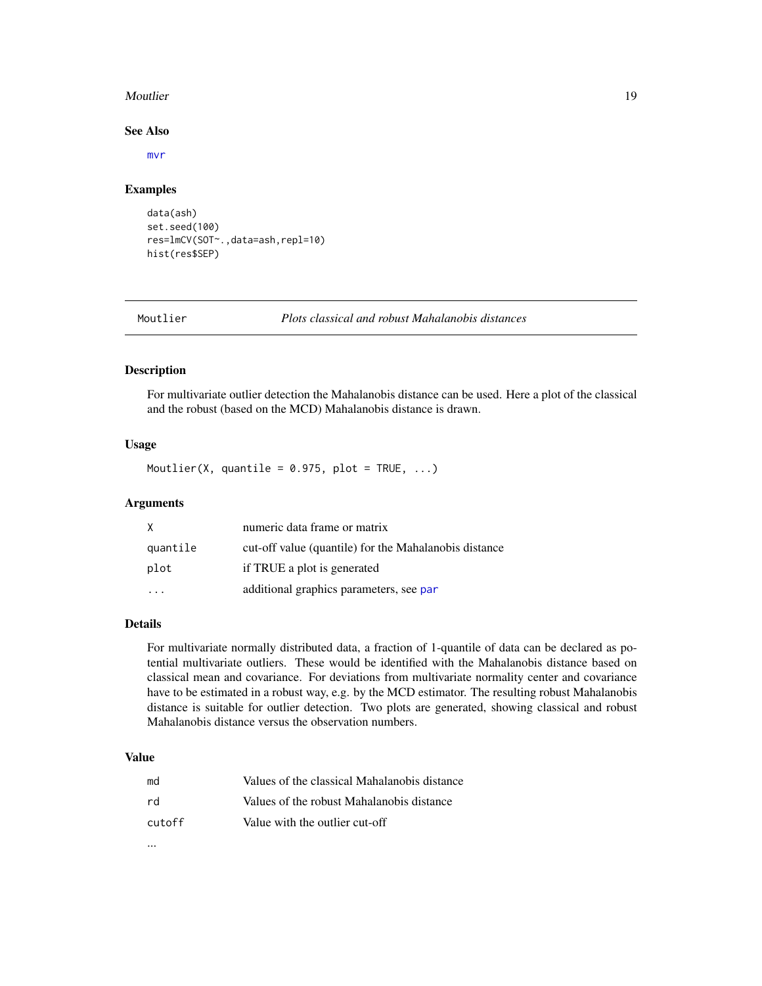#### <span id="page-18-0"></span>Moutlier **19**

#### See Also

[mvr](#page-0-0)

#### Examples

```
data(ash)
set.seed(100)
res=lmCV(SOT~.,data=ash,repl=10)
hist(res$SEP)
```

|  |  |  | Moutliem |  |
|--|--|--|----------|--|
|  |  |  |          |  |

Moutlier *Plots classical and robust Mahalanobis distances*

#### Description

For multivariate outlier detection the Mahalanobis distance can be used. Here a plot of the classical and the robust (based on the MCD) Mahalanobis distance is drawn.

# Usage

Moutlier(X, quantile =  $0.975$ , plot = TRUE, ...)

#### Arguments

| X        | numeric data frame or matrix                          |
|----------|-------------------------------------------------------|
| quantile | cut-off value (quantile) for the Mahalanobis distance |
| plot     | if TRUE a plot is generated                           |
|          | additional graphics parameters, see par               |

# Details

For multivariate normally distributed data, a fraction of 1-quantile of data can be declared as potential multivariate outliers. These would be identified with the Mahalanobis distance based on classical mean and covariance. For deviations from multivariate normality center and covariance have to be estimated in a robust way, e.g. by the MCD estimator. The resulting robust Mahalanobis distance is suitable for outlier detection. Two plots are generated, showing classical and robust Mahalanobis distance versus the observation numbers.

#### Value

...

| md     | Values of the classical Mahalanobis distance |
|--------|----------------------------------------------|
| rd     | Values of the robust Mahalanobis distance    |
| cutoff | Value with the outlier cut-off               |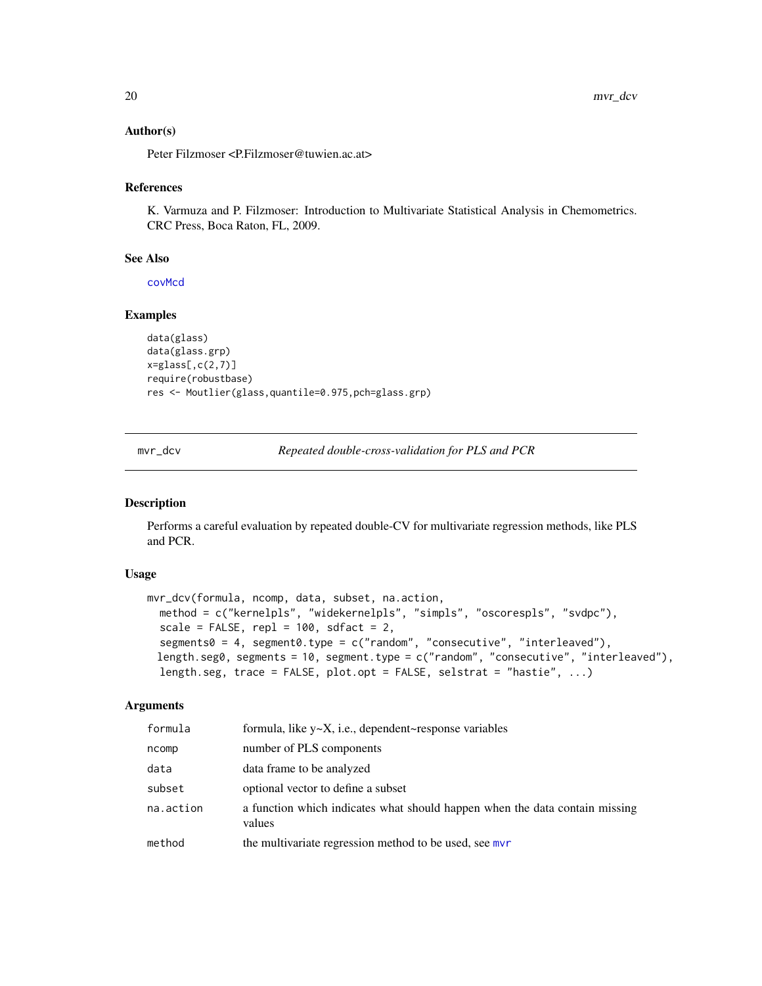#### <span id="page-19-0"></span>Author(s)

Peter Filzmoser <P.Filzmoser@tuwien.ac.at>

#### References

K. Varmuza and P. Filzmoser: Introduction to Multivariate Statistical Analysis in Chemometrics. CRC Press, Boca Raton, FL, 2009.

#### See Also

[covMcd](#page-0-0)

# Examples

```
data(glass)
data(glass.grp)
x = glass[, c(2,7)]require(robustbase)
res <- Moutlier(glass,quantile=0.975,pch=glass.grp)
```
mvr\_dcv *Repeated double-cross-validation for PLS and PCR*

#### Description

Performs a careful evaluation by repeated double-CV for multivariate regression methods, like PLS and PCR.

# Usage

```
mvr_dcv(formula, ncomp, data, subset, na.action,
 method = c("kernelpls", "widekernelpls", "simpls", "oscorespls", "svdpc"),
  scale = FALSE, rep1 = 100, sdfact = 2,segments0 = 4, segment0.type = c("random", "consecutive", "interleaved"),
 length.seg0, segments = 10, segment.type = c("random", "consecutive", "interleaved"),
 length.seg, trace = FALSE, plot.opt = FALSE, selstrat = "hastie", ...)
```
#### Arguments

| formula   | formula, like $y \sim X$ , i.e., dependent $\sim$ response variables                  |
|-----------|---------------------------------------------------------------------------------------|
| ncomp     | number of PLS components                                                              |
| data      | data frame to be analyzed                                                             |
| subset    | optional vector to define a subset                                                    |
| na.action | a function which indicates what should happen when the data contain missing<br>values |
| method    | the multivariate regression method to be used, see mvr                                |
|           |                                                                                       |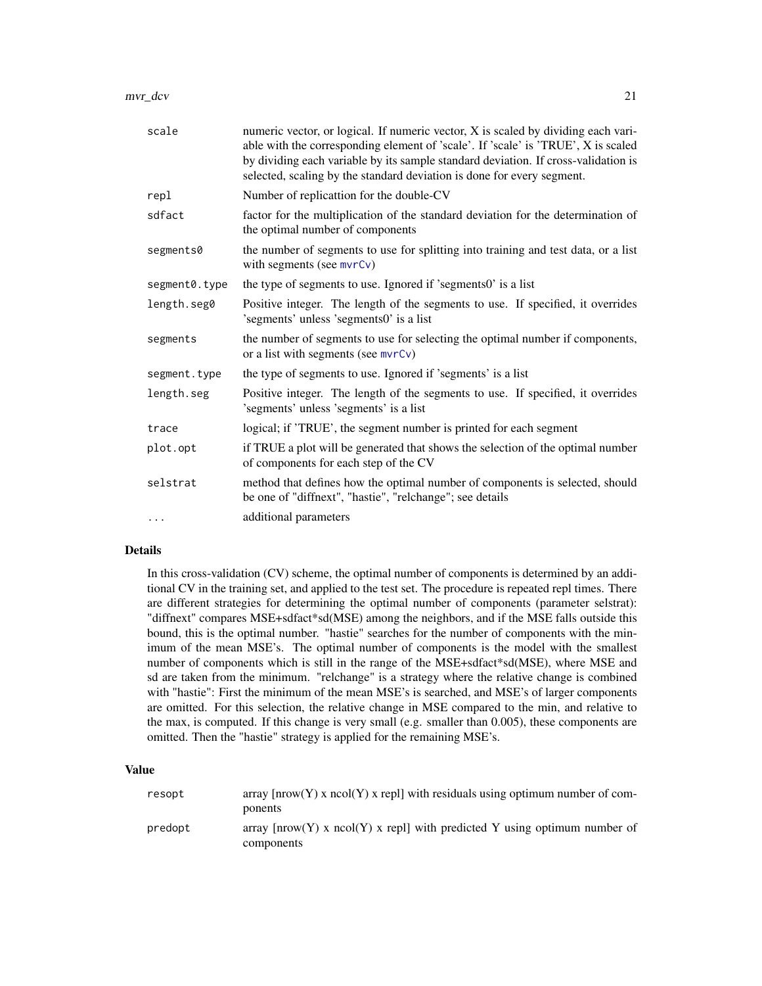| scale         | numeric vector, or logical. If numeric vector, X is scaled by dividing each vari-<br>able with the corresponding element of 'scale'. If 'scale' is 'TRUE', X is scaled<br>by dividing each variable by its sample standard deviation. If cross-validation is<br>selected, scaling by the standard deviation is done for every segment. |
|---------------|----------------------------------------------------------------------------------------------------------------------------------------------------------------------------------------------------------------------------------------------------------------------------------------------------------------------------------------|
| repl          | Number of replicattion for the double-CV                                                                                                                                                                                                                                                                                               |
| sdfact        | factor for the multiplication of the standard deviation for the determination of<br>the optimal number of components                                                                                                                                                                                                                   |
| segments0     | the number of segments to use for splitting into training and test data, or a list<br>with segments (see $mvrCv$ )                                                                                                                                                                                                                     |
| segment0.type | the type of segments to use. Ignored if 'segments0' is a list                                                                                                                                                                                                                                                                          |
| length.seg0   | Positive integer. The length of the segments to use. If specified, it overrides<br>'segments' unless 'segments0' is a list                                                                                                                                                                                                             |
| segments      | the number of segments to use for selecting the optimal number if components,<br>or a list with segments (see $mvrCv$ )                                                                                                                                                                                                                |
| segment.type  | the type of segments to use. Ignored if 'segments' is a list                                                                                                                                                                                                                                                                           |
| length.seg    | Positive integer. The length of the segments to use. If specified, it overrides<br>'segments' unless 'segments' is a list                                                                                                                                                                                                              |
| trace         | logical; if 'TRUE', the segment number is printed for each segment                                                                                                                                                                                                                                                                     |
| plot.opt      | if TRUE a plot will be generated that shows the selection of the optimal number<br>of components for each step of the CV                                                                                                                                                                                                               |
| selstrat      | method that defines how the optimal number of components is selected, should<br>be one of "diffnext", "hastie", "relchange"; see details                                                                                                                                                                                               |
| $\cdots$      | additional parameters                                                                                                                                                                                                                                                                                                                  |

#### Details

In this cross-validation (CV) scheme, the optimal number of components is determined by an additional CV in the training set, and applied to the test set. The procedure is repeated repl times. There are different strategies for determining the optimal number of components (parameter selstrat): "diffnext" compares MSE+sdfact\*sd(MSE) among the neighbors, and if the MSE falls outside this bound, this is the optimal number. "hastie" searches for the number of components with the minimum of the mean MSE's. The optimal number of components is the model with the smallest number of components which is still in the range of the MSE+sdfact\*sd(MSE), where MSE and sd are taken from the minimum. "relchange" is a strategy where the relative change is combined with "hastie": First the minimum of the mean MSE's is searched, and MSE's of larger components are omitted. For this selection, the relative change in MSE compared to the min, and relative to the max, is computed. If this change is very small (e.g. smaller than  $0.005$ ), these components are omitted. Then the "hastie" strategy is applied for the remaining MSE's.

# Value

| resopt  | array $[nrow(Y)$ x ncol(Y) x repll with residuals using optimum number of com-<br>ponents |
|---------|-------------------------------------------------------------------------------------------|
| predopt | array $[nrow(Y) \times neol(Y) \times rep1]$ with predicted Y using optimum number of     |
|         | components                                                                                |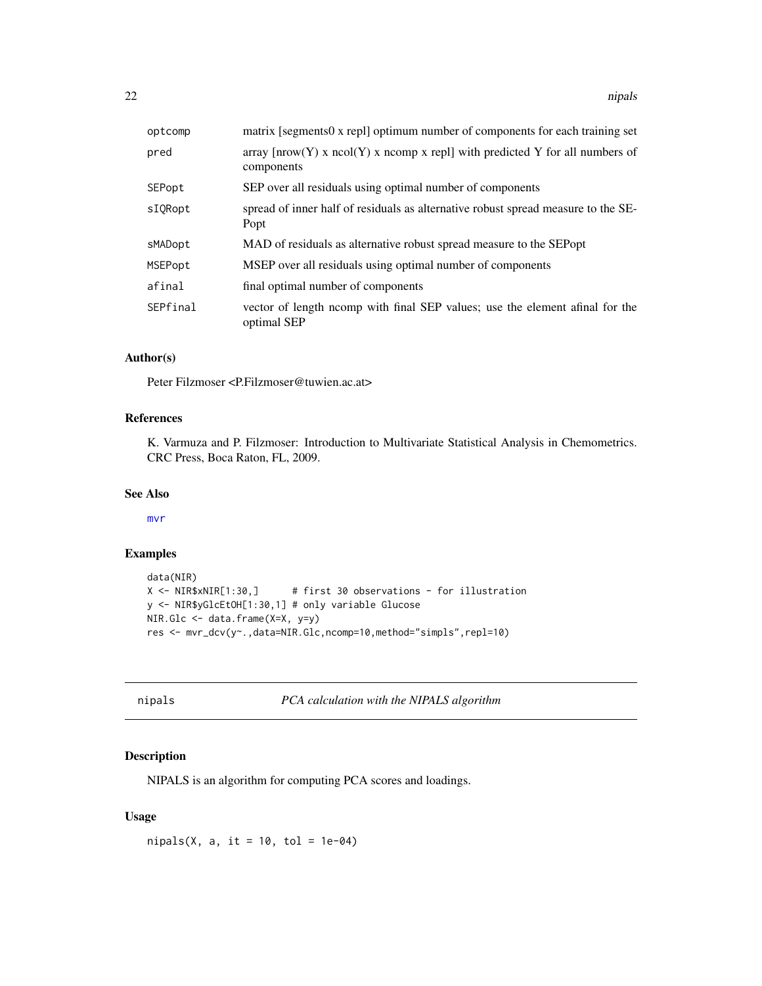<span id="page-21-0"></span>

| optcomp  | matrix [segments0 x repl] optimum number of components for each training set                      |
|----------|---------------------------------------------------------------------------------------------------|
| pred     | array $[ nrow(Y)$ x $ncol(Y)$ x $ncomp$ x repl] with predicted Y for all numbers of<br>components |
| SEPopt   | SEP over all residuals using optimal number of components                                         |
| sIORopt  | spread of inner half of residuals as alternative robust spread measure to the SE-<br>Popt         |
| sMADopt  | MAD of residuals as alternative robust spread measure to the SEP opt                              |
| MSEPopt  | MSEP over all residuals using optimal number of components                                        |
| afinal   | final optimal number of components                                                                |
| SEPfinal | vector of length ncomp with final SEP values; use the element afinal for the<br>optimal SEP       |

# Author(s)

Peter Filzmoser <P.Filzmoser@tuwien.ac.at>

# References

K. Varmuza and P. Filzmoser: Introduction to Multivariate Statistical Analysis in Chemometrics. CRC Press, Boca Raton, FL, 2009.

#### See Also

[mvr](#page-0-0)

# Examples

```
data(NIR)
X <- NIR$xNIR[1:30,] # first 30 observations - for illustration
y <- NIR$yGlcEtOH[1:30,1] # only variable Glucose
NIR.Glc <- data.frame(X=X, y=y)
res <- mvr_dcv(y~.,data=NIR.Glc,ncomp=10,method="simpls",repl=10)
```

| 11<br>r | Dа<br>-1 |  |
|---------|----------|--|
|---------|----------|--|

**PCA** calculation with the NIPALS algorithm

#### Description

NIPALS is an algorithm for computing PCA scores and loadings.

# Usage

 $nipals(X, a, it = 10, tol = 1e-04)$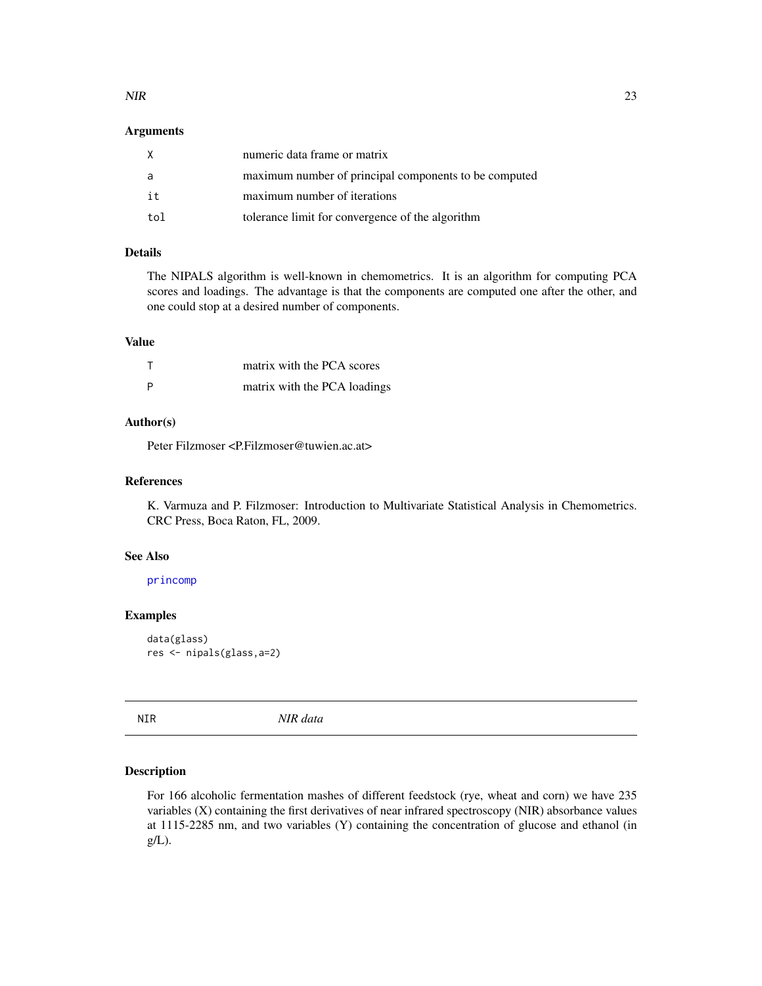#### <span id="page-22-0"></span> $NIR$  23

#### Arguments

| X   | numeric data frame or matrix                          |
|-----|-------------------------------------------------------|
| a   | maximum number of principal components to be computed |
| it  | maximum number of iterations                          |
| tol | tolerance limit for convergence of the algorithm      |

# Details

The NIPALS algorithm is well-known in chemometrics. It is an algorithm for computing PCA scores and loadings. The advantage is that the components are computed one after the other, and one could stop at a desired number of components.

#### Value

|     | matrix with the PCA scores   |
|-----|------------------------------|
| - P | matrix with the PCA loadings |

# Author(s)

Peter Filzmoser <P.Filzmoser@tuwien.ac.at>

# References

K. Varmuza and P. Filzmoser: Introduction to Multivariate Statistical Analysis in Chemometrics. CRC Press, Boca Raton, FL, 2009.

#### See Also

[princomp](#page-0-0)

# Examples

```
data(glass)
res <- nipals(glass,a=2)
```
NIR *NIR data*

#### Description

For 166 alcoholic fermentation mashes of different feedstock (rye, wheat and corn) we have 235 variables (X) containing the first derivatives of near infrared spectroscopy (NIR) absorbance values at 1115-2285 nm, and two variables (Y) containing the concentration of glucose and ethanol (in g/L).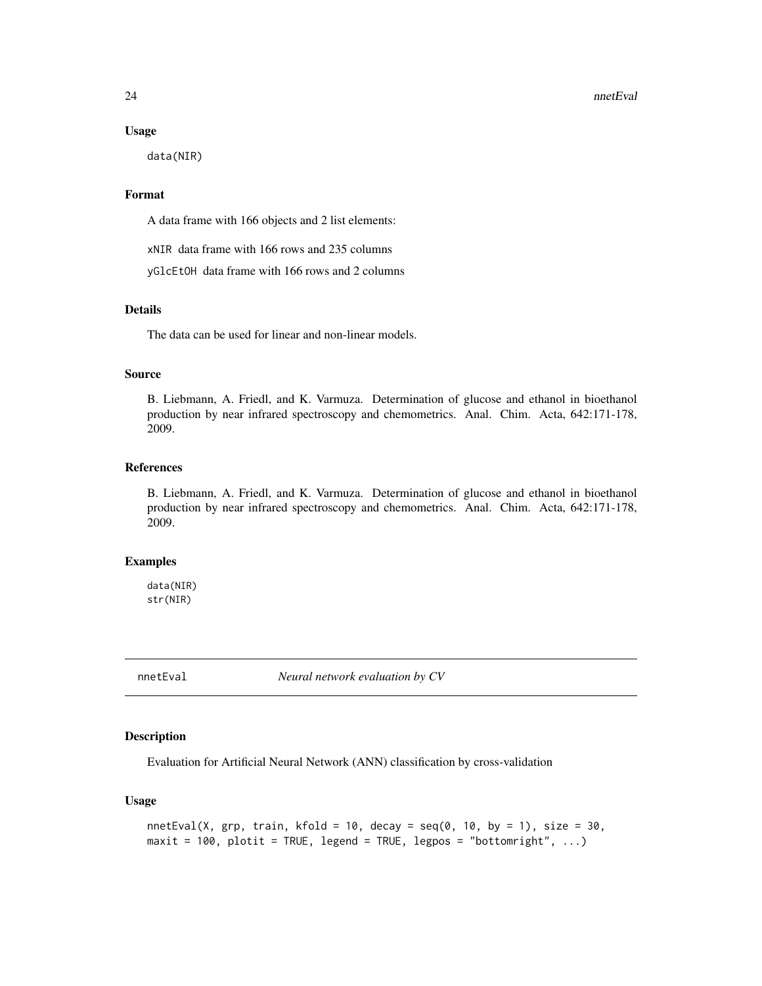#### $24$  nnetEval

#### Usage

data(NIR)

# Format

A data frame with 166 objects and 2 list elements:

xNIR data frame with 166 rows and 235 columns

yGlcEtOH data frame with 166 rows and 2 columns

# Details

The data can be used for linear and non-linear models.

#### Source

B. Liebmann, A. Friedl, and K. Varmuza. Determination of glucose and ethanol in bioethanol production by near infrared spectroscopy and chemometrics. Anal. Chim. Acta, 642:171-178, 2009.

# References

B. Liebmann, A. Friedl, and K. Varmuza. Determination of glucose and ethanol in bioethanol production by near infrared spectroscopy and chemometrics. Anal. Chim. Acta, 642:171-178, 2009.

#### Examples

data(NIR) str(NIR)

nnetEval *Neural network evaluation by CV*

#### Description

Evaluation for Artificial Neural Network (ANN) classification by cross-validation

#### Usage

```
nnetEval(X, grp, train, kfold = 10, decay = seq(0, 10, by = 1), size = 30,
maxit = 100, plotit = TRUE, legend = TRUE, legpos = "bottomright", ...)
```
<span id="page-23-0"></span>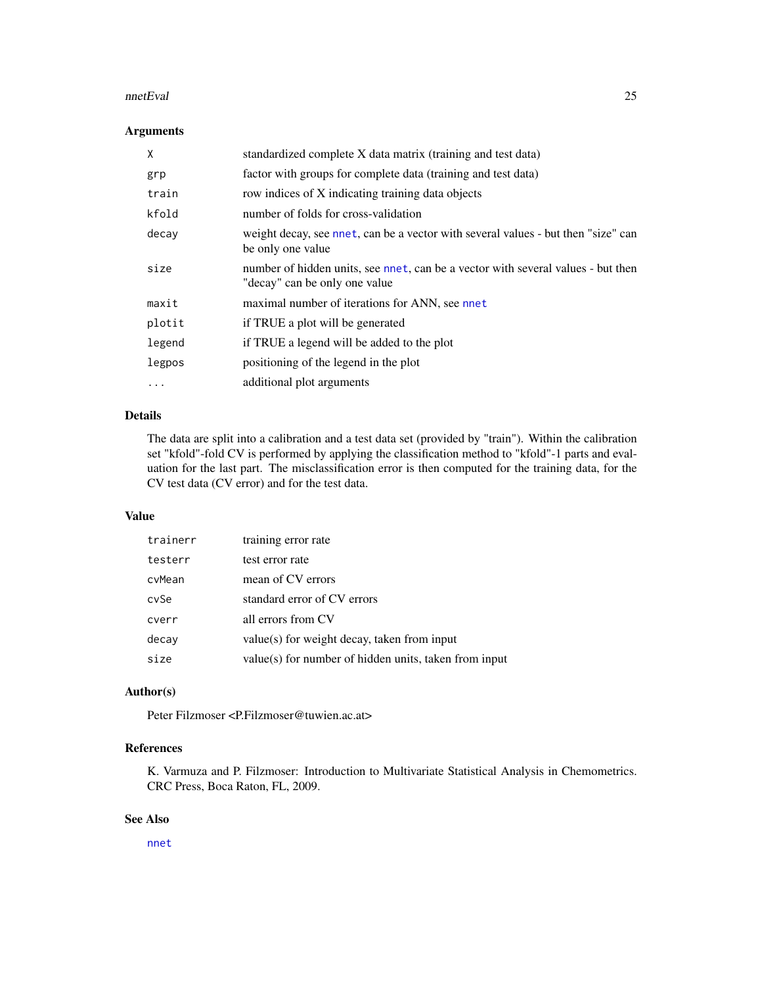#### nnetEval 25

# Arguments

| X        | standardized complete X data matrix (training and test data)                                                      |
|----------|-------------------------------------------------------------------------------------------------------------------|
| grp      | factor with groups for complete data (training and test data)                                                     |
| train    | row indices of X indicating training data objects                                                                 |
| kfold    | number of folds for cross-validation                                                                              |
| decay    | weight decay, see nnet, can be a vector with several values - but then "size" can<br>be only one value            |
| size     | number of hidden units, see nnet, can be a vector with several values - but then<br>"decay" can be only one value |
| maxit    | maximal number of iterations for ANN, see nnet                                                                    |
| plotit   | if TRUE a plot will be generated                                                                                  |
| legend   | if TRUE a legend will be added to the plot                                                                        |
| legpos   | positioning of the legend in the plot                                                                             |
| $\cdots$ | additional plot arguments                                                                                         |

# Details

The data are split into a calibration and a test data set (provided by "train"). Within the calibration set "kfold"-fold CV is performed by applying the classification method to "kfold"-1 parts and evaluation for the last part. The misclassification error is then computed for the training data, for the CV test data (CV error) and for the test data.

#### Value

| trainerr | training error rate                                   |
|----------|-------------------------------------------------------|
| testerr  | test error rate                                       |
| cvMean   | mean of CV errors                                     |
| cvSe     | standard error of CV errors                           |
| cverr    | all errors from CV                                    |
| decay    | value(s) for weight decay, taken from input           |
| size     | value(s) for number of hidden units, taken from input |

# Author(s)

Peter Filzmoser <P.Filzmoser@tuwien.ac.at>

# References

K. Varmuza and P. Filzmoser: Introduction to Multivariate Statistical Analysis in Chemometrics. CRC Press, Boca Raton, FL, 2009.

# See Also

[nnet](#page-0-0)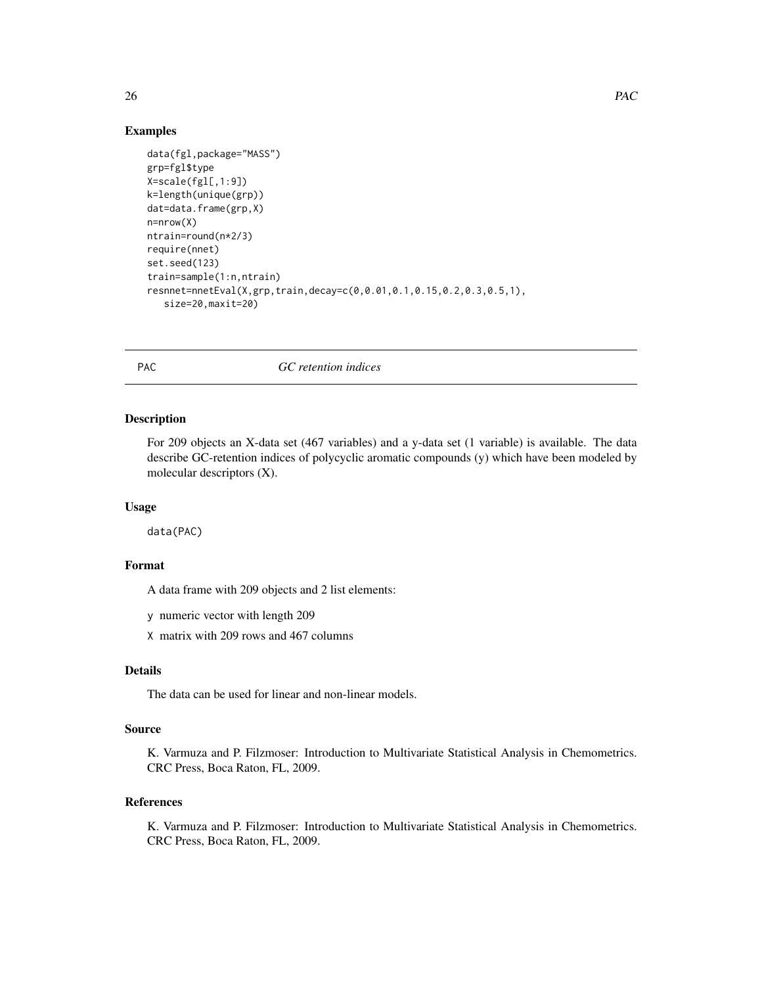#### Examples

```
data(fgl,package="MASS")
grp=fgl$type
X=scale(fgl[,1:9])
k=length(unique(grp))
dat=data.frame(grp,X)
n=nrow(X)
ntrain=round(n*2/3)
require(nnet)
set.seed(123)
train=sample(1:n,ntrain)
resnnet=nnetEval(X,grp,train,decay=c(0,0.01,0.1,0.15,0.2,0.3,0.5,1),
   size=20,maxit=20)
```
PAC *GC retention indices*

#### Description

For 209 objects an X-data set (467 variables) and a y-data set (1 variable) is available. The data describe GC-retention indices of polycyclic aromatic compounds (y) which have been modeled by molecular descriptors (X).

#### Usage

data(PAC)

#### Format

A data frame with 209 objects and 2 list elements:

y numeric vector with length 209

X matrix with 209 rows and 467 columns

#### Details

The data can be used for linear and non-linear models.

#### Source

K. Varmuza and P. Filzmoser: Introduction to Multivariate Statistical Analysis in Chemometrics. CRC Press, Boca Raton, FL, 2009.

# References

K. Varmuza and P. Filzmoser: Introduction to Multivariate Statistical Analysis in Chemometrics. CRC Press, Boca Raton, FL, 2009.

<span id="page-25-0"></span>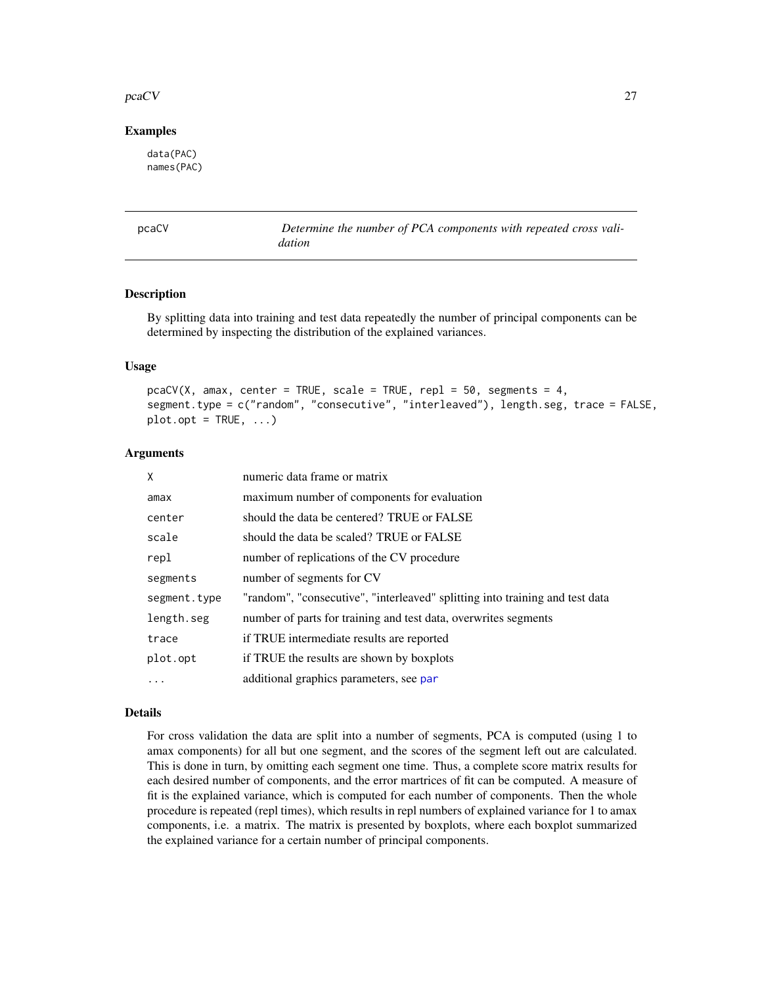#### <span id="page-26-0"></span>pcaCV 27

#### Examples

data(PAC) names(PAC)

pcaCV *Determine the number of PCA components with repeated cross validation*

# Description

By splitting data into training and test data repeatedly the number of principal components can be determined by inspecting the distribution of the explained variances.

#### Usage

```
pcaCV(X, amax, center = TRUE, scale = TRUE, repl = 50, segments = 4,
segment.type = c("random", "consecutive", "interleaved"), length.seg, trace = FALSE,
plot.opt = TRUE, ...)
```
#### Arguments

| X            | numeric data frame or matrix                                                 |
|--------------|------------------------------------------------------------------------------|
| amax         | maximum number of components for evaluation                                  |
| center       | should the data be centered? TRUE or FALSE                                   |
| scale        | should the data be scaled? TRUE or FALSE                                     |
| repl         | number of replications of the CV procedure                                   |
| segments     | number of segments for CV                                                    |
| segment.type | "random", "consecutive", "interleaved" splitting into training and test data |
| length.seg   | number of parts for training and test data, overwrites segments              |
| trace        | if TRUE intermediate results are reported                                    |
| plot.opt     | if TRUE the results are shown by boxplots                                    |
| $\cdots$     | additional graphics parameters, see par                                      |

#### Details

For cross validation the data are split into a number of segments, PCA is computed (using 1 to amax components) for all but one segment, and the scores of the segment left out are calculated. This is done in turn, by omitting each segment one time. Thus, a complete score matrix results for each desired number of components, and the error martrices of fit can be computed. A measure of fit is the explained variance, which is computed for each number of components. Then the whole procedure is repeated (repl times), which results in repl numbers of explained variance for 1 to amax components, i.e. a matrix. The matrix is presented by boxplots, where each boxplot summarized the explained variance for a certain number of principal components.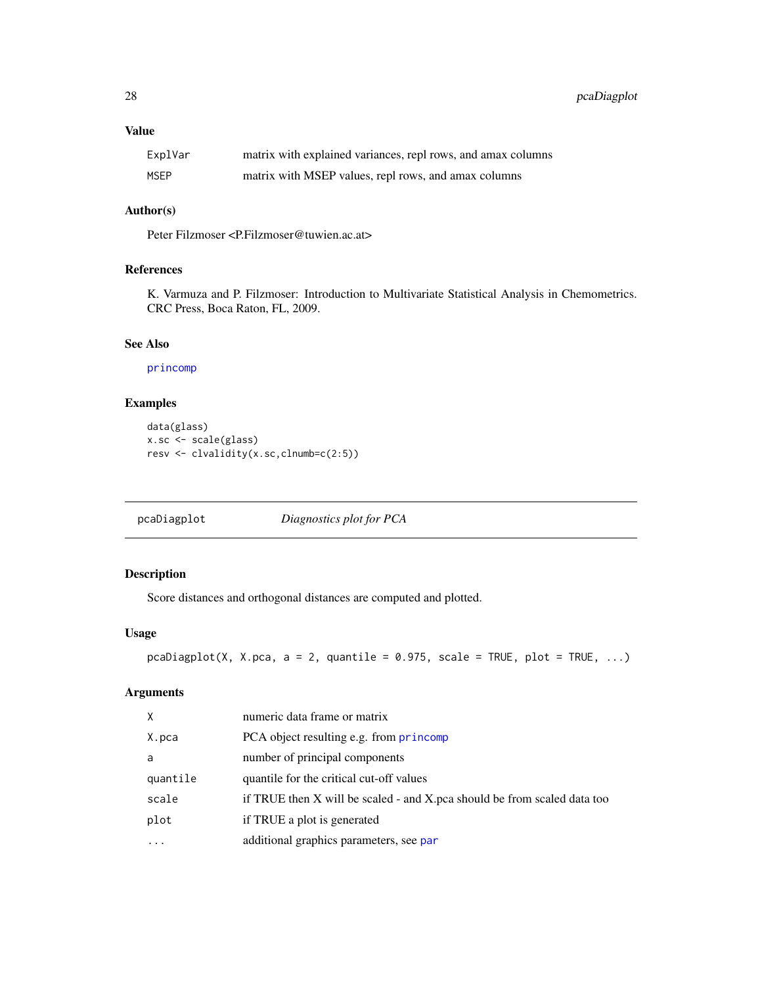<span id="page-27-0"></span>28 pcaDiagplot

# Value

| ExplVar | matrix with explained variances, repl rows, and amax columns |
|---------|--------------------------------------------------------------|
| MSEP    | matrix with MSEP values, repl rows, and amax columns         |

# Author(s)

Peter Filzmoser <P.Filzmoser@tuwien.ac.at>

# References

K. Varmuza and P. Filzmoser: Introduction to Multivariate Statistical Analysis in Chemometrics. CRC Press, Boca Raton, FL, 2009.

#### See Also

[princomp](#page-0-0)

# Examples

```
data(glass)
x.sc <- scale(glass)
resv <- clvalidity(x.sc,clnumb=c(2:5))
```
pcaDiagplot *Diagnostics plot for PCA*

# Description

Score distances and orthogonal distances are computed and plotted.

# Usage

```
pcaDiagplot(X, X.pca, a = 2, quantile = 0.975, scale = TRUE, plot = TRUE, ...)
```
# Arguments

| X        | numeric data frame or matrix                                             |
|----------|--------------------------------------------------------------------------|
| X.pca    | PCA object resulting e.g. from princomp                                  |
| a        | number of principal components                                           |
| quantile | quantile for the critical cut-off values                                 |
| scale    | if TRUE then X will be scaled - and X pca should be from scaled data too |
| plot     | if TRUE a plot is generated                                              |
| $\cdots$ | additional graphics parameters, see par                                  |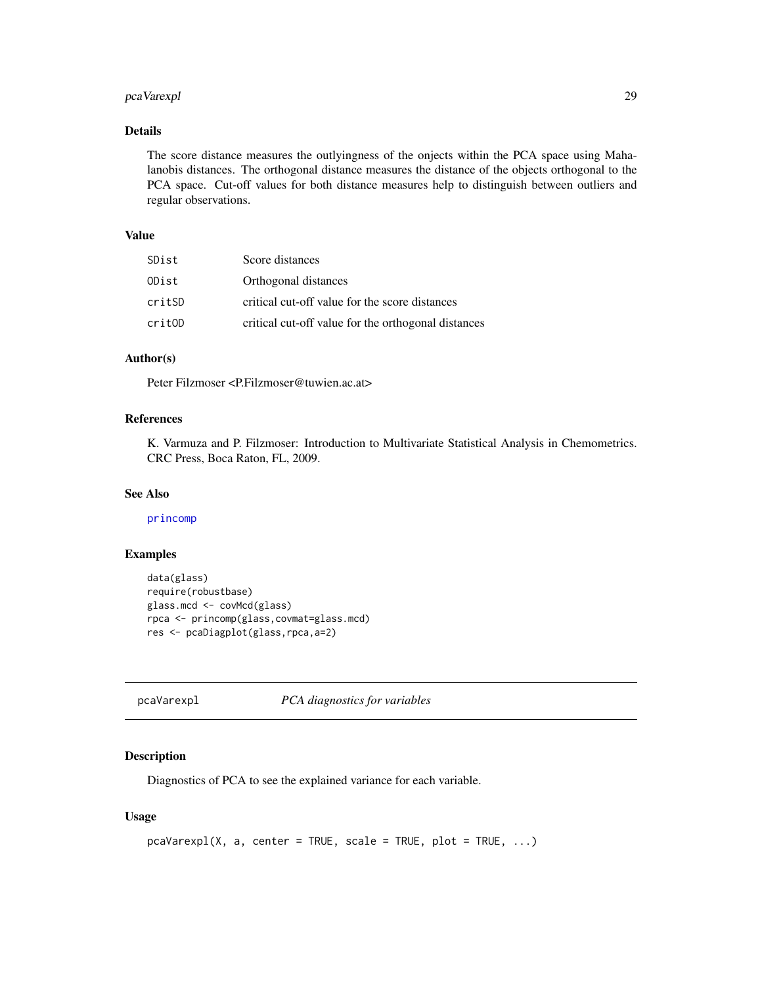# <span id="page-28-0"></span>pcaVarexpl 29

# Details

The score distance measures the outlyingness of the onjects within the PCA space using Mahalanobis distances. The orthogonal distance measures the distance of the objects orthogonal to the PCA space. Cut-off values for both distance measures help to distinguish between outliers and regular observations.

#### Value

| SDist  | Score distances                                     |
|--------|-----------------------------------------------------|
| ODist  | Orthogonal distances                                |
| critSD | critical cut-off value for the score distances      |
| critOD | critical cut-off value for the orthogonal distances |

# Author(s)

Peter Filzmoser <P.Filzmoser@tuwien.ac.at>

# References

K. Varmuza and P. Filzmoser: Introduction to Multivariate Statistical Analysis in Chemometrics. CRC Press, Boca Raton, FL, 2009.

# See Also

[princomp](#page-0-0)

# Examples

```
data(glass)
require(robustbase)
glass.mcd <- covMcd(glass)
rpca <- princomp(glass,covmat=glass.mcd)
res <- pcaDiagplot(glass,rpca,a=2)
```
pcaVarexpl *PCA diagnostics for variables*

#### Description

Diagnostics of PCA to see the explained variance for each variable.

# Usage

```
pcaVarexp1(X, a, center = TRUE, scale = TRUE, plot = TRUE, ...)
```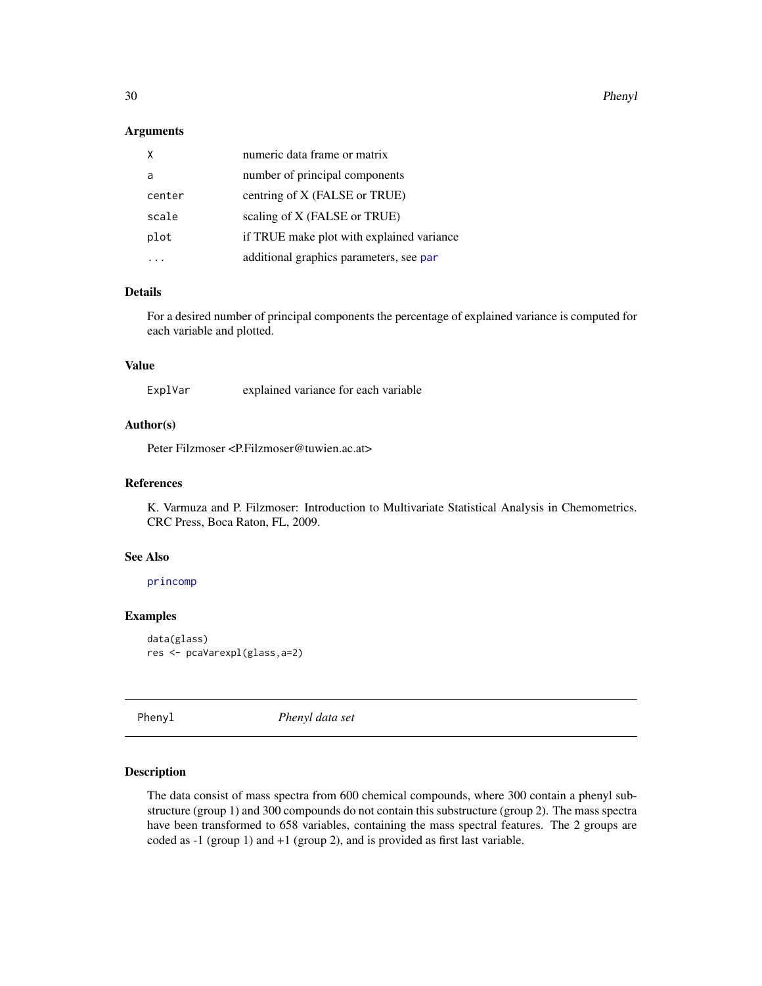#### <span id="page-29-0"></span>Arguments

| X      | numeric data frame or matrix              |
|--------|-------------------------------------------|
| a      | number of principal components            |
| center | centring of X (FALSE or TRUE)             |
| scale  | scaling of X (FALSE or TRUE)              |
| plot   | if TRUE make plot with explained variance |
|        | additional graphics parameters, see par   |

#### Details

For a desired number of principal components the percentage of explained variance is computed for each variable and plotted.

# Value

ExplVar explained variance for each variable

# Author(s)

Peter Filzmoser <P.Filzmoser@tuwien.ac.at>

#### References

K. Varmuza and P. Filzmoser: Introduction to Multivariate Statistical Analysis in Chemometrics. CRC Press, Boca Raton, FL, 2009.

#### See Also

[princomp](#page-0-0)

# Examples

```
data(glass)
res <- pcaVarexpl(glass,a=2)
```
Phenyl *Phenyl data set*

#### Description

The data consist of mass spectra from 600 chemical compounds, where 300 contain a phenyl substructure (group 1) and 300 compounds do not contain this substructure (group 2). The mass spectra have been transformed to 658 variables, containing the mass spectral features. The 2 groups are coded as -1 (group 1) and +1 (group 2), and is provided as first last variable.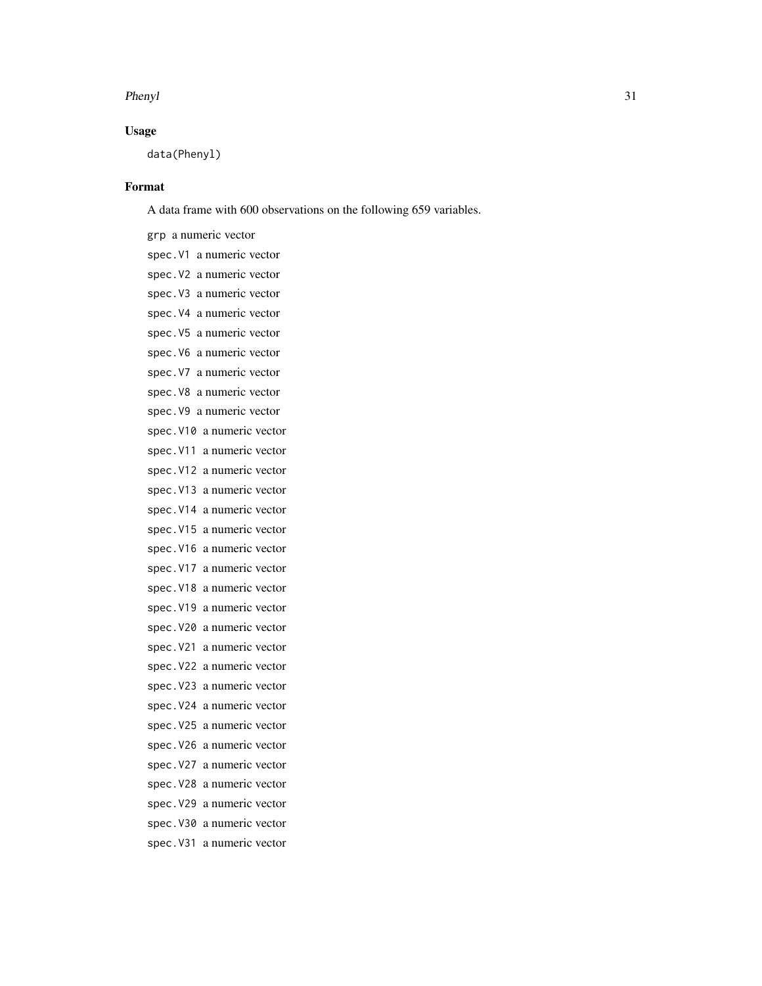# Usage

data(Phenyl)

# Format

A data frame with 600 observations on the following 659 variables.

grp a numeric vector spec.V1 a numeric vector spec.V2 a numeric vector spec.V3 a numeric vector spec.V4 a numeric vector spec.V5 a numeric vector spec.V6 a numeric vector spec.V7 a numeric vector spec.V8 a numeric vector spec.V9 a numeric vector spec.V10 a numeric vector spec.V11 a numeric vector spec.V12 a numeric vector spec.V13 a numeric vector spec.V14 a numeric vector spec.V15 a numeric vector spec.V16 a numeric vector spec.V17 a numeric vector spec.V18 a numeric vector spec.V19 a numeric vector spec.V20 a numeric vector spec.V21 a numeric vector spec.V22 a numeric vector spec.V23 a numeric vector spec.V24 a numeric vector spec.V25 a numeric vector spec.V26 a numeric vector spec.V27 a numeric vector spec.V28 a numeric vector spec.V29 a numeric vector spec.V30 a numeric vector spec.V31 a numeric vector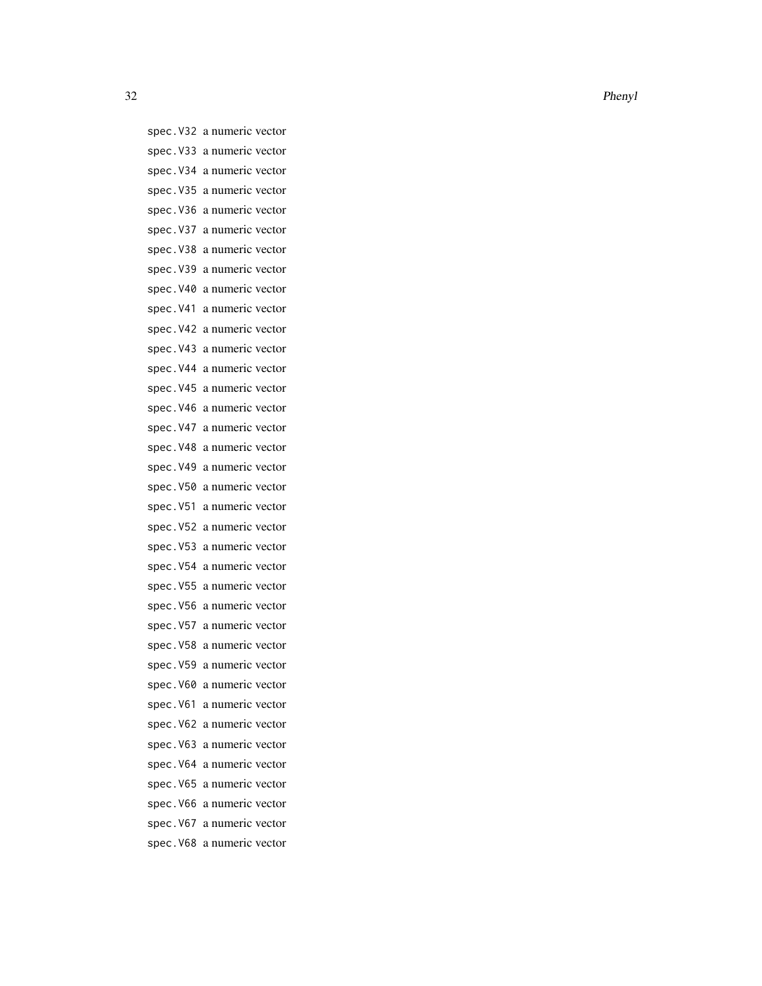spec.V32 a numeric vector spec.V33 a numeric vector spec.V34 a numeric vector spec.V35 a numeric vector spec.V36 a numeric vector spec.V37 a numeric vector spec.V38 a numeric vector spec.V39 a numeric vector spec.V40 a numeric vector spec.V41 a numeric vector spec.V42 a numeric vector spec.V43 a numeric vector spec.V44 a numeric vector spec.V45 a numeric vector spec.V46 a numeric vector spec.V47 a numeric vector spec.V48 a numeric vector spec.V49 a numeric vector spec.V50 a numeric vector spec.V51 a numeric vector spec.V52 a numeric vector spec.V53 a numeric vector spec.V54 a numeric vector spec.V55 a numeric vector spec.V56 a numeric vector spec.V57 a numeric vector spec.V58 a numeric vector spec.V59 a numeric vector spec.V60 a numeric vector spec.V61 a numeric vector spec.V62 a numeric vector spec.V63 a numeric vector spec.V64 a numeric vector spec.V65 a numeric vector spec.V66 a numeric vector spec.V67 a numeric vector spec.V68 a numeric vector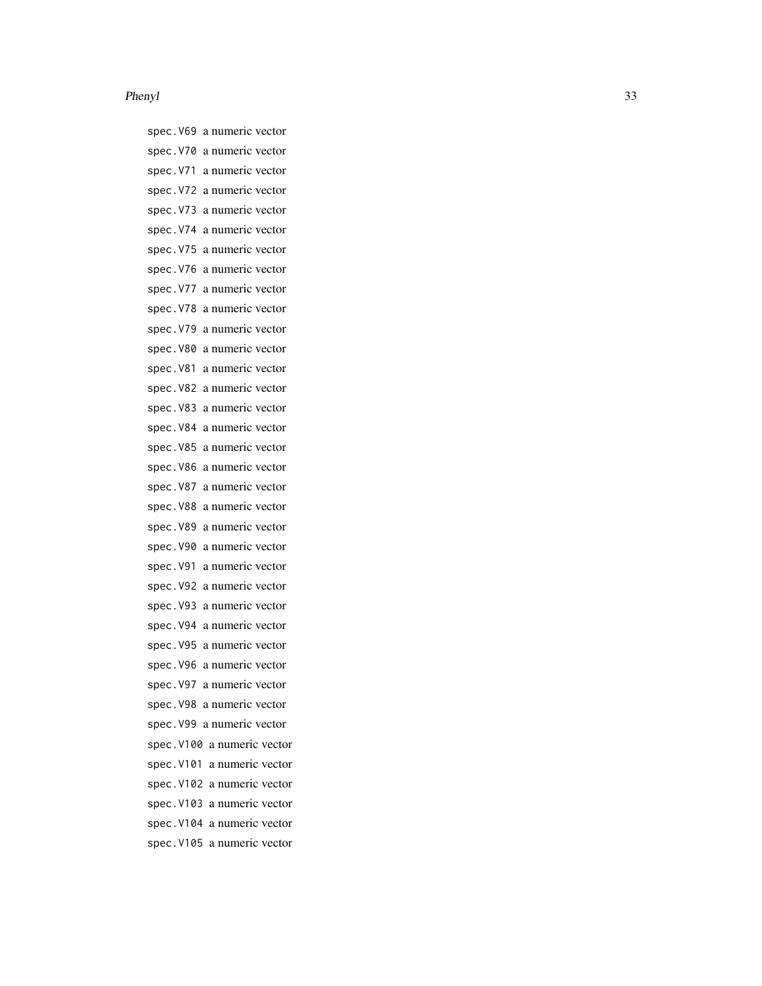spec.V69 a numeric vector spec.V70 a numeric vector spec.V71 a numeric vector spec.V72 a numeric vector spec.V73 a numeric vector spec.V74 a numeric vector spec.V75 a numeric vector spec.V76 a numeric vector spec.V77 a numeric vector spec.V78 a numeric vector spec.V79 a numeric vector spec.V80 a numeric vector spec.V81 a numeric vector spec.V82 a numeric vector spec.V83 a numeric vector spec.V84 a numeric vector spec.V85 a numeric vector spec.V86 a numeric vector spec.V87 a numeric vector spec.V88 a numeric vector spec.V89 a numeric vector spec.V90 a numeric vector spec.V91 a numeric vector spec.V92 a numeric vector spec.V93 a numeric vector spec.V94 a numeric vector spec.V95 a numeric vector spec.V96 a numeric vector spec.V97 a numeric vector spec.V98 a numeric vector spec.V99 a numeric vector spec.V100 a numeric vector spec.V101 a numeric vector spec.V102 a numeric vector spec.V103 a numeric vector spec.V104 a numeric vector spec.V105 a numeric vector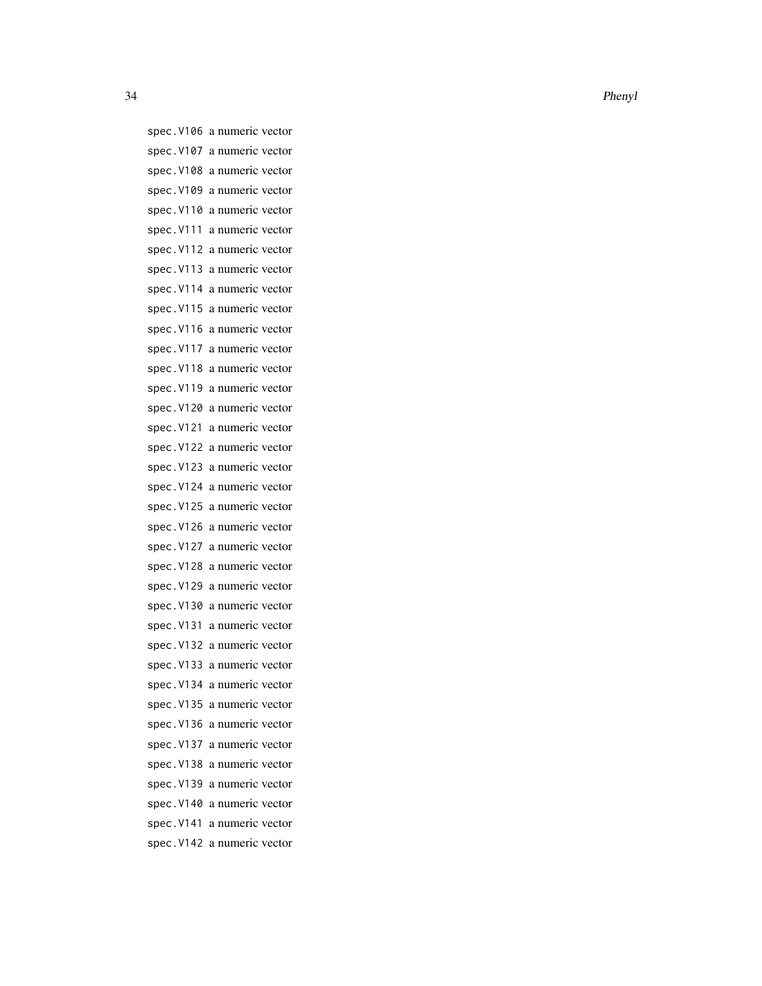spec.V106 a numeric vector spec.V107 a numeric vector spec.V108 a numeric vector spec.V109 a numeric vector spec.V110 a numeric vector spec.V111 a numeric vector spec.V112 a numeric vector spec.V113 a numeric vector spec.V114 a numeric vector spec.V115 a numeric vector spec.V116 a numeric vector spec.V117 a numeric vector spec.V118 a numeric vector spec.V119 a numeric vector spec.V120 a numeric vector spec.V121 a numeric vector spec.V122 a numeric vector spec.V123 a numeric vector spec.V124 a numeric vector spec.V125 a numeric vector spec.V126 a numeric vector spec.V127 a numeric vector spec.V128 a numeric vector spec.V129 a numeric vector spec.V130 a numeric vector spec.V131 a numeric vector spec.V132 a numeric vector spec.V133 a numeric vector spec.V134 a numeric vector spec.V135 a numeric vector spec.V136 a numeric vector spec.V137 a numeric vector spec.V138 a numeric vector spec.V139 a numeric vector spec.V140 a numeric vector spec.V141 a numeric vector spec.V142 a numeric vector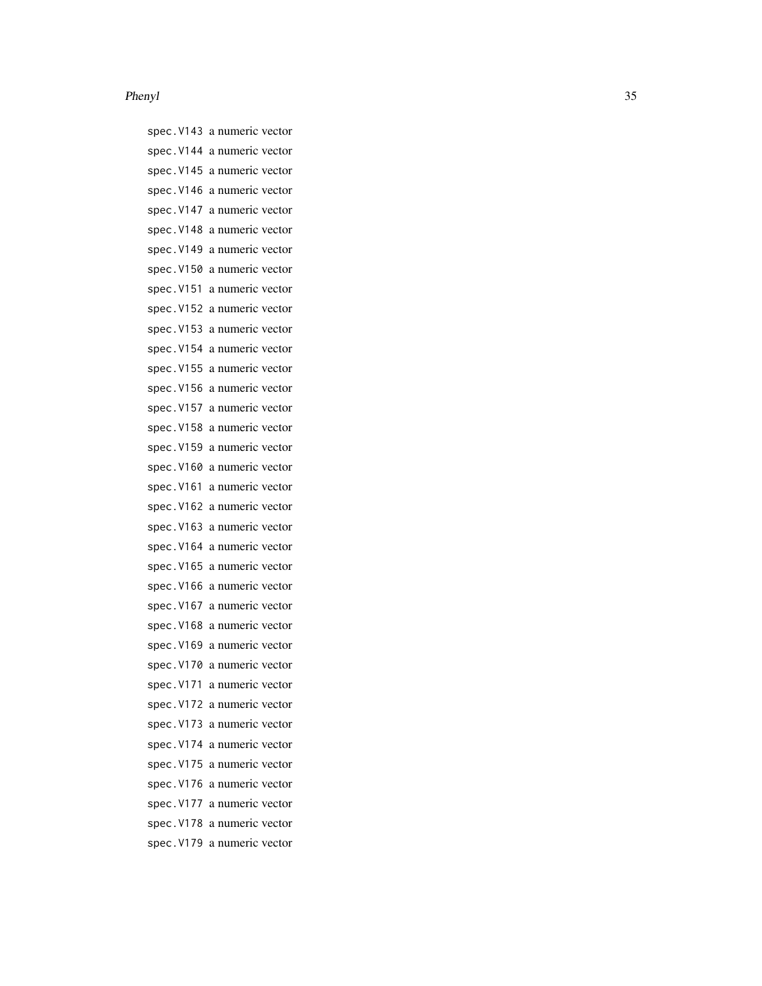spec.V143 a numeric vector spec.V144 a numeric vector spec.V145 a numeric vector spec.V146 a numeric vector spec.V147 a numeric vector spec.V148 a numeric vector spec.V149 a numeric vector spec.V150 a numeric vector spec.V151 a numeric vector spec.V152 a numeric vector spec.V153 a numeric vector spec.V154 a numeric vector spec.V155 a numeric vector spec.V156 a numeric vector spec.V157 a numeric vector spec.V158 a numeric vector spec.V159 a numeric vector spec.V160 a numeric vector spec.V161 a numeric vector spec.V162 a numeric vector spec.V163 a numeric vector spec.V164 a numeric vector spec.V165 a numeric vector spec.V166 a numeric vector spec.V167 a numeric vector spec.V168 a numeric vector spec.V169 a numeric vector spec.V170 a numeric vector spec.V171 a numeric vector spec.V172 a numeric vector spec.V173 a numeric vector spec.V174 a numeric vector spec.V175 a numeric vector spec.V176 a numeric vector spec.V177 a numeric vector spec.V178 a numeric vector spec.V179 a numeric vector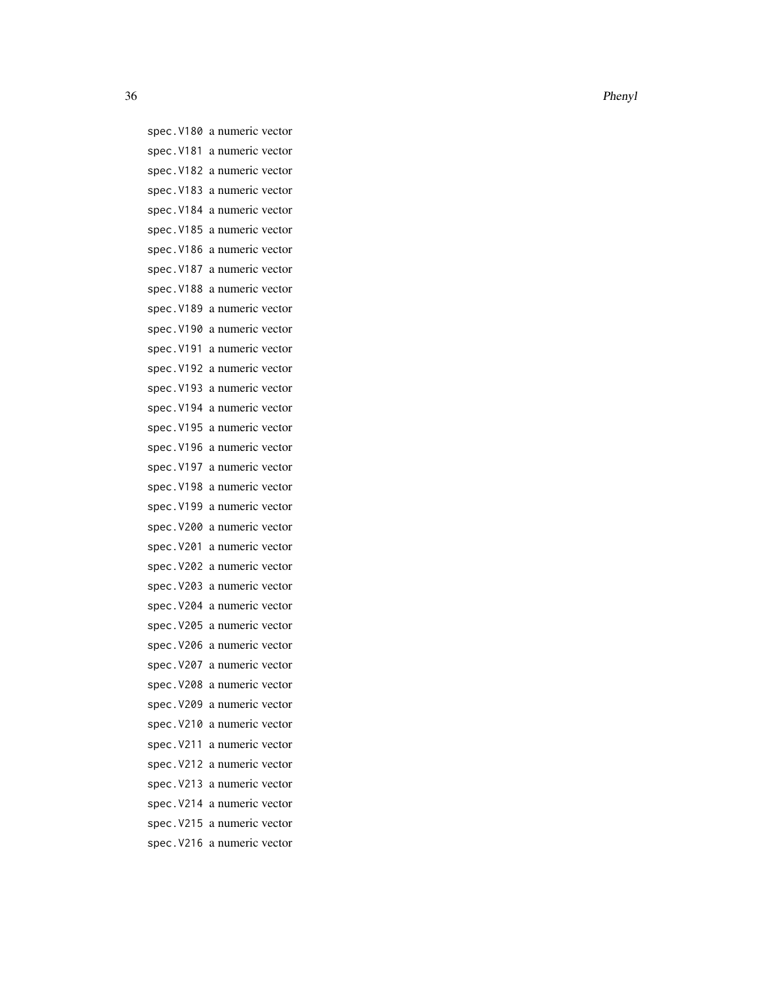spec.V180 a numeric vector spec.V181 a numeric vector spec.V182 a numeric vector spec.V183 a numeric vector spec.V184 a numeric vector spec.V185 a numeric vector spec.V186 a numeric vector spec.V187 a numeric vector spec.V188 a numeric vector spec.V189 a numeric vector spec.V190 a numeric vector spec.V191 a numeric vector spec.V192 a numeric vector spec.V193 a numeric vector spec.V194 a numeric vector spec.V195 a numeric vector spec.V196 a numeric vector spec.V197 a numeric vector spec.V198 a numeric vector spec.V199 a numeric vector spec.V200 a numeric vector spec.V201 a numeric vector spec.V202 a numeric vector spec.V203 a numeric vector spec.V204 a numeric vector spec.V205 a numeric vector spec.V206 a numeric vector spec.V207 a numeric vector spec.V208 a numeric vector spec.V209 a numeric vector spec.V210 a numeric vector spec.V211 a numeric vector spec.V212 a numeric vector spec.V213 a numeric vector spec.V214 a numeric vector spec.V215 a numeric vector spec.V216 a numeric vector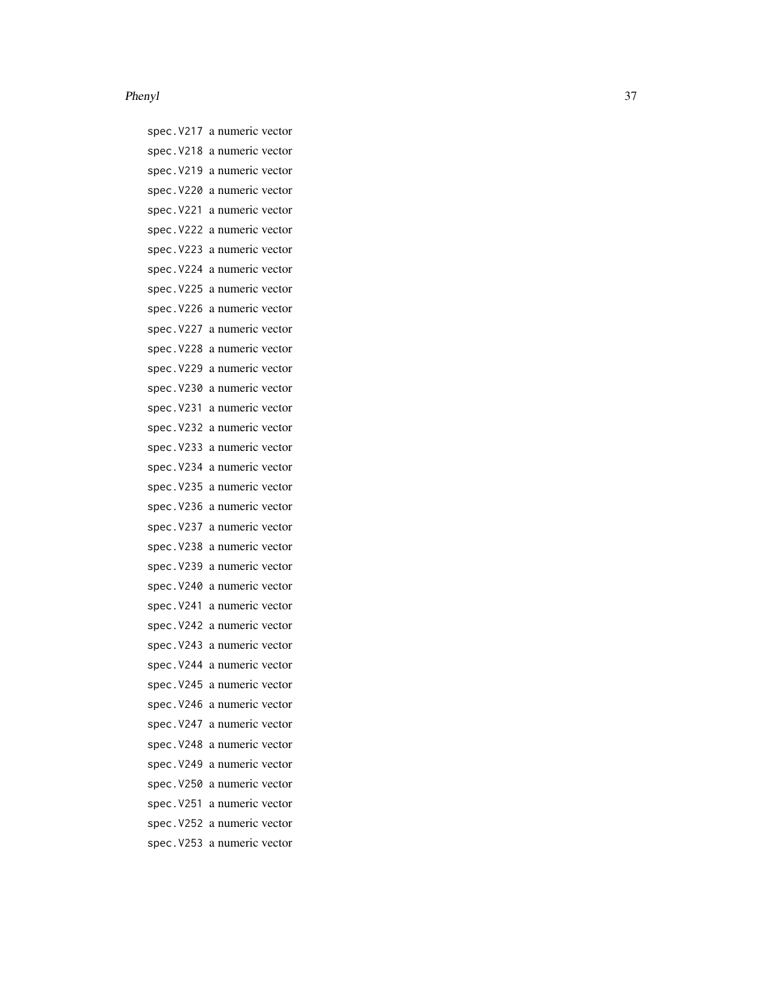spec.V217 a numeric vector spec.V218 a numeric vector spec.V219 a numeric vector spec.V220 a numeric vector spec.V221 a numeric vector spec.V222 a numeric vector spec.V223 a numeric vector spec.V224 a numeric vector spec.V225 a numeric vector spec.V226 a numeric vector spec.V227 a numeric vector spec.V228 a numeric vector spec.V229 a numeric vector spec.V230 a numeric vector spec.V231 a numeric vector spec.V232 a numeric vector spec.V233 a numeric vector spec.V234 a numeric vector spec.V235 a numeric vector spec.V236 a numeric vector spec.V237 a numeric vector spec.V238 a numeric vector spec.V239 a numeric vector spec.V240 a numeric vector spec.V241 a numeric vector spec.V242 a numeric vector spec.V243 a numeric vector spec.V244 a numeric vector spec.V245 a numeric vector spec.V246 a numeric vector spec.V247 a numeric vector spec.V248 a numeric vector spec.V249 a numeric vector spec.V250 a numeric vector spec.V251 a numeric vector spec.V252 a numeric vector spec.V253 a numeric vector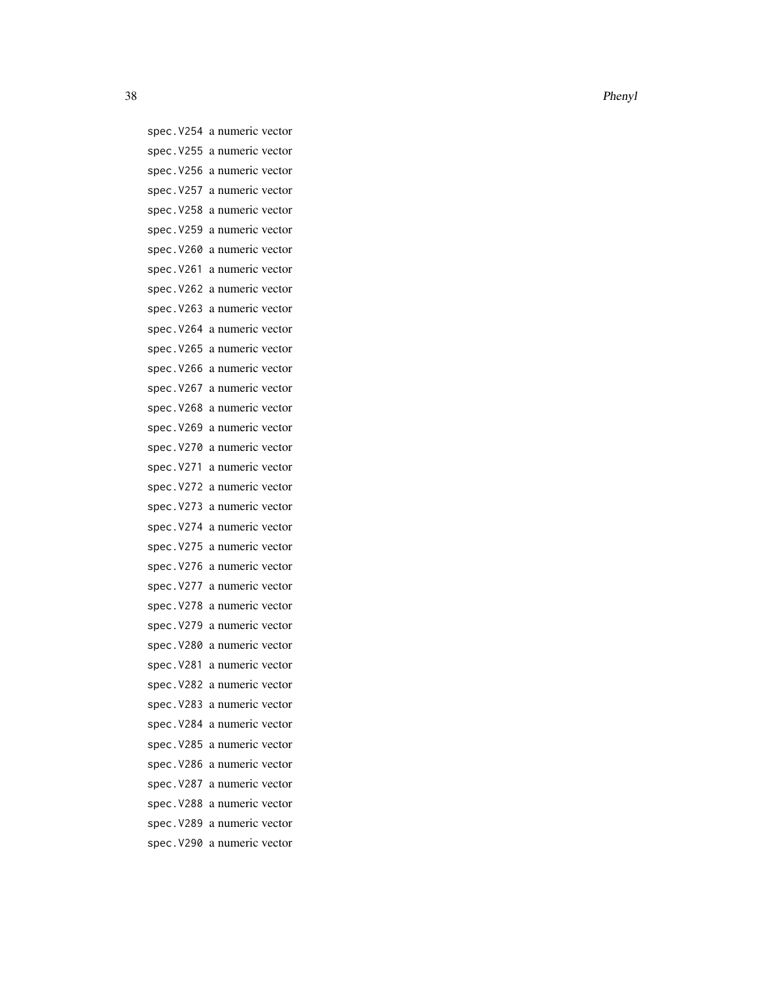spec.V254 a numeric vector spec.V255 a numeric vector spec.V256 a numeric vector spec.V257 a numeric vector spec.V258 a numeric vector spec.V259 a numeric vector spec.V260 a numeric vector spec.V261 a numeric vector spec.V262 a numeric vector spec.V263 a numeric vector spec.V264 a numeric vector spec.V265 a numeric vector spec.V266 a numeric vector spec.V267 a numeric vector spec.V268 a numeric vector spec.V269 a numeric vector spec.V270 a numeric vector spec.V271 a numeric vector spec.V272 a numeric vector spec.V273 a numeric vector spec.V274 a numeric vector spec.V275 a numeric vector spec.V276 a numeric vector spec.V277 a numeric vector spec.V278 a numeric vector spec.V279 a numeric vector spec.V280 a numeric vector spec.V281 a numeric vector spec.V282 a numeric vector spec.V283 a numeric vector spec.V284 a numeric vector spec.V285 a numeric vector spec.V286 a numeric vector spec.V287 a numeric vector spec.V288 a numeric vector spec.V289 a numeric vector spec.V290 a numeric vector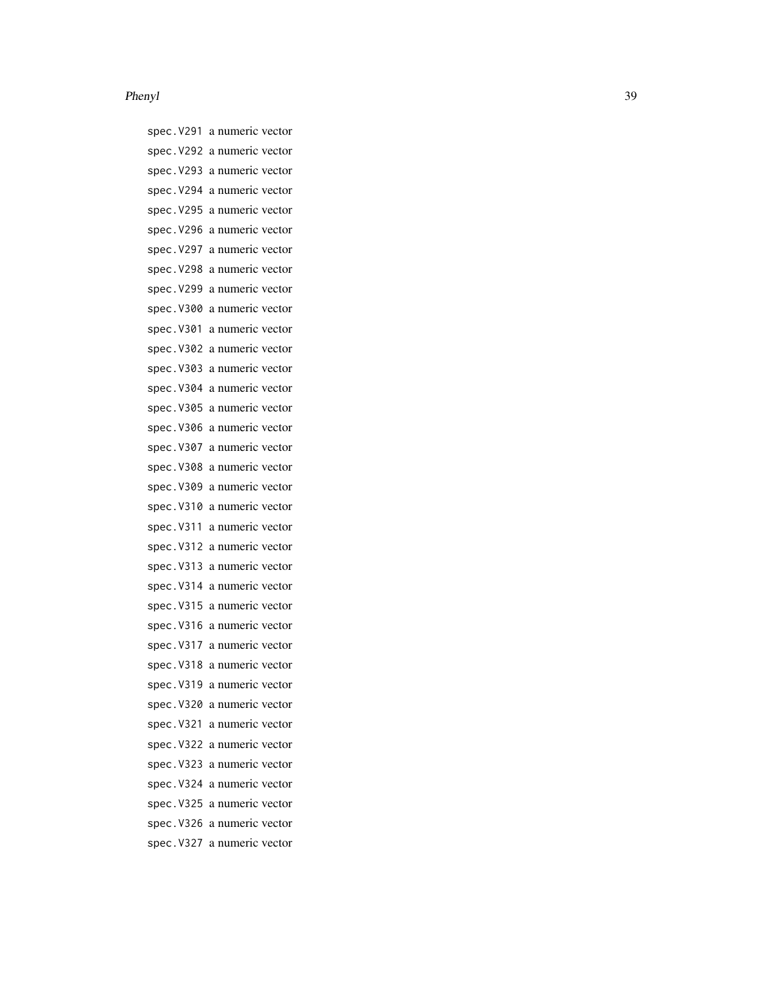spec.V291 a numeric vector spec.V292 a numeric vector spec.V293 a numeric vector spec.V294 a numeric vector spec.V295 a numeric vector spec.V296 a numeric vector spec.V297 a numeric vector spec.V298 a numeric vector spec.V299 a numeric vector spec.V300 a numeric vector spec.V301 a numeric vector spec.V302 a numeric vector spec.V303 a numeric vector spec.V304 a numeric vector spec.V305 a numeric vector spec.V306 a numeric vector spec.V307 a numeric vector spec.V308 a numeric vector spec.V309 a numeric vector spec.V310 a numeric vector spec.V311 a numeric vector spec.V312 a numeric vector spec.V313 a numeric vector spec.V314 a numeric vector spec.V315 a numeric vector spec.V316 a numeric vector spec.V317 a numeric vector spec.V318 a numeric vector spec.V319 a numeric vector spec.V320 a numeric vector spec.V321 a numeric vector spec.V322 a numeric vector spec.V323 a numeric vector spec.V324 a numeric vector spec.V325 a numeric vector spec.V326 a numeric vector spec.V327 a numeric vector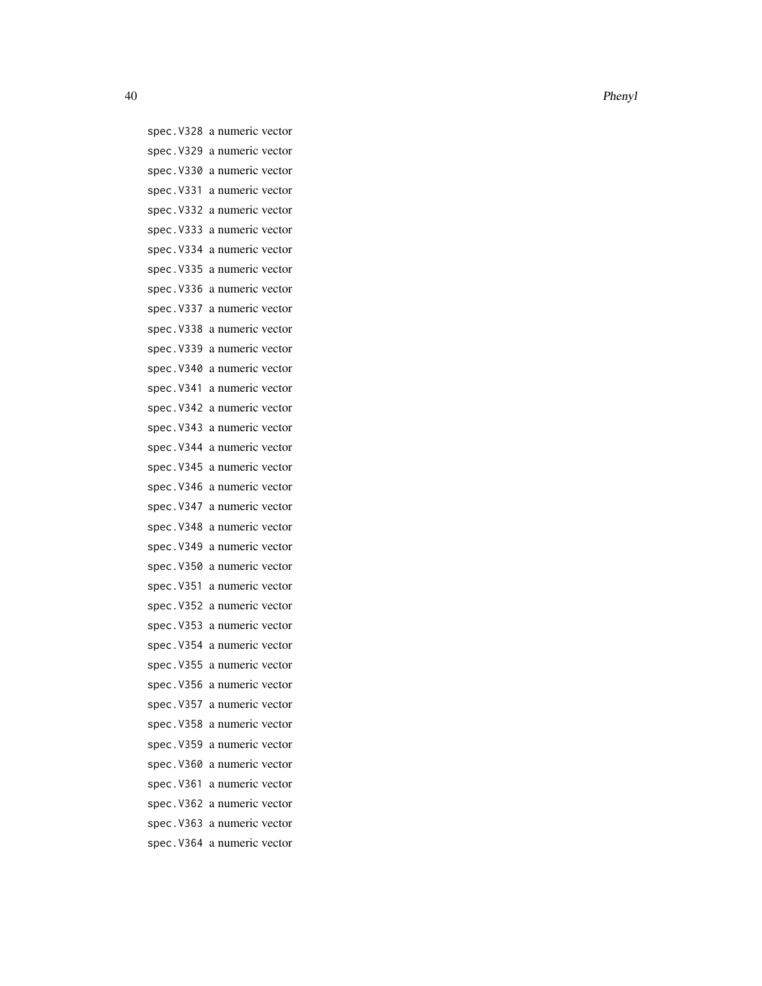spec.V328 a numeric vector spec.V329 a numeric vector spec.V330 a numeric vector spec.V331 a numeric vector spec.V332 a numeric vector spec.V333 a numeric vector spec.V334 a numeric vector spec.V335 a numeric vector spec.V336 a numeric vector spec.V337 a numeric vector spec.V338 a numeric vector spec.V339 a numeric vector spec.V340 a numeric vector spec.V341 a numeric vector spec.V342 a numeric vector spec.V343 a numeric vector spec.V344 a numeric vector spec.V345 a numeric vector spec.V346 a numeric vector spec.V347 a numeric vector spec.V348 a numeric vector spec.V349 a numeric vector spec.V350 a numeric vector spec.V351 a numeric vector spec.V352 a numeric vector spec.V353 a numeric vector spec.V354 a numeric vector spec.V355 a numeric vector spec.V356 a numeric vector spec.V357 a numeric vector spec.V358 a numeric vector spec.V359 a numeric vector spec.V360 a numeric vector spec.V361 a numeric vector spec.V362 a numeric vector spec.V363 a numeric vector spec.V364 a numeric vector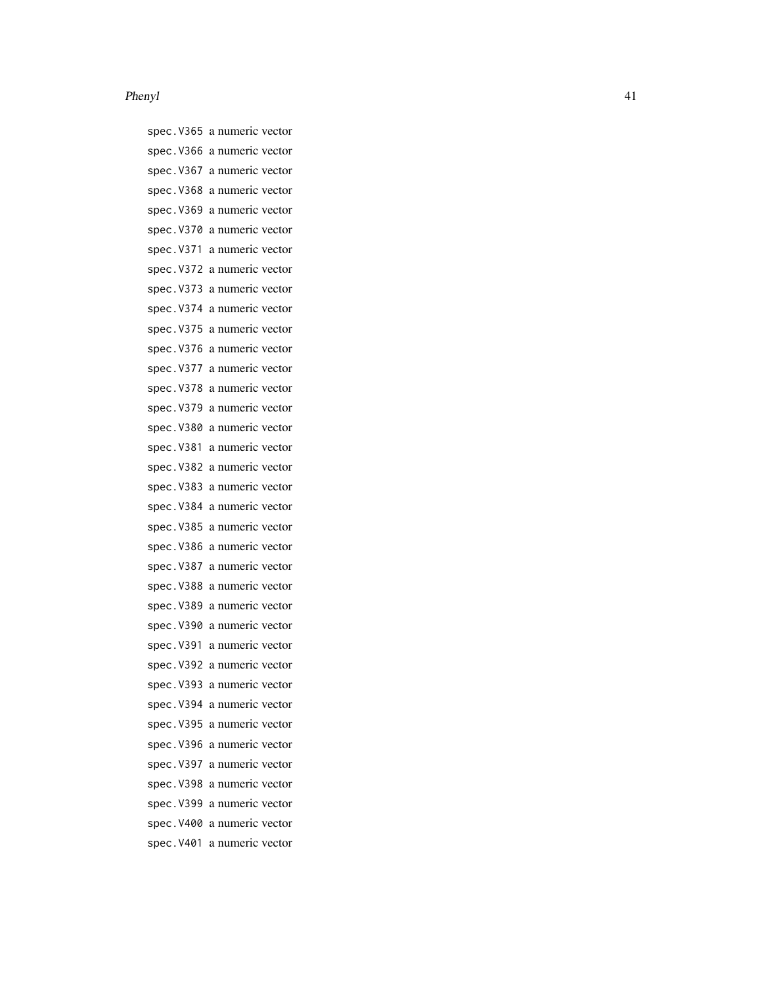spec.V365 a numeric vector spec.V366 a numeric vector spec.V367 a numeric vector spec.V368 a numeric vector spec.V369 a numeric vector spec.V370 a numeric vector spec.V371 a numeric vector spec.V372 a numeric vector spec.V373 a numeric vector spec.V374 a numeric vector spec.V375 a numeric vector spec.V376 a numeric vector spec.V377 a numeric vector spec.V378 a numeric vector spec.V379 a numeric vector spec.V380 a numeric vector spec.V381 a numeric vector spec.V382 a numeric vector spec.V383 a numeric vector spec.V384 a numeric vector spec.V385 a numeric vector spec.V386 a numeric vector spec.V387 a numeric vector spec.V388 a numeric vector spec.V389 a numeric vector spec.V390 a numeric vector spec.V391 a numeric vector spec.V392 a numeric vector spec.V393 a numeric vector spec.V394 a numeric vector spec.V395 a numeric vector spec.V396 a numeric vector spec.V397 a numeric vector spec.V398 a numeric vector spec.V399 a numeric vector spec.V400 a numeric vector spec.V401 a numeric vector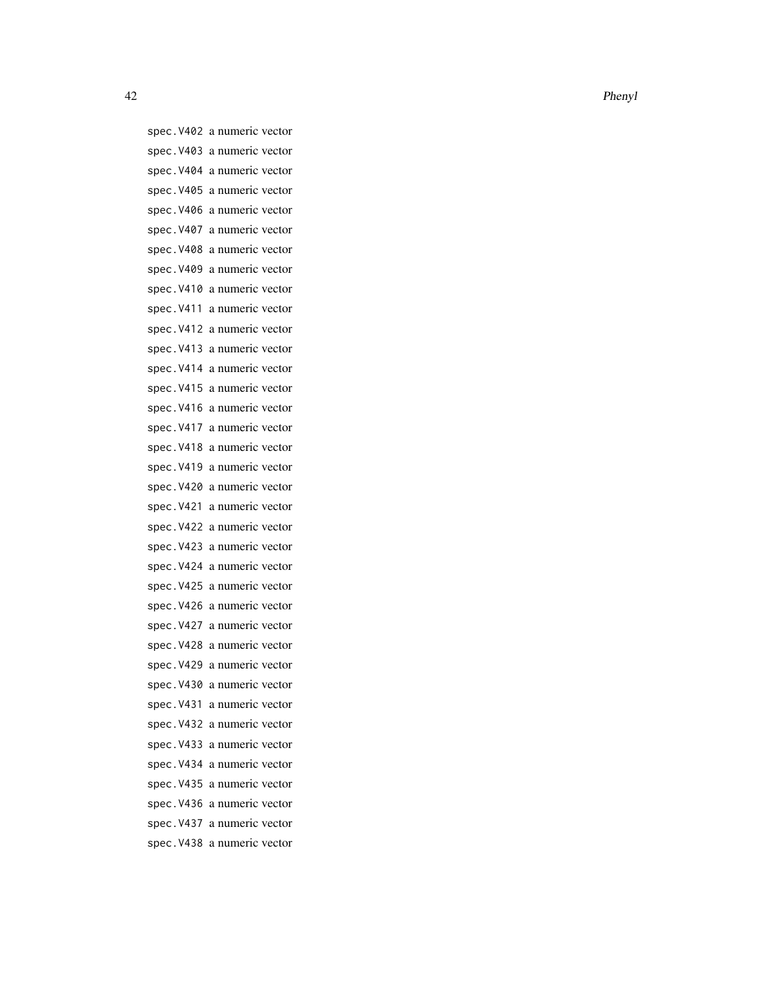spec.V402 a numeric vector spec.V403 a numeric vector spec.V404 a numeric vector spec.V405 a numeric vector spec.V406 a numeric vector spec.V407 a numeric vector spec.V408 a numeric vector spec.V409 a numeric vector spec.V410 a numeric vector spec.V411 a numeric vector spec.V412 a numeric vector spec.V413 a numeric vector spec.V414 a numeric vector spec.V415 a numeric vector spec.V416 a numeric vector spec.V417 a numeric vector spec.V418 a numeric vector spec.V419 a numeric vector spec.V420 a numeric vector spec.V421 a numeric vector spec.V422 a numeric vector spec.V423 a numeric vector spec.V424 a numeric vector spec.V425 a numeric vector spec.V426 a numeric vector spec.V427 a numeric vector spec.V428 a numeric vector spec.V429 a numeric vector spec.V430 a numeric vector spec.V431 a numeric vector spec.V432 a numeric vector spec.V433 a numeric vector spec.V434 a numeric vector spec.V435 a numeric vector spec.V436 a numeric vector spec.V437 a numeric vector spec.V438 a numeric vector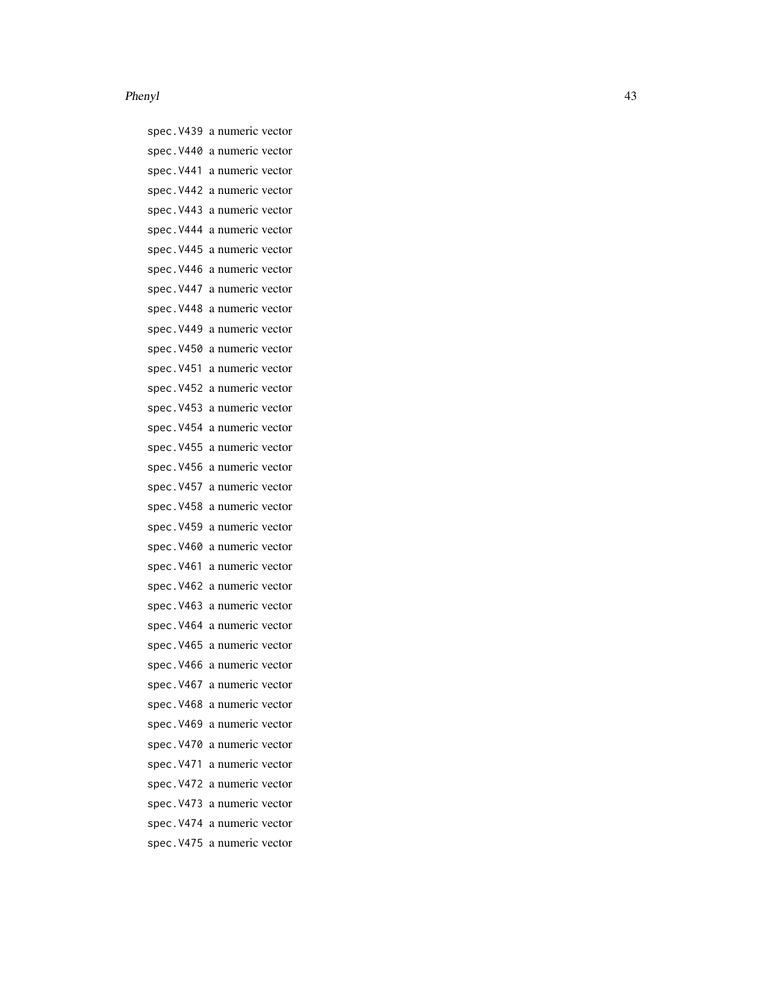#### Phenyl and the set of the set of the set of the set of the set of the set of the set of the set of the set of the set of the set of the set of the set of the set of the set of the set of the set of the set of the set of th

spec.V439 a numeric vector spec.V440 a numeric vector spec.V441 a numeric vector spec.V442 a numeric vector spec.V443 a numeric vector spec.V444 a numeric vector spec.V445 a numeric vector spec.V446 a numeric vector spec.V447 a numeric vector spec.V448 a numeric vector spec.V449 a numeric vector spec.V450 a numeric vector spec.V451 a numeric vector spec.V452 a numeric vector spec.V453 a numeric vector spec.V454 a numeric vector spec.V455 a numeric vector spec.V456 a numeric vector spec.V457 a numeric vector spec.V458 a numeric vector spec.V459 a numeric vector spec.V460 a numeric vector spec.V461 a numeric vector spec.V462 a numeric vector spec.V463 a numeric vector spec.V464 a numeric vector spec.V465 a numeric vector spec.V466 a numeric vector spec.V467 a numeric vector spec.V468 a numeric vector spec.V469 a numeric vector spec.V470 a numeric vector spec.V471 a numeric vector spec.V472 a numeric vector spec.V473 a numeric vector spec.V474 a numeric vector spec.V475 a numeric vector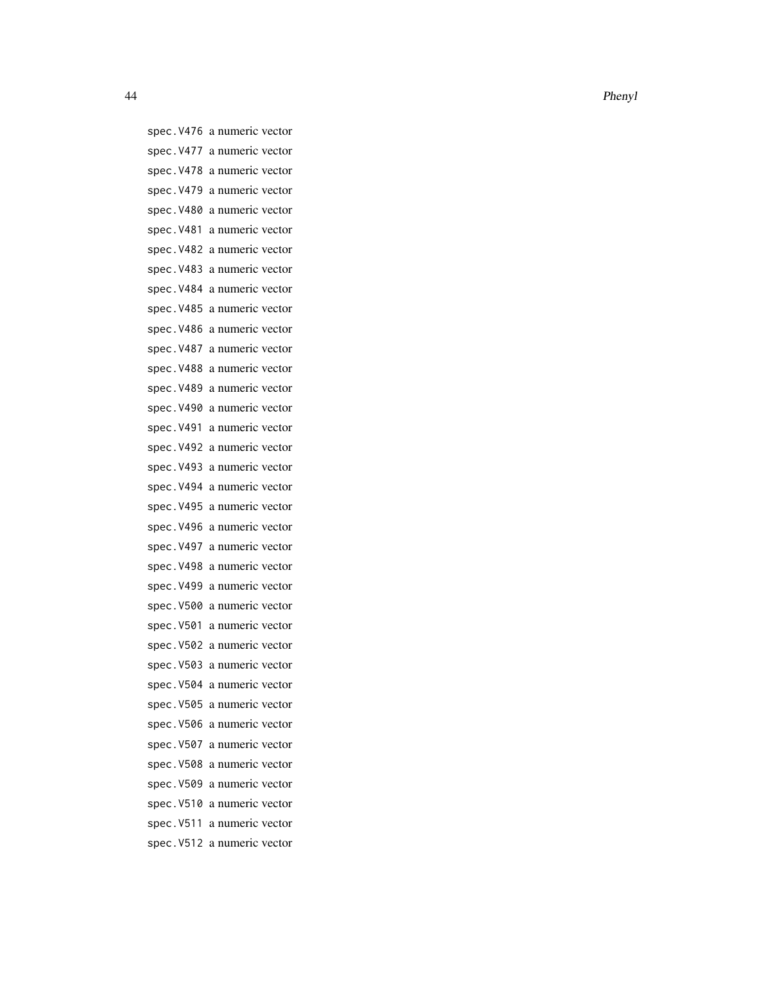spec.V476 a numeric vector spec.V477 a numeric vector spec.V478 a numeric vector spec.V479 a numeric vector spec.V480 a numeric vector spec.V481 a numeric vector spec.V482 a numeric vector spec.V483 a numeric vector spec.V484 a numeric vector spec.V485 a numeric vector spec.V486 a numeric vector spec.V487 a numeric vector spec.V488 a numeric vector spec.V489 a numeric vector spec.V490 a numeric vector spec.V491 a numeric vector spec.V492 a numeric vector spec.V493 a numeric vector spec.V494 a numeric vector spec.V495 a numeric vector spec.V496 a numeric vector spec.V497 a numeric vector spec.V498 a numeric vector spec.V499 a numeric vector spec.V500 a numeric vector spec.V501 a numeric vector spec.V502 a numeric vector spec.V503 a numeric vector spec.V504 a numeric vector spec.V505 a numeric vector spec.V506 a numeric vector spec.V507 a numeric vector spec.V508 a numeric vector spec.V509 a numeric vector spec.V510 a numeric vector spec.V511 a numeric vector spec.V512 a numeric vector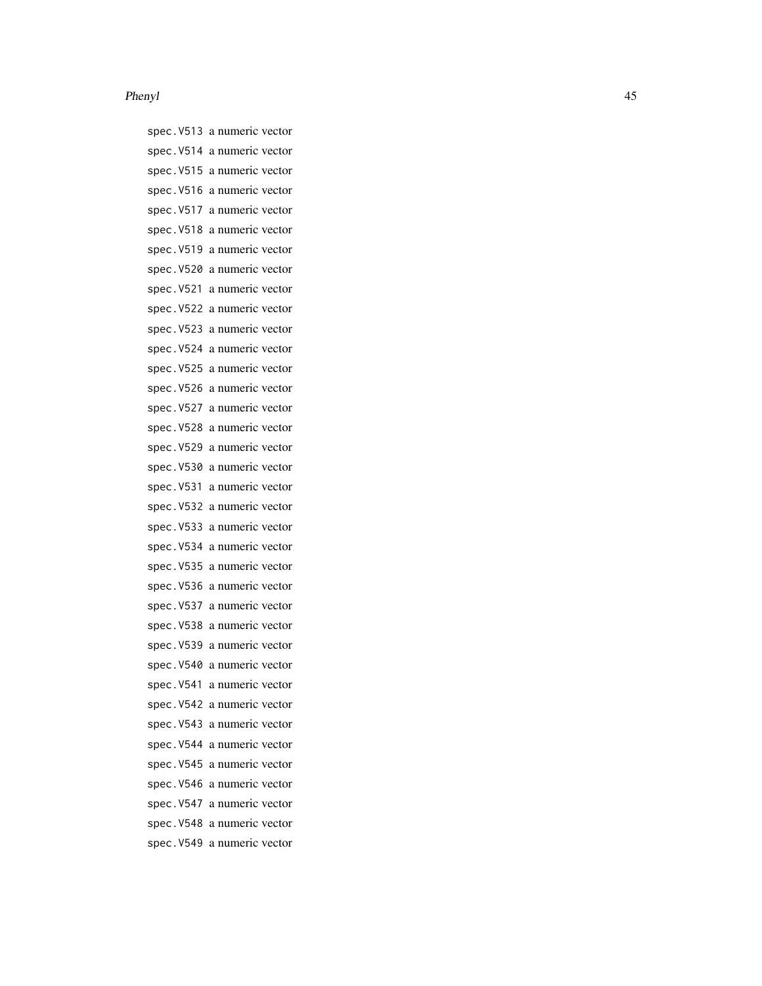#### Phenyl and the set of the set of the set of the set of the set of the set of the set of the set of the set of the set of the set of the set of the set of the set of the set of the set of the set of the set of the set of th

spec.V513 a numeric vector spec.V514 a numeric vector spec.V515 a numeric vector spec.V516 a numeric vector spec.V517 a numeric vector spec.V518 a numeric vector spec.V519 a numeric vector spec.V520 a numeric vector spec.V521 a numeric vector spec.V522 a numeric vector spec.V523 a numeric vector spec.V524 a numeric vector spec.V525 a numeric vector spec.V526 a numeric vector spec.V527 a numeric vector spec.V528 a numeric vector spec.V529 a numeric vector spec.V530 a numeric vector spec.V531 a numeric vector spec.V532 a numeric vector spec.V533 a numeric vector spec.V534 a numeric vector spec.V535 a numeric vector spec.V536 a numeric vector spec.V537 a numeric vector spec.V538 a numeric vector spec.V539 a numeric vector spec.V540 a numeric vector spec.V541 a numeric vector spec.V542 a numeric vector spec.V543 a numeric vector spec.V544 a numeric vector spec.V545 a numeric vector spec.V546 a numeric vector spec.V547 a numeric vector spec.V548 a numeric vector spec.V549 a numeric vector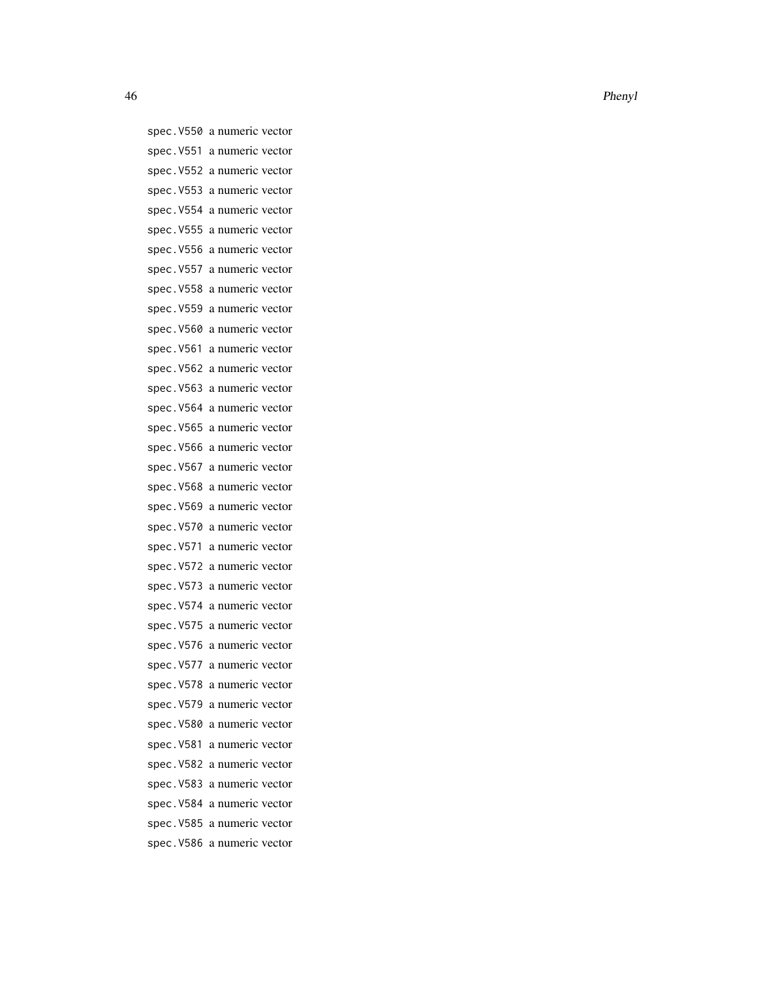spec.V550 a numeric vector spec.V551 a numeric vector spec.V552 a numeric vector spec.V553 a numeric vector spec.V554 a numeric vector spec.V555 a numeric vector spec.V556 a numeric vector spec.V557 a numeric vector spec.V558 a numeric vector spec.V559 a numeric vector spec.V560 a numeric vector spec.V561 a numeric vector spec.V562 a numeric vector spec.V563 a numeric vector spec.V564 a numeric vector spec.V565 a numeric vector spec.V566 a numeric vector spec.V567 a numeric vector spec.V568 a numeric vector spec.V569 a numeric vector spec.V570 a numeric vector spec.V571 a numeric vector spec.V572 a numeric vector spec.V573 a numeric vector spec.V574 a numeric vector spec.V575 a numeric vector spec.V576 a numeric vector spec.V577 a numeric vector spec.V578 a numeric vector spec.V579 a numeric vector spec.V580 a numeric vector spec.V581 a numeric vector spec.V582 a numeric vector spec.V583 a numeric vector spec.V584 a numeric vector spec.V585 a numeric vector spec.V586 a numeric vector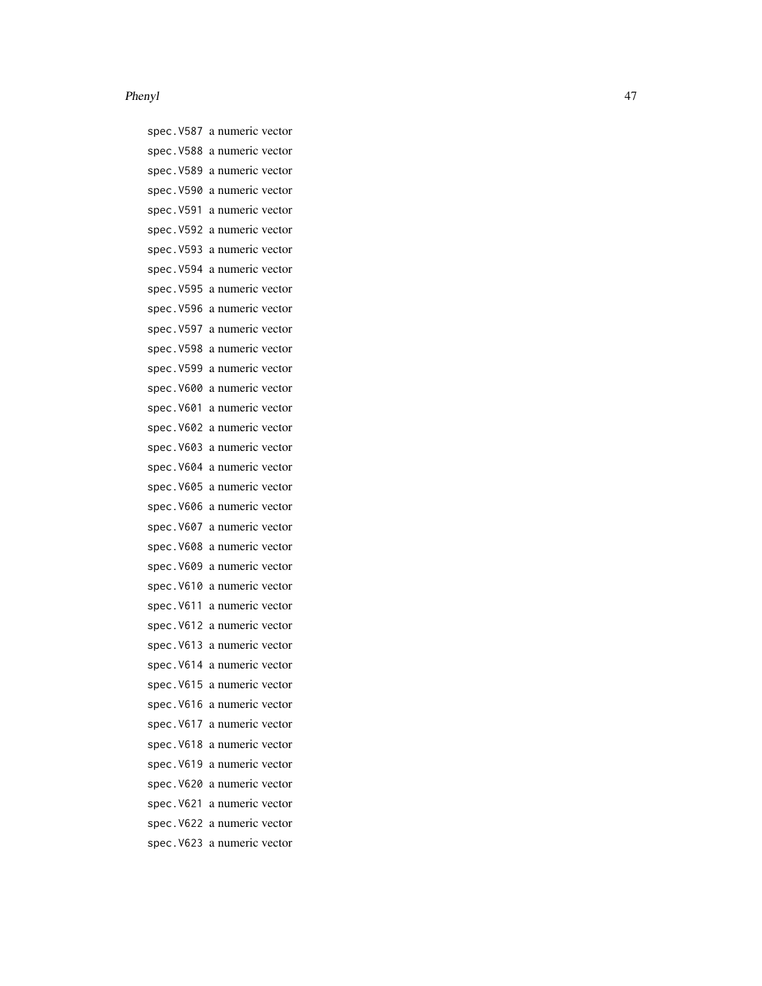#### Phenyl and the set of the set of the set of the set of the set of the set of the set of the set of the set of the set of the set of the set of the set of the set of the set of the set of the set of the set of the set of th

spec.V587 a numeric vector spec.V588 a numeric vector spec.V589 a numeric vector spec.V590 a numeric vector spec.V591 a numeric vector spec.V592 a numeric vector spec.V593 a numeric vector spec.V594 a numeric vector spec.V595 a numeric vector spec.V596 a numeric vector spec.V597 a numeric vector spec.V598 a numeric vector spec.V599 a numeric vector spec.V600 a numeric vector spec.V601 a numeric vector spec.V602 a numeric vector spec.V603 a numeric vector spec.V604 a numeric vector spec.V605 a numeric vector spec.V606 a numeric vector spec.V607 a numeric vector spec.V608 a numeric vector spec.V609 a numeric vector spec.V610 a numeric vector spec.V611 a numeric vector spec.V612 a numeric vector spec.V613 a numeric vector spec.V614 a numeric vector spec.V615 a numeric vector spec.V616 a numeric vector spec.V617 a numeric vector spec.V618 a numeric vector spec.V619 a numeric vector spec.V620 a numeric vector spec.V621 a numeric vector spec.V622 a numeric vector spec.V623 a numeric vector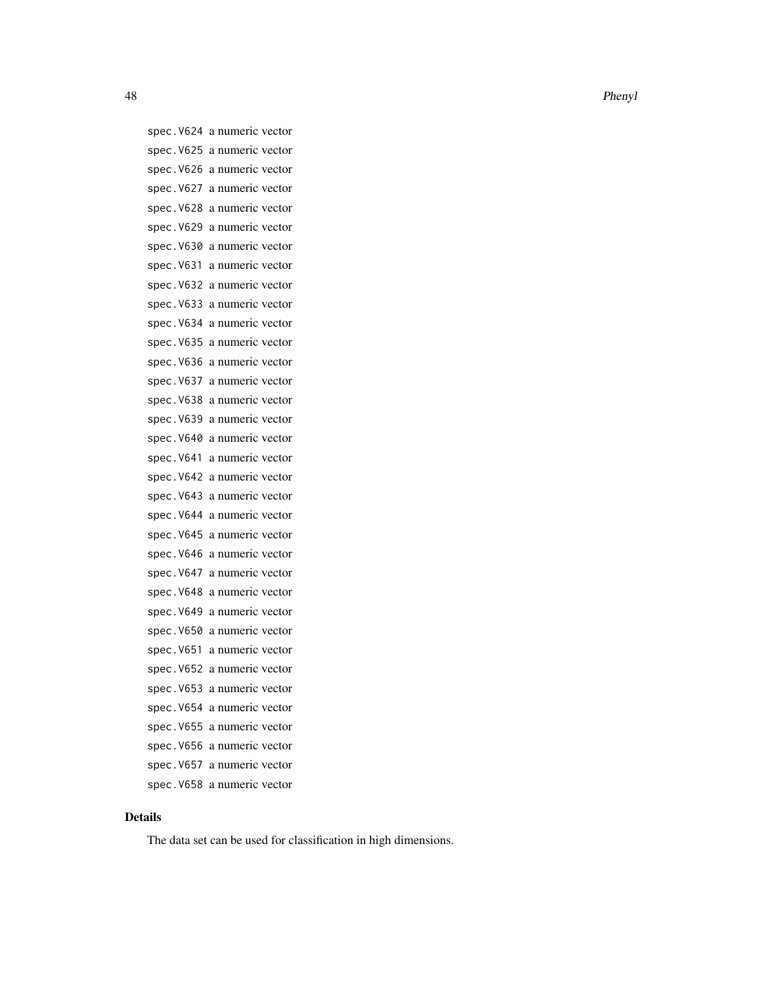spec.V624 a numeric vector spec.V625 a numeric vector spec.V626 a numeric vector spec.V627 a numeric vector spec.V628 a numeric vector spec.V629 a numeric vector spec.V630 a numeric vector spec.V631 a numeric vector spec.V632 a numeric vector spec.V633 a numeric vector spec.V634 a numeric vector spec.V635 a numeric vector spec.V636 a numeric vector spec.V637 a numeric vector spec.V638 a numeric vector spec.V639 a numeric vector spec.V640 a numeric vector spec.V641 a numeric vector spec.V642 a numeric vector spec.V643 a numeric vector spec.V644 a numeric vector spec.V645 a numeric vector spec.V646 a numeric vector spec.V647 a numeric vector spec.V648 a numeric vector spec.V649 a numeric vector spec.V650 a numeric vector spec.V651 a numeric vector spec.V652 a numeric vector spec.V653 a numeric vector spec.V654 a numeric vector spec.V655 a numeric vector spec.V656 a numeric vector spec.V657 a numeric vector spec.V658 a numeric vector

# Details

The data set can be used for classification in high dimensions.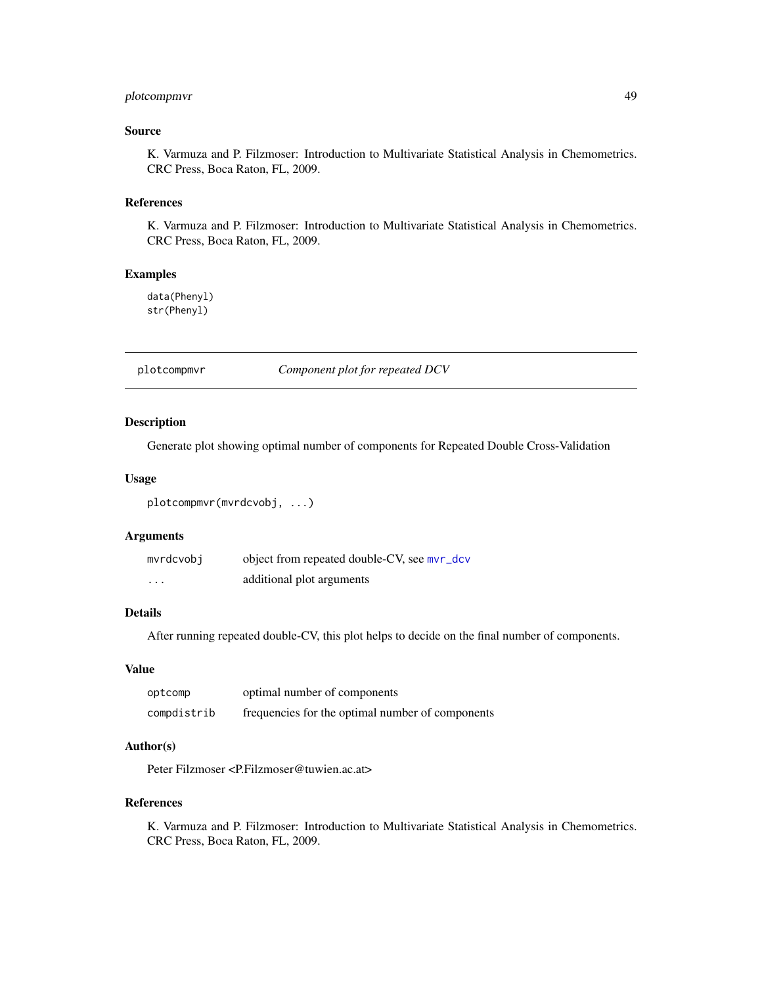# plotcompmvr 49

# Source

K. Varmuza and P. Filzmoser: Introduction to Multivariate Statistical Analysis in Chemometrics. CRC Press, Boca Raton, FL, 2009.

## References

K. Varmuza and P. Filzmoser: Introduction to Multivariate Statistical Analysis in Chemometrics. CRC Press, Boca Raton, FL, 2009.

# Examples

data(Phenyl) str(Phenyl)

plotcompmvr *Component plot for repeated DCV*

## Description

Generate plot showing optimal number of components for Repeated Double Cross-Validation

## Usage

```
plotcompmvr(mvrdcvobj, ...)
```
#### Arguments

| mvrdcvobi | object from repeated double-CV, see mvr_dcv |
|-----------|---------------------------------------------|
| $\cdots$  | additional plot arguments                   |

# Details

After running repeated double-CV, this plot helps to decide on the final number of components.

#### Value

| optcomp     | optimal number of components                     |
|-------------|--------------------------------------------------|
| compdistrib | frequencies for the optimal number of components |

# Author(s)

Peter Filzmoser <P.Filzmoser@tuwien.ac.at>

## References

K. Varmuza and P. Filzmoser: Introduction to Multivariate Statistical Analysis in Chemometrics. CRC Press, Boca Raton, FL, 2009.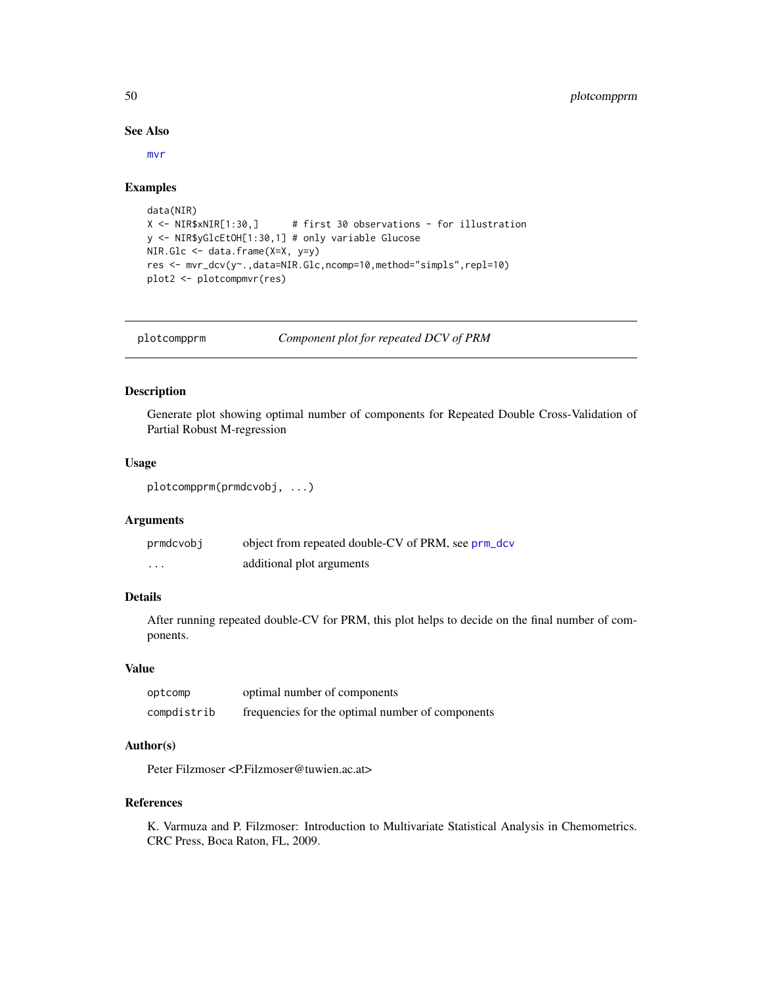## See Also

[mvr](#page-0-0)

#### Examples

```
data(NIR)
X <- NIR$xNIR[1:30,] # first 30 observations - for illustration
y <- NIR$yGlcEtOH[1:30,1] # only variable Glucose
NIR.Glc <- data.frame(X=X, y=y)
res <- mvr_dcv(y~.,data=NIR.Glc,ncomp=10,method="simpls",repl=10)
plot2 <- plotcompmvr(res)
```
plotcompprm *Component plot for repeated DCV of PRM*

# Description

Generate plot showing optimal number of components for Repeated Double Cross-Validation of Partial Robust M-regression

## Usage

```
plotcompprm(prmdcvobj, ...)
```
# Arguments

| prmdcvobj         | object from repeated double-CV of PRM, see prm_dcv |
|-------------------|----------------------------------------------------|
| $\cdot\cdot\cdot$ | additional plot arguments                          |

## Details

After running repeated double-CV for PRM, this plot helps to decide on the final number of components.

#### Value

| optcomp     | optimal number of components                     |
|-------------|--------------------------------------------------|
| compdistrib | frequencies for the optimal number of components |

# Author(s)

Peter Filzmoser <P.Filzmoser@tuwien.ac.at>

# References

K. Varmuza and P. Filzmoser: Introduction to Multivariate Statistical Analysis in Chemometrics. CRC Press, Boca Raton, FL, 2009.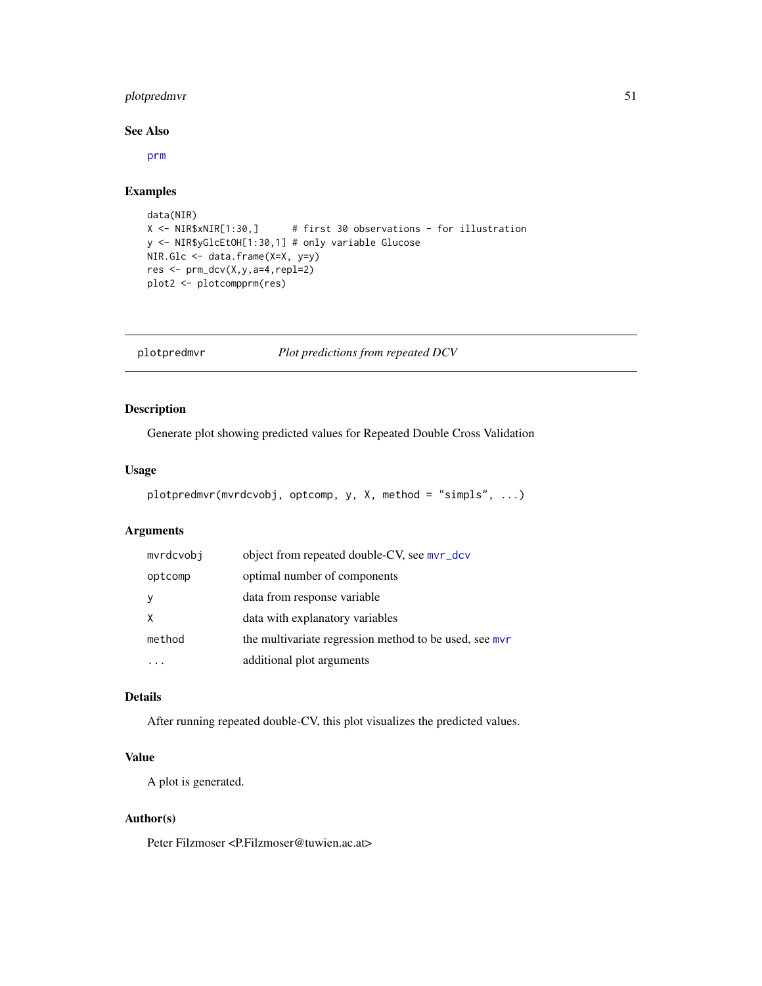# plotpredmvr 51

## See Also

[prm](#page-63-0)

# Examples

```
data(NIR)
X <- NIR$xNIR[1:30,] # first 30 observations - for illustration
y <- NIR$yGlcEtOH[1:30,1] # only variable Glucose
NIR.Glc <- data.frame(X=X, y=y)
res <- prm_dcv(X,y,a=4,repl=2)
plot2 <- plotcompprm(res)
```
plotpredmvr *Plot predictions from repeated DCV*

# Description

Generate plot showing predicted values for Repeated Double Cross Validation

## Usage

```
plotpredmvr(mvrdcvobj, optcomp, y, X, method = "simpls", ...)
```
## Arguments

| mvrdcvobi | object from repeated double-CV, see mvr_dcv            |
|-----------|--------------------------------------------------------|
| optcomp   | optimal number of components                           |
| y         | data from response variable                            |
| X         | data with explanatory variables                        |
| method    | the multivariate regression method to be used, see mvr |
|           | additional plot arguments                              |

# Details

After running repeated double-CV, this plot visualizes the predicted values.

# Value

A plot is generated.

## Author(s)

Peter Filzmoser <P.Filzmoser@tuwien.ac.at>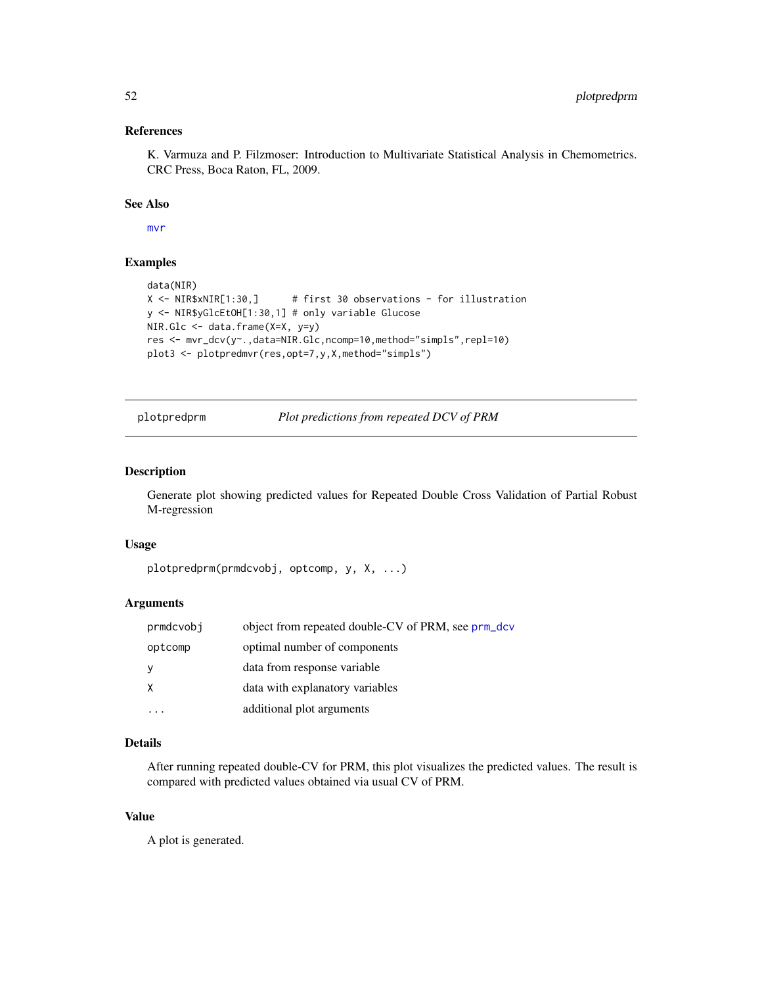# References

K. Varmuza and P. Filzmoser: Introduction to Multivariate Statistical Analysis in Chemometrics. CRC Press, Boca Raton, FL, 2009.

## See Also

[mvr](#page-0-0)

## Examples

```
data(NIR)
X <- NIR$xNIR[1:30,] # first 30 observations - for illustration
y <- NIR$yGlcEtOH[1:30,1] # only variable Glucose
NIR.Glc <- data.frame(X=X, y=y)
res <- mvr_dcv(y~.,data=NIR.Glc,ncomp=10,method="simpls",repl=10)
plot3 <- plotpredmvr(res,opt=7,y,X,method="simpls")
```
plotpredprm *Plot predictions from repeated DCV of PRM*

## Description

Generate plot showing predicted values for Repeated Double Cross Validation of Partial Robust M-regression

#### Usage

```
plotpredprm(prmdcvobj, optcomp, y, X, ...)
```
# Arguments

| prmdcvobj | object from repeated double-CV of PRM, see prm_dcv |
|-----------|----------------------------------------------------|
| optcomp   | optimal number of components                       |
| у         | data from response variable                        |
| Χ         | data with explanatory variables                    |
|           | additional plot arguments                          |

## Details

After running repeated double-CV for PRM, this plot visualizes the predicted values. The result is compared with predicted values obtained via usual CV of PRM.

# Value

A plot is generated.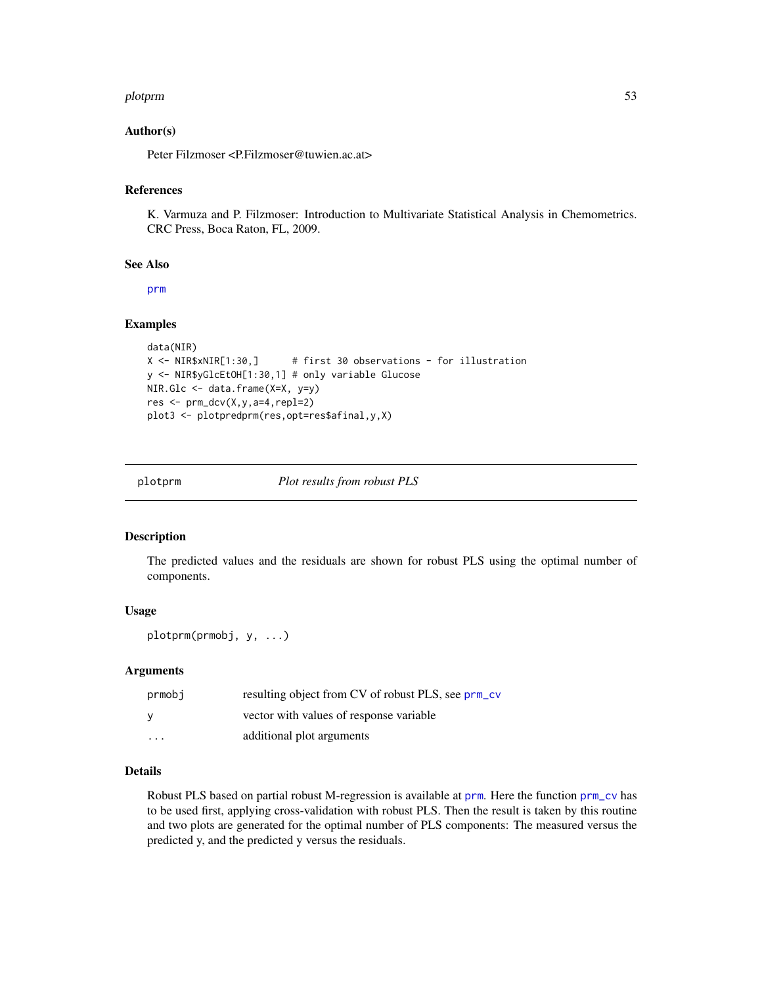#### plotprm 53

## Author(s)

Peter Filzmoser <P.Filzmoser@tuwien.ac.at>

#### References

K. Varmuza and P. Filzmoser: Introduction to Multivariate Statistical Analysis in Chemometrics. CRC Press, Boca Raton, FL, 2009.

#### See Also

[prm](#page-63-0)

# Examples

```
data(NIR)
X <- NIR$xNIR[1:30,] # first 30 observations - for illustration
y <- NIR$yGlcEtOH[1:30,1] # only variable Glucose
NIR.Glc <- data.frame(X=X, y=y)
res <- prm_dcv(X,y,a=4,repl=2)
plot3 <- plotpredprm(res,opt=res$afinal,y,X)
```
plotprm *Plot results from robust PLS*

## Description

The predicted values and the residuals are shown for robust PLS using the optimal number of components.

#### Usage

plotprm(prmobj, y, ...)

## Arguments

| prmobj                  | resulting object from CV of robust PLS, see prm_cv |
|-------------------------|----------------------------------------------------|
| ۷                       | vector with values of response variable            |
| $\cdot$ $\cdot$ $\cdot$ | additional plot arguments                          |

#### Details

Robust PLS based on partial robust M-regression is available at [prm](#page-63-0). Here the function [prm\\_cv](#page-65-0) has to be used first, applying cross-validation with robust PLS. Then the result is taken by this routine and two plots are generated for the optimal number of PLS components: The measured versus the predicted y, and the predicted y versus the residuals.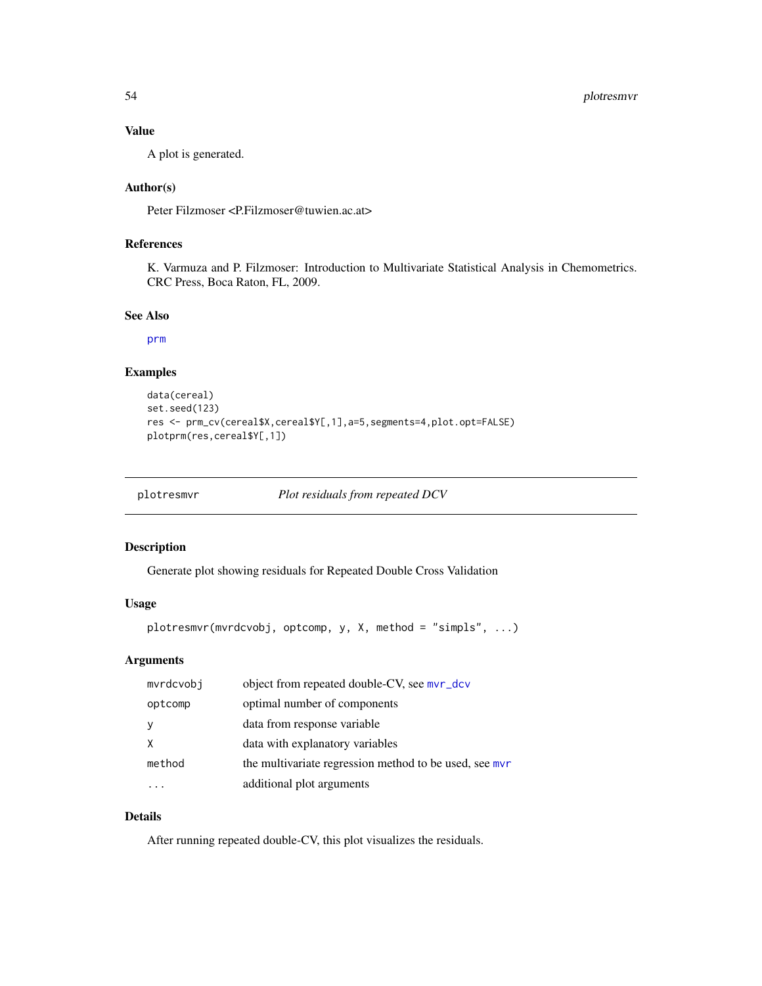# Value

A plot is generated.

## Author(s)

Peter Filzmoser <P.Filzmoser@tuwien.ac.at>

# References

K. Varmuza and P. Filzmoser: Introduction to Multivariate Statistical Analysis in Chemometrics. CRC Press, Boca Raton, FL, 2009.

## See Also

[prm](#page-63-0)

## Examples

```
data(cereal)
set.seed(123)
res <- prm_cv(cereal$X,cereal$Y[,1],a=5,segments=4,plot.opt=FALSE)
plotprm(res,cereal$Y[,1])
```

| plotresmvr | Plot residuals from repeated DCV |  |
|------------|----------------------------------|--|
|            |                                  |  |

# Description

Generate plot showing residuals for Repeated Double Cross Validation

## Usage

```
plotresmvr(mvrdcvobj, optcomp, y, X, method = "simpls", ...)
```
# Arguments

| mvrdcvobj | object from repeated double-CV, see mvr_dcv            |
|-----------|--------------------------------------------------------|
| optcomp   | optimal number of components                           |
|           | data from response variable                            |
| X         | data with explanatory variables                        |
| method    | the multivariate regression method to be used, see mvr |
|           | additional plot arguments                              |

# Details

After running repeated double-CV, this plot visualizes the residuals.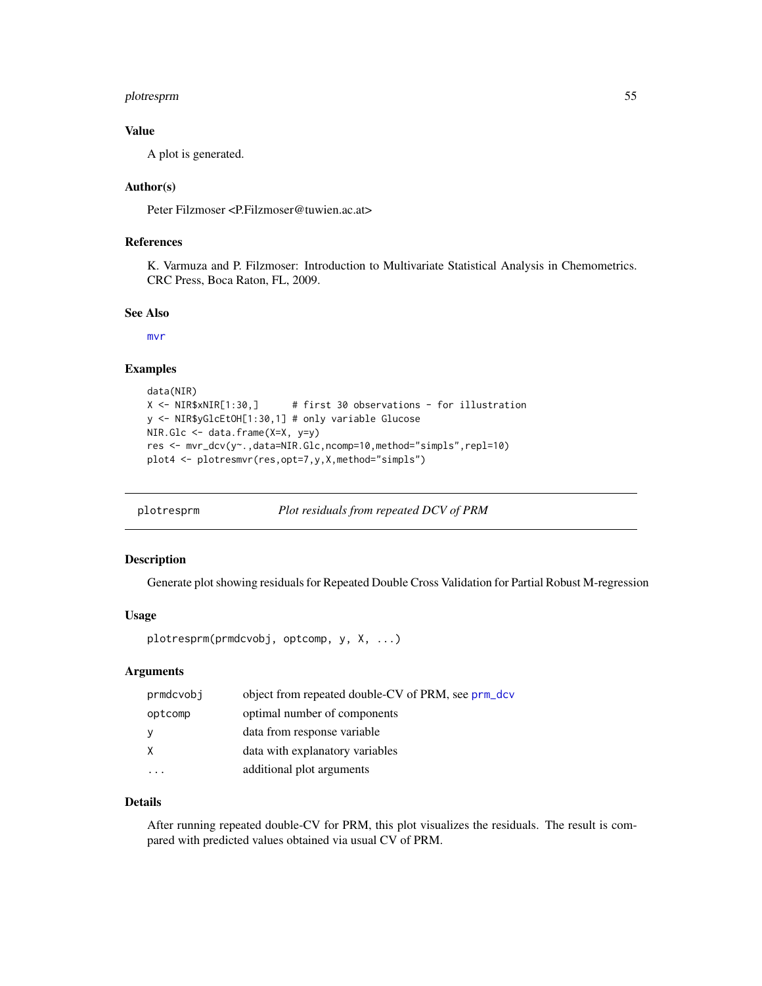# plotresprm 55

## Value

A plot is generated.

## Author(s)

Peter Filzmoser <P.Filzmoser@tuwien.ac.at>

## References

K. Varmuza and P. Filzmoser: Introduction to Multivariate Statistical Analysis in Chemometrics. CRC Press, Boca Raton, FL, 2009.

## See Also

[mvr](#page-0-0)

# Examples

```
data(NIR)
X <- NIR$xNIR[1:30,] # first 30 observations - for illustration
y <- NIR$yGlcEtOH[1:30,1] # only variable Glucose
NIR.Glc <- data.frame(X=X, y=y)
res <- mvr_dcv(y~.,data=NIR.Glc,ncomp=10,method="simpls",repl=10)
plot4 <- plotresmvr(res,opt=7,y,X,method="simpls")
```

| plotresprm | Plot residuals from repeated DCV of PRM |  |
|------------|-----------------------------------------|--|
|            |                                         |  |

# Description

Generate plot showing residuals for Repeated Double Cross Validation for Partial Robust M-regression

# Usage

plotresprm(prmdcvobj, optcomp, y, X, ...)

# Arguments

| prmdcvobj | object from repeated double-CV of PRM, see prm_dcv |
|-----------|----------------------------------------------------|
| optcomp   | optimal number of components                       |
| - y       | data from response variable                        |
|           | data with explanatory variables                    |
|           | additional plot arguments                          |

# Details

After running repeated double-CV for PRM, this plot visualizes the residuals. The result is compared with predicted values obtained via usual CV of PRM.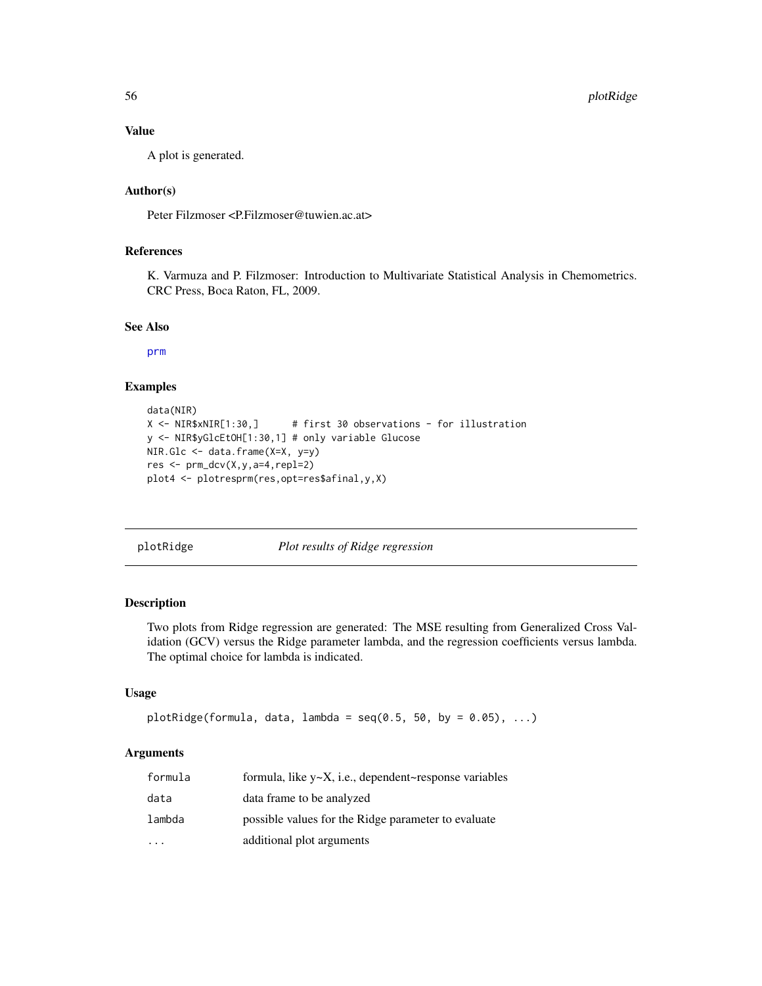56 plotRidge

## Value

A plot is generated.

# Author(s)

Peter Filzmoser <P.Filzmoser@tuwien.ac.at>

# References

K. Varmuza and P. Filzmoser: Introduction to Multivariate Statistical Analysis in Chemometrics. CRC Press, Boca Raton, FL, 2009.

# See Also

[prm](#page-63-0)

## Examples

```
data(NIR)
X <- NIR$xNIR[1:30,] # first 30 observations - for illustration
y <- NIR$yGlcEtOH[1:30,1] # only variable Glucose
NIR.Glc <- data.frame(X=X, y=y)
res <- prm_dcv(X,y,a=4,repl=2)
plot4 <- plotresprm(res,opt=res$afinal,y,X)
```
<span id="page-55-0"></span>plotRidge *Plot results of Ridge regression*

# Description

Two plots from Ridge regression are generated: The MSE resulting from Generalized Cross Validation (GCV) versus the Ridge parameter lambda, and the regression coefficients versus lambda. The optimal choice for lambda is indicated.

# Usage

```
plotRidge(formula, data, lambda = seq(0.5, 50, by = 0.05), ...)
```
## Arguments

| formula   | formula, like $y \sim X$ , i.e., dependent~response variables |
|-----------|---------------------------------------------------------------|
| data      | data frame to be analyzed                                     |
| lambda    | possible values for the Ridge parameter to evaluate           |
| $\ddotsc$ | additional plot arguments                                     |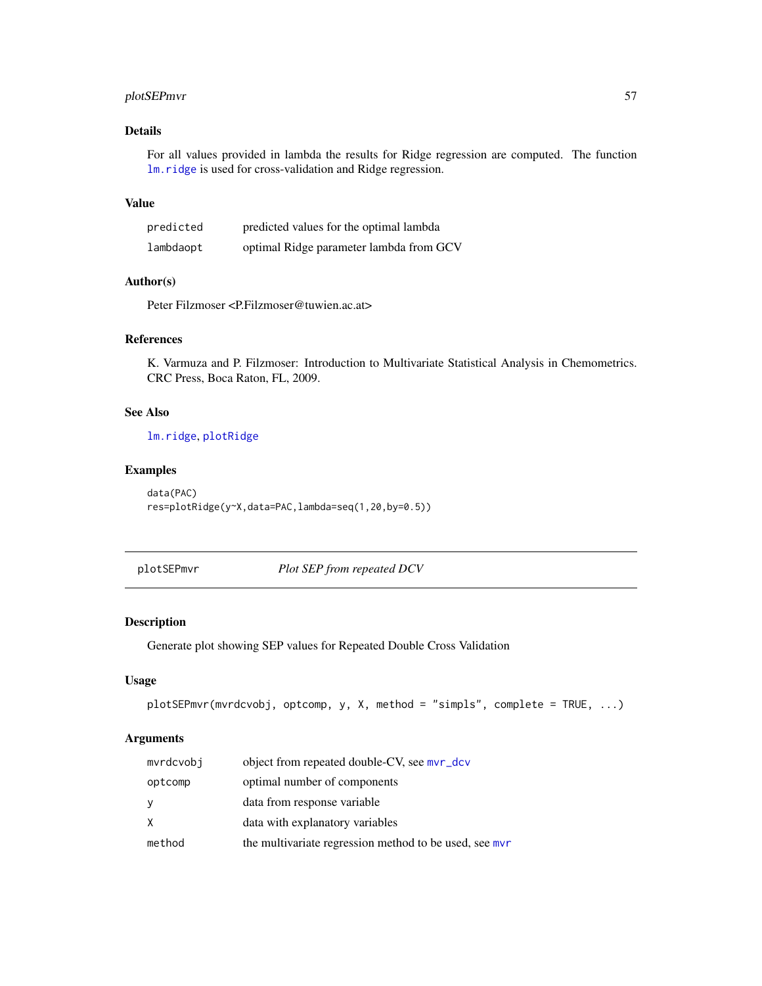# plotSEPmvr 57

# Details

For all values provided in lambda the results for Ridge regression are computed. The function [lm.ridge](#page-0-0) is used for cross-validation and Ridge regression.

## Value

| predicted | predicted values for the optimal lambda |
|-----------|-----------------------------------------|
| lambdaopt | optimal Ridge parameter lambda from GCV |

# Author(s)

Peter Filzmoser <P.Filzmoser@tuwien.ac.at>

# References

K. Varmuza and P. Filzmoser: Introduction to Multivariate Statistical Analysis in Chemometrics. CRC Press, Boca Raton, FL, 2009.

# See Also

[lm.ridge](#page-0-0), [plotRidge](#page-55-0)

## Examples

```
data(PAC)
res=plotRidge(y~X,data=PAC,lambda=seq(1,20,by=0.5))
```
plotSEPmvr *Plot SEP from repeated DCV*

# Description

Generate plot showing SEP values for Repeated Double Cross Validation

## Usage

```
plotSEPmvr(mvrdcvobj, optcomp, y, X, method = "simpls", complete = TRUE, ...)
```
# Arguments

| mvrdcvobi | object from repeated double-CV, see mvr_dcv            |
|-----------|--------------------------------------------------------|
| optcomp   | optimal number of components                           |
| у         | data from response variable                            |
| X.        | data with explanatory variables                        |
| method    | the multivariate regression method to be used, see mvr |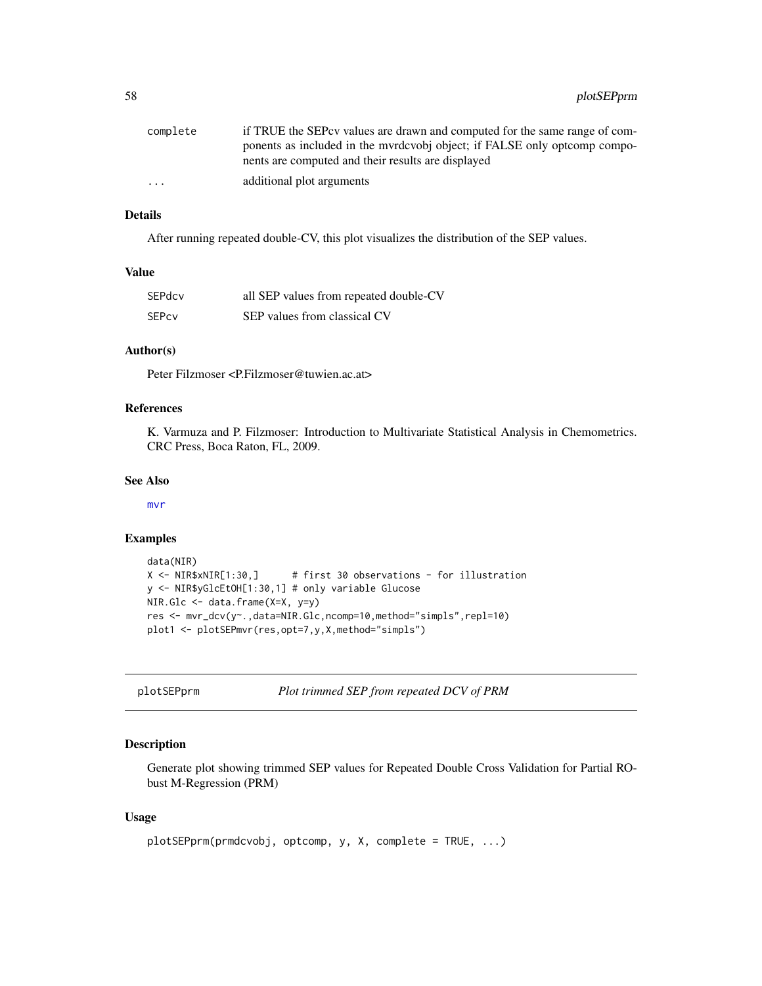| complete                | if TRUE the SEPcy values are drawn and computed for the same range of com- |
|-------------------------|----------------------------------------------------------------------------|
|                         | ponents as included in the myrdcvobi object; if FALSE only optcomp compo-  |
|                         | nents are computed and their results are displayed                         |
| $\cdot$ $\cdot$ $\cdot$ | additional plot arguments                                                  |

# Details

After running repeated double-CV, this plot visualizes the distribution of the SEP values.

#### Value

| SEPdcv | all SEP values from repeated double-CV |
|--------|----------------------------------------|
| SEPcy  | SEP values from classical CV           |

# Author(s)

Peter Filzmoser <P.Filzmoser@tuwien.ac.at>

# References

K. Varmuza and P. Filzmoser: Introduction to Multivariate Statistical Analysis in Chemometrics. CRC Press, Boca Raton, FL, 2009.

## See Also

[mvr](#page-0-0)

## Examples

```
data(NIR)
X <- NIR$xNIR[1:30,] # first 30 observations - for illustration
y <- NIR$yGlcEtOH[1:30,1] # only variable Glucose
NIR.Glc <- data.frame(X=X, y=y)
res <- mvr_dcv(y~.,data=NIR.Glc,ncomp=10,method="simpls",repl=10)
plot1 <- plotSEPmvr(res,opt=7,y,X,method="simpls")
```
plotSEPprm *Plot trimmed SEP from repeated DCV of PRM*

## Description

Generate plot showing trimmed SEP values for Repeated Double Cross Validation for Partial RObust M-Regression (PRM)

## Usage

```
plotSEPprm(prmdcvobj, optcomp, y, X, complete = TRUE, ...)
```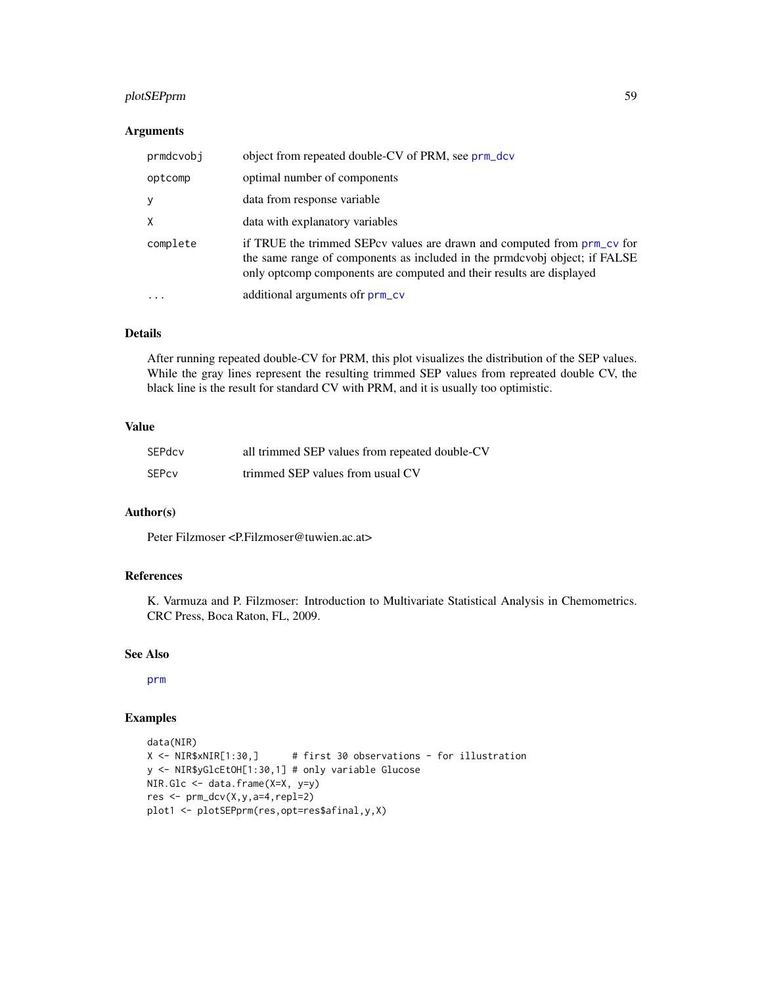# plotSEPprm 59

# Arguments

| prmdcvobj | object from repeated double-CV of PRM, see prm_dcv                                                                                                                                                                            |
|-----------|-------------------------------------------------------------------------------------------------------------------------------------------------------------------------------------------------------------------------------|
| optcomp   | optimal number of components                                                                                                                                                                                                  |
| y         | data from response variable                                                                                                                                                                                                   |
| $\times$  | data with explanatory variables                                                                                                                                                                                               |
| complete  | if TRUE the trimmed SEPcv values are drawn and computed from prm_cv for<br>the same range of components as included in the prmdcvobj object; if FALSE<br>only optcomp components are computed and their results are displayed |
| $\ddotsc$ | additional arguments of prm_cv                                                                                                                                                                                                |

# Details

After running repeated double-CV for PRM, this plot visualizes the distribution of the SEP values. While the gray lines represent the resulting trimmed SEP values from repreated double CV, the black line is the result for standard CV with PRM, and it is usually too optimistic.

# Value

| SEPdcv | all trimmed SEP values from repeated double-CV |
|--------|------------------------------------------------|
| SEPcy  | trimmed SEP values from usual CV               |

# Author(s)

Peter Filzmoser <P.Filzmoser@tuwien.ac.at>

# References

K. Varmuza and P. Filzmoser: Introduction to Multivariate Statistical Analysis in Chemometrics. CRC Press, Boca Raton, FL, 2009.

## See Also

[prm](#page-63-0)

# Examples

```
data(NIR)
X <- NIR$xNIR[1:30,] # first 30 observations - for illustration
y <- NIR$yGlcEtOH[1:30,1] # only variable Glucose
NIR.Glc <- data.frame(X=X, y=y)
res <- prm_dcv(X,y,a=4,repl=2)
plot1 <- plotSEPprm(res,opt=res$afinal,y,X)
```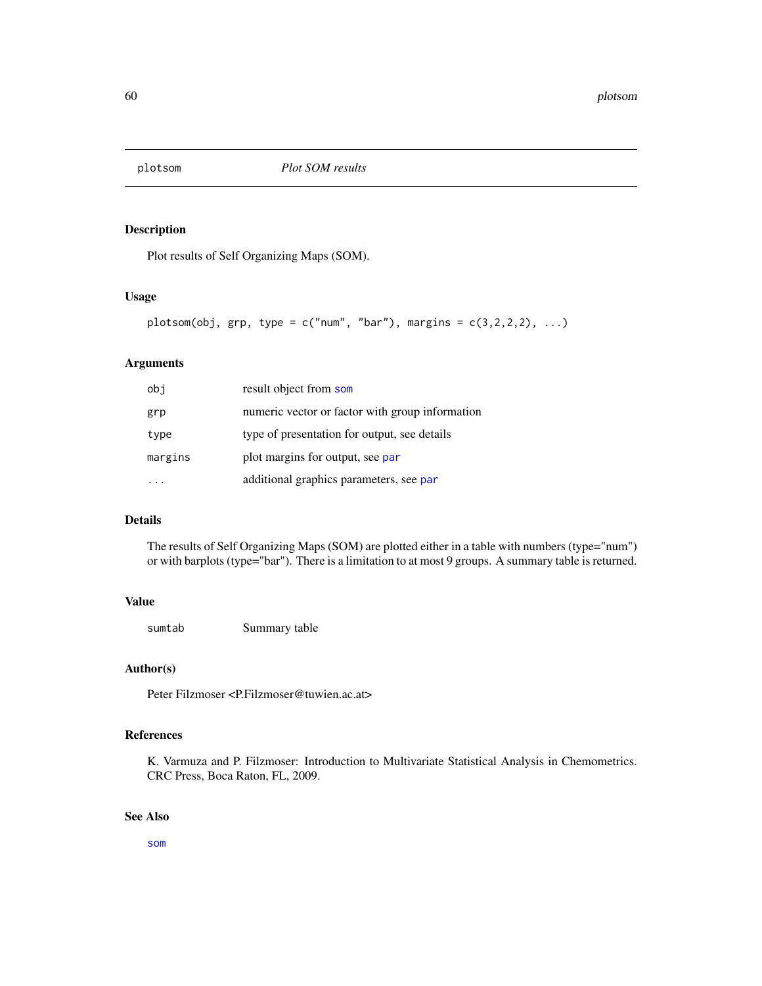# Description

Plot results of Self Organizing Maps (SOM).

# Usage

```
plotsom(obj, grp, type = c("num", "bar"), margins = c(3,2,2,2), ...)
```
# Arguments

| obj     | result object from som                          |
|---------|-------------------------------------------------|
| grp     | numeric vector or factor with group information |
| type    | type of presentation for output, see details    |
| margins | plot margins for output, see par                |
|         | additional graphics parameters, see par         |

# Details

The results of Self Organizing Maps (SOM) are plotted either in a table with numbers (type="num") or with barplots (type="bar"). There is a limitation to at most 9 groups. A summary table is returned.

## Value

sumtab Summary table

# Author(s)

Peter Filzmoser <P.Filzmoser@tuwien.ac.at>

# References

K. Varmuza and P. Filzmoser: Introduction to Multivariate Statistical Analysis in Chemometrics. CRC Press, Boca Raton, FL, 2009.

# See Also

[som](#page-0-0)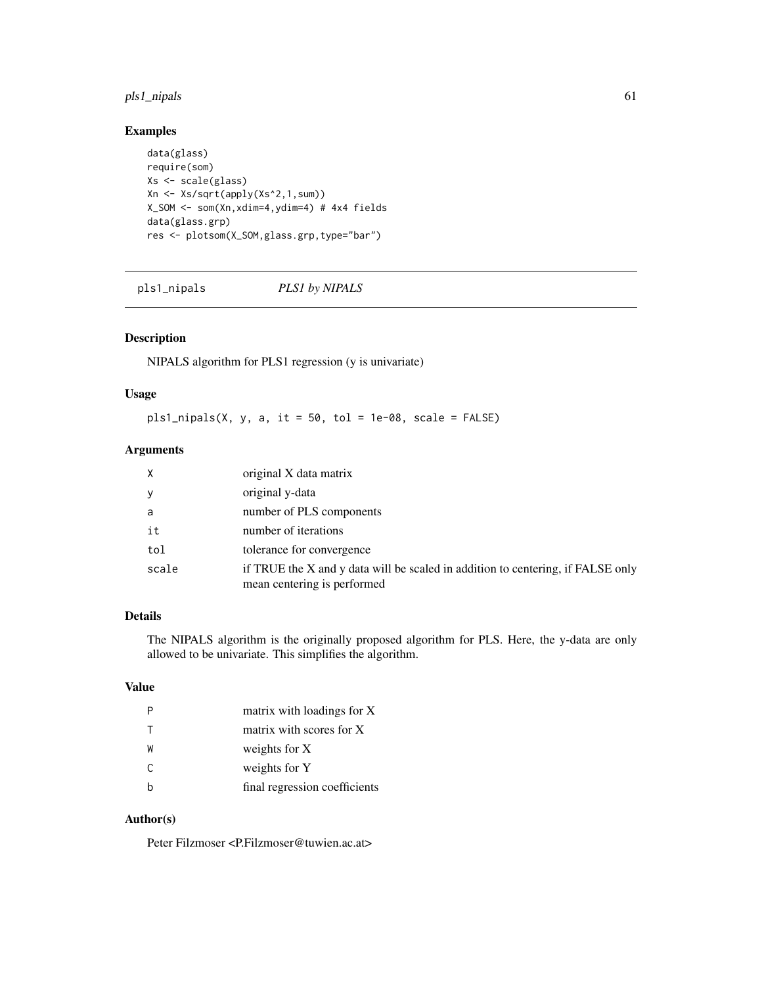# pls1\_nipals 61

# Examples

```
data(glass)
require(som)
Xs <- scale(glass)
Xn <- Xs/sqrt(apply(Xs^2,1,sum))
X_SOM <- som(Xn,xdim=4,ydim=4) # 4x4 fields
data(glass.grp)
res <- plotsom(X_SOM,glass.grp,type="bar")
```
## <span id="page-60-0"></span>pls1\_nipals *PLS1 by NIPALS*

## Description

NIPALS algorithm for PLS1 regression (y is univariate)

## Usage

 $pls1_nipals(X, y, a, it = 50, tol = 1e-08, scale = FALSE)$ 

## Arguments

| X     | original X data matrix                                                                                         |
|-------|----------------------------------------------------------------------------------------------------------------|
| У     | original y-data                                                                                                |
| a     | number of PLS components                                                                                       |
| it    | number of iterations                                                                                           |
| tol   | tolerance for convergence                                                                                      |
| scale | if TRUE the X and y data will be scaled in addition to centering, if FALSE only<br>mean centering is performed |

# Details

The NIPALS algorithm is the originally proposed algorithm for PLS. Here, the y-data are only allowed to be univariate. This simplifies the algorithm.

# Value

|    | matrix with loadings for X    |
|----|-------------------------------|
|    | matrix with scores for X      |
| W  | weights for X                 |
| C. | weights for Y                 |
|    | final regression coefficients |

# Author(s)

Peter Filzmoser <P.Filzmoser@tuwien.ac.at>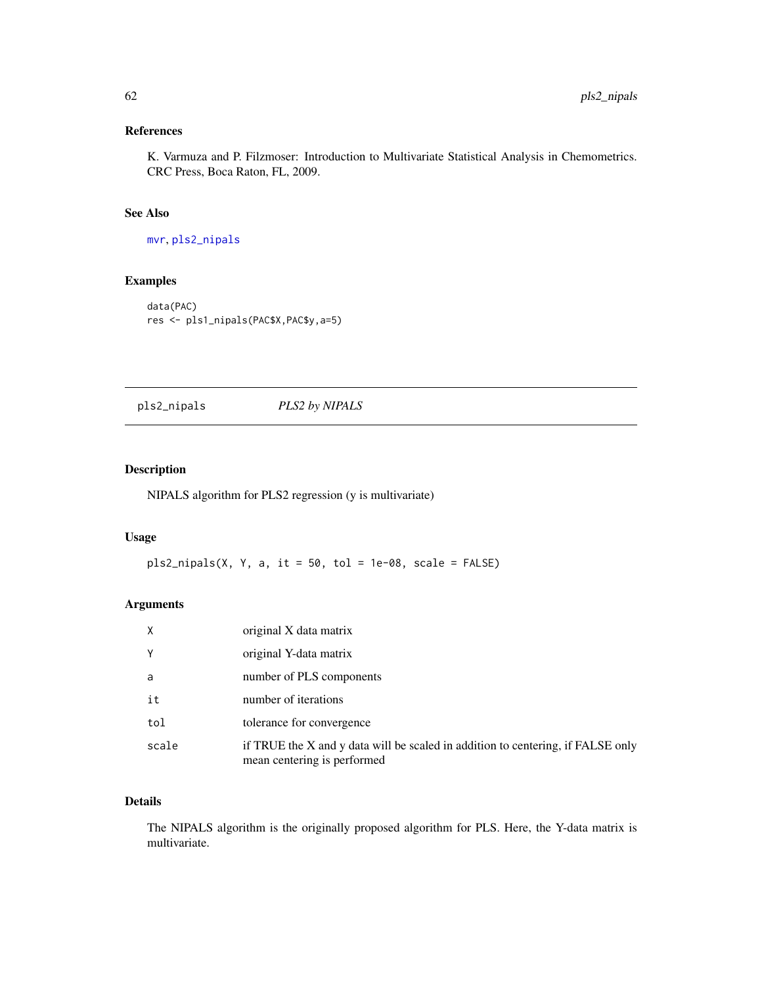# References

K. Varmuza and P. Filzmoser: Introduction to Multivariate Statistical Analysis in Chemometrics. CRC Press, Boca Raton, FL, 2009.

# See Also

[mvr](#page-0-0), [pls2\\_nipals](#page-61-0)

# Examples

```
data(PAC)
res <- pls1_nipals(PAC$X,PAC$y,a=5)
```
<span id="page-61-0"></span>pls2\_nipals *PLS2 by NIPALS*

# Description

NIPALS algorithm for PLS2 regression (y is multivariate)

## Usage

 $pls2_nipals(X, Y, a, it = 50, tol = 1e-08, scale = FALSE)$ 

## Arguments

| X     | original X data matrix                                                                                         |
|-------|----------------------------------------------------------------------------------------------------------------|
| Υ     | original Y-data matrix                                                                                         |
| a     | number of PLS components                                                                                       |
| it    | number of iterations                                                                                           |
| tol   | tolerance for convergence                                                                                      |
| scale | if TRUE the X and y data will be scaled in addition to centering, if FALSE only<br>mean centering is performed |

# Details

The NIPALS algorithm is the originally proposed algorithm for PLS. Here, the Y-data matrix is multivariate.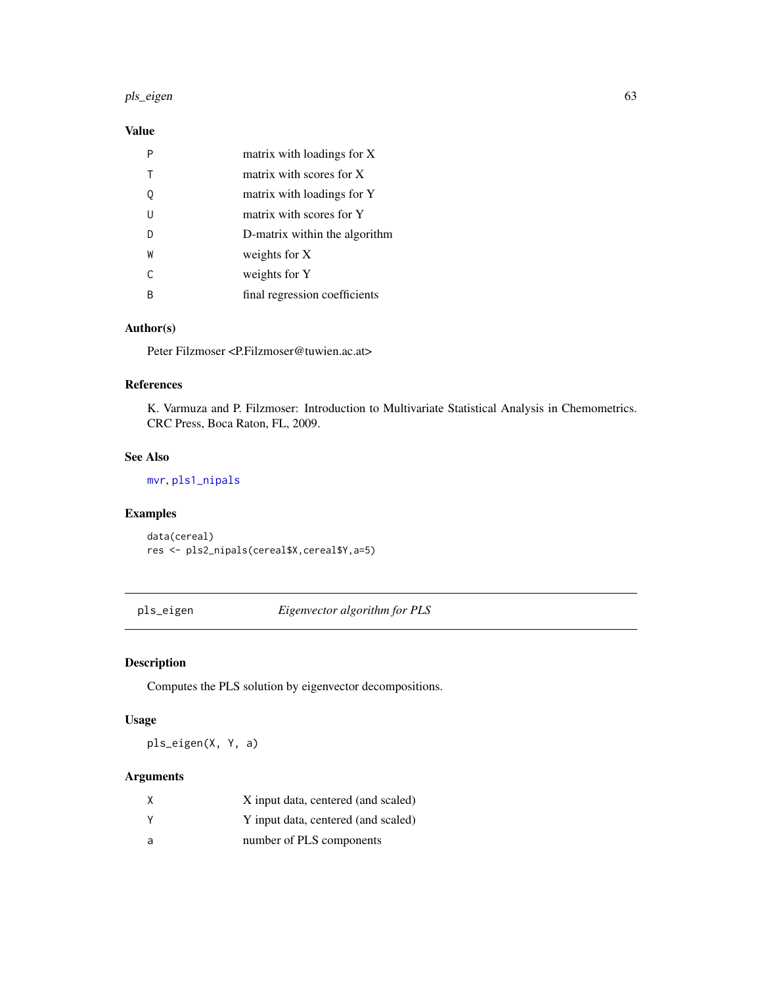#### pls\_eigen 63

# Value

|   | matrix with loadings for X    |
|---|-------------------------------|
|   | matrix with scores for X      |
|   | matrix with loadings for Y    |
| U | matrix with scores for Y      |
|   | D-matrix within the algorithm |
| W | weights for X                 |
| C | weights for Y                 |
|   | final regression coefficients |

# Author(s)

Peter Filzmoser <P.Filzmoser@tuwien.ac.at>

## References

K. Varmuza and P. Filzmoser: Introduction to Multivariate Statistical Analysis in Chemometrics. CRC Press, Boca Raton, FL, 2009.

## See Also

[mvr](#page-0-0), [pls1\\_nipals](#page-60-0)

# Examples

data(cereal) res <- pls2\_nipals(cereal\$X,cereal\$Y,a=5)

pls\_eigen *Eigenvector algorithm for PLS*

# Description

Computes the PLS solution by eigenvector decompositions.

# Usage

pls\_eigen(X, Y, a)

# Arguments

| X        | X input data, centered (and scaled) |
|----------|-------------------------------------|
| <b>Y</b> | Y input data, centered (and scaled) |
| <b>a</b> | number of PLS components            |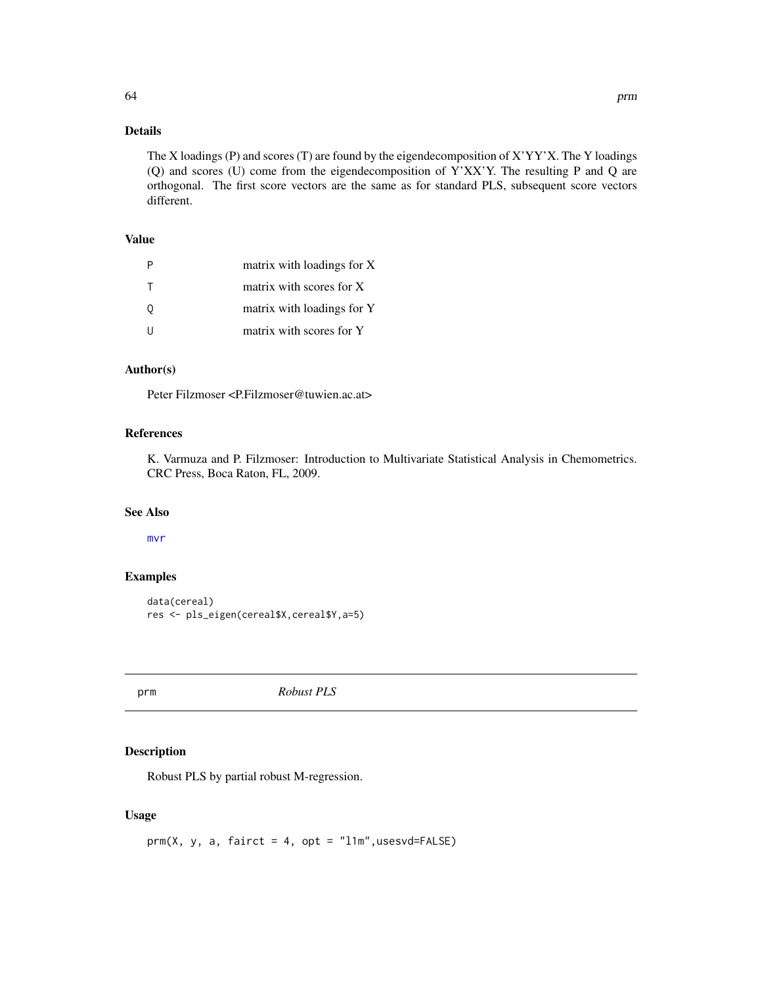# Details

The X loadings (P) and scores (T) are found by the eigendecomposition of X'YY'X. The Y loadings (Q) and scores (U) come from the eigendecomposition of Y'XX'Y. The resulting P and Q are orthogonal. The first score vectors are the same as for standard PLS, subsequent score vectors different.

## Value

| P | matrix with loadings for X |
|---|----------------------------|
| Т | matrix with scores for X   |
| 0 | matrix with loadings for Y |
| U | matrix with scores for Y   |

# Author(s)

Peter Filzmoser <P.Filzmoser@tuwien.ac.at>

## References

K. Varmuza and P. Filzmoser: Introduction to Multivariate Statistical Analysis in Chemometrics. CRC Press, Boca Raton, FL, 2009.

## See Also

[mvr](#page-0-0)

# Examples

```
data(cereal)
res <- pls_eigen(cereal$X,cereal$Y,a=5)
```
<span id="page-63-0"></span>prm *Robust PLS*

## Description

Robust PLS by partial robust M-regression.

# Usage

 $prm(X, y, a, fairct = 4, opt = "l1m", usesvd=FALSE)$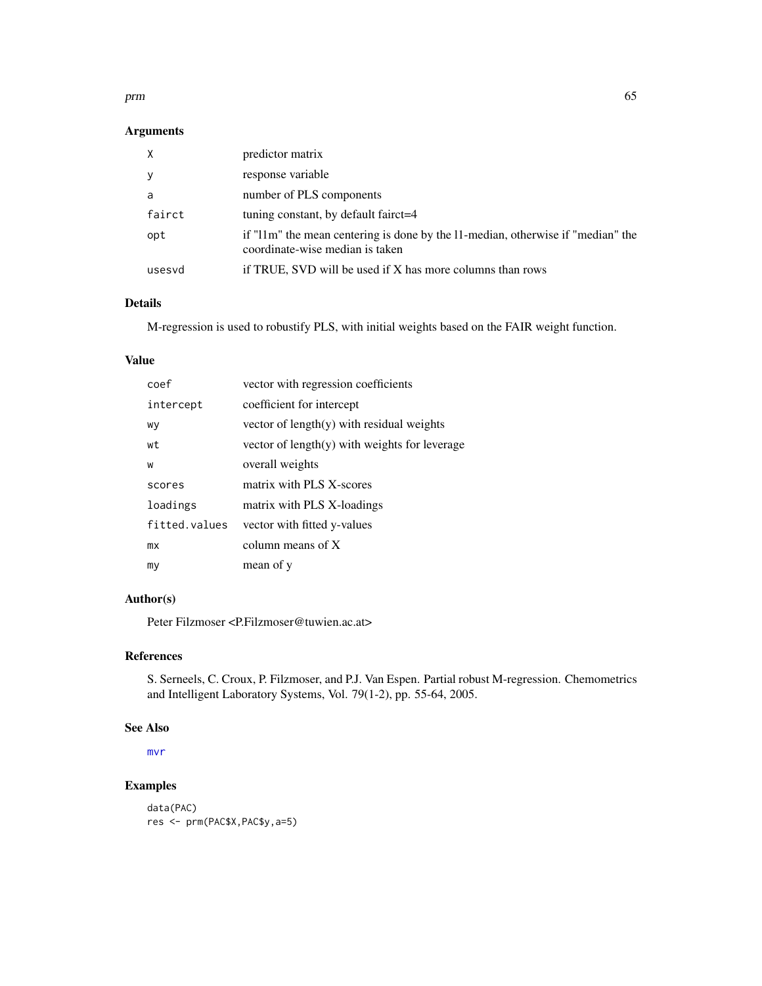#### prm 65

# Arguments

| $\times$ | predictor matrix                                                                                                   |
|----------|--------------------------------------------------------------------------------------------------------------------|
| У        | response variable                                                                                                  |
| a        | number of PLS components                                                                                           |
| fairct   | tuning constant, by default fairct=4                                                                               |
| opt      | if "11m" the mean centering is done by the 11-median, otherwise if "median" the<br>coordinate-wise median is taken |
| usesvd   | if TRUE, SVD will be used if X has more columns than rows                                                          |

# Details

M-regression is used to robustify PLS, with initial weights based on the FAIR weight function.

## Value

| coef          | vector with regression coefficients             |
|---------------|-------------------------------------------------|
| intercept     | coefficient for intercept                       |
| wy            | vector of $length(y)$ with residual weights     |
| wt            | vector of $length(y)$ with weights for leverage |
| W             | overall weights                                 |
| scores        | matrix with PLS X-scores                        |
| loadings      | matrix with PLS X-loadings                      |
| fitted.values | vector with fitted y-values                     |
| mx            | column means of X                               |
| my            | mean of y                                       |
|               |                                                 |

# Author(s)

Peter Filzmoser <P.Filzmoser@tuwien.ac.at>

# References

S. Serneels, C. Croux, P. Filzmoser, and P.J. Van Espen. Partial robust M-regression. Chemometrics and Intelligent Laboratory Systems, Vol. 79(1-2), pp. 55-64, 2005.

# See Also

[mvr](#page-0-0)

# Examples

```
data(PAC)
res <- prm(PAC$X,PAC$y,a=5)
```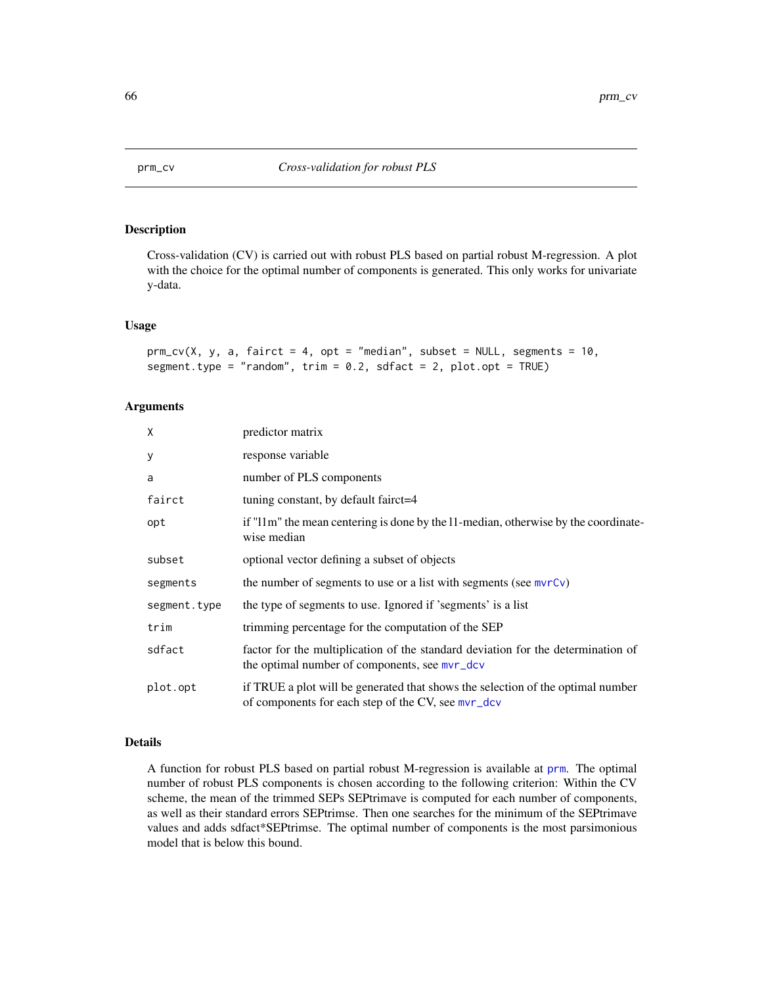<span id="page-65-0"></span>

## Description

Cross-validation (CV) is carried out with robust PLS based on partial robust M-regression. A plot with the choice for the optimal number of components is generated. This only works for univariate y-data.

#### Usage

```
prm_cv(X, y, a, fairct = 4, opt = "median", subset = NULL, segments = 10,segment.type = "random", trim = 0.2, sdfact = 2, plot.opt = TRUE)
```
## Arguments

| X            | predictor matrix                                                                                                                      |
|--------------|---------------------------------------------------------------------------------------------------------------------------------------|
| y            | response variable                                                                                                                     |
| a            | number of PLS components                                                                                                              |
| fairct       | tuning constant, by default fairct=4                                                                                                  |
| opt          | if "11m" the mean centering is done by the 11-median, otherwise by the coordinate-<br>wise median                                     |
| subset       | optional vector defining a subset of objects                                                                                          |
| segments     | the number of segments to use or a list with segments (see $mvrCv$ )                                                                  |
| segment.type | the type of segments to use. Ignored if 'segments' is a list                                                                          |
| trim         | trimming percentage for the computation of the SEP                                                                                    |
| sdfact       | factor for the multiplication of the standard deviation for the determination of<br>the optimal number of components, see mvr_dcv     |
| plot.opt     | if TRUE a plot will be generated that shows the selection of the optimal number<br>of components for each step of the CV, see mvr_dcv |

#### Details

A function for robust PLS based on partial robust M-regression is available at [prm](#page-63-0). The optimal number of robust PLS components is chosen according to the following criterion: Within the CV scheme, the mean of the trimmed SEPs SEPtrimave is computed for each number of components, as well as their standard errors SEPtrimse. Then one searches for the minimum of the SEPtrimave values and adds sdfact\*SEPtrimse. The optimal number of components is the most parsimonious model that is below this bound.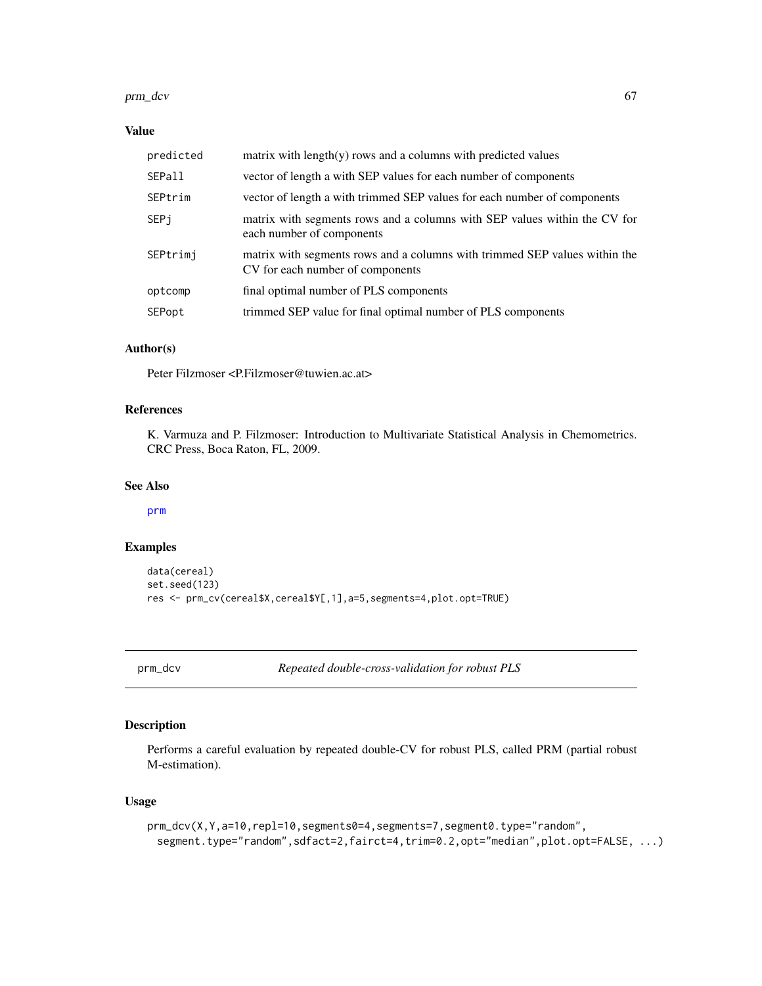#### prm\_dcv 67

# Value

| predicted     | matrix with $length(y)$ rows and a columns with predicted values                                               |
|---------------|----------------------------------------------------------------------------------------------------------------|
| <b>SEPall</b> | vector of length a with SEP values for each number of components                                               |
| SEPtrim       | vector of length a with trimmed SEP values for each number of components                                       |
| SEPi          | matrix with segments rows and a columns with SEP values within the CV for<br>each number of components         |
| SEPtrimi      | matrix with segments rows and a columns with trimmed SEP values within the<br>CV for each number of components |
| optcomp       | final optimal number of PLS components                                                                         |
| SEPopt        | trimmed SEP value for final optimal number of PLS components                                                   |
|               |                                                                                                                |

# Author(s)

Peter Filzmoser <P.Filzmoser@tuwien.ac.at>

# References

K. Varmuza and P. Filzmoser: Introduction to Multivariate Statistical Analysis in Chemometrics. CRC Press, Boca Raton, FL, 2009.

## See Also

[prm](#page-63-0)

# Examples

```
data(cereal)
set.seed(123)
res <- prm_cv(cereal$X,cereal$Y[,1],a=5,segments=4,plot.opt=TRUE)
```
<span id="page-66-0"></span>prm\_dcv *Repeated double-cross-validation for robust PLS*

# Description

Performs a careful evaluation by repeated double-CV for robust PLS, called PRM (partial robust M-estimation).

# Usage

```
prm_dcv(X,Y,a=10,repl=10,segments0=4,segments=7,segment0.type="random",
 segment.type="random",sdfact=2,fairct=4,trim=0.2,opt="median",plot.opt=FALSE, ...)
```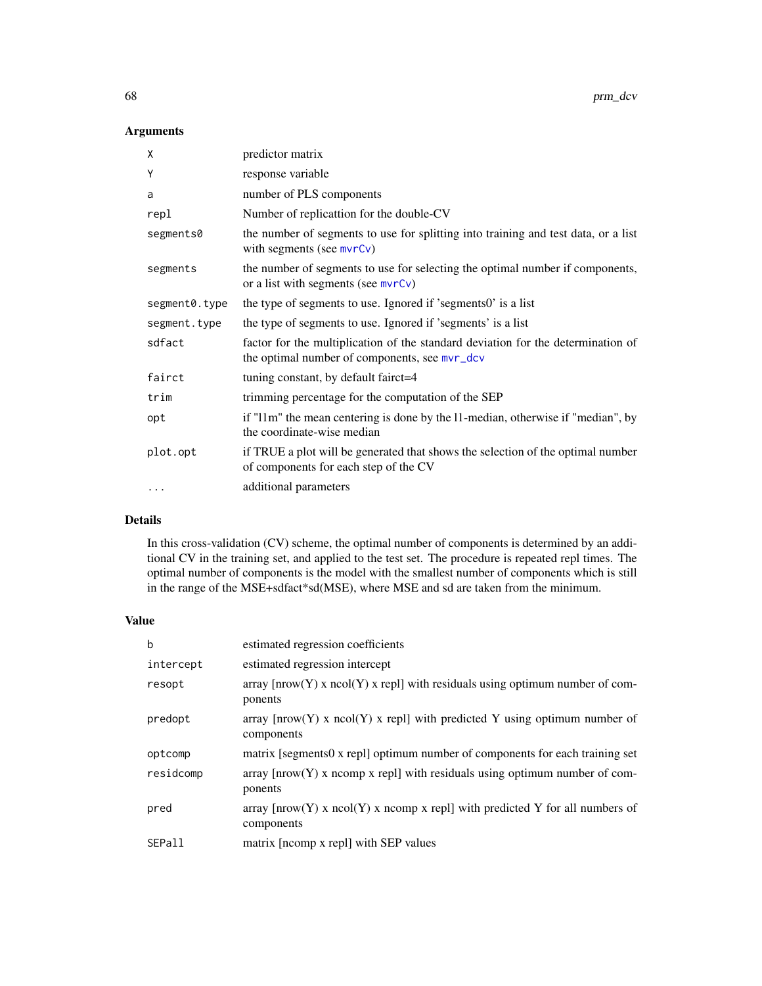# Arguments

| χ             | predictor matrix                                                                                                                  |
|---------------|-----------------------------------------------------------------------------------------------------------------------------------|
| Υ             | response variable                                                                                                                 |
| a             | number of PLS components                                                                                                          |
| repl          | Number of replicattion for the double-CV                                                                                          |
| segments0     | the number of segments to use for splitting into training and test data, or a list<br>with segments (see $mvrCv$ )                |
| segments      | the number of segments to use for selecting the optimal number if components,<br>or a list with segments (see $mvrCv$ )           |
| segment0.type | the type of segments to use. Ignored if 'segments0' is a list                                                                     |
| segment.type  | the type of segments to use. Ignored if 'segments' is a list                                                                      |
| sdfact        | factor for the multiplication of the standard deviation for the determination of<br>the optimal number of components, see mvr_dcv |
| fairct        | tuning constant, by default fairct=4                                                                                              |
| trim          | trimming percentage for the computation of the SEP                                                                                |
| opt           | if "11m" the mean centering is done by the 11-median, otherwise if "median", by<br>the coordinate-wise median                     |
| plot.opt      | if TRUE a plot will be generated that shows the selection of the optimal number<br>of components for each step of the CV          |
| $\cdots$      | additional parameters                                                                                                             |

# Details

In this cross-validation (CV) scheme, the optimal number of components is determined by an additional CV in the training set, and applied to the test set. The procedure is repeated repl times. The optimal number of components is the model with the smallest number of components which is still in the range of the MSE+sdfact\*sd(MSE), where MSE and sd are taken from the minimum.

# Value

| b         | estimated regression coefficients                                                                                      |
|-----------|------------------------------------------------------------------------------------------------------------------------|
| intercept | estimated regression intercept                                                                                         |
| resopt    | array $[now(Y) x neol(Y) x repl] with residuals using optimum number of com-$<br>ponents                               |
| predopt   | array $[now(Y) x neol(Y) x rep1]$ with predicted Y using optimum number of<br>components                               |
| optcomp   | matrix [segments0 x repl] optimum number of components for each training set                                           |
| residcomp | $\alpha$ array $\lceil nrow(Y) \times ncomp \times rep1 \rceil$ with residuals using optimum number of com-<br>ponents |
| pred      | array $[now(Y) x ncol(Y) x ncomp x rep1]$ with predicted Y for all numbers of<br>components                            |
| SEPall    | matrix [ncomp x repl] with SEP values                                                                                  |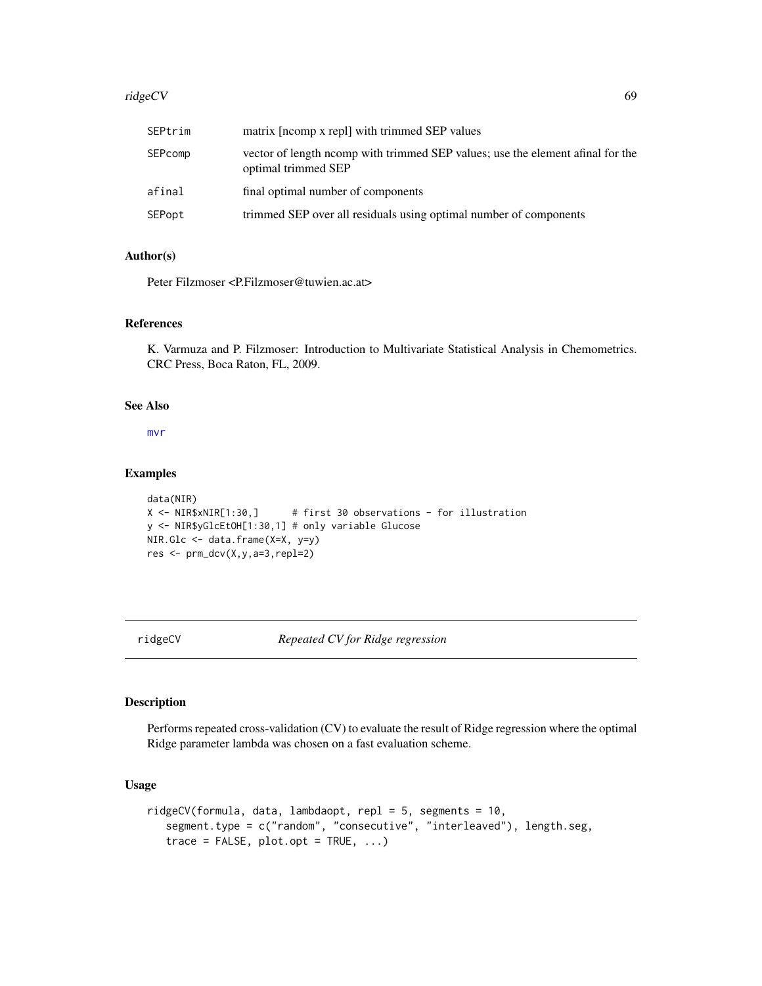#### ridgeCV 69

| SEPtrim | matrix [neomp x repl] with trimmed SEP values                                                        |
|---------|------------------------------------------------------------------------------------------------------|
| SEPcomp | vector of length norm with trimmed SEP values; use the element afinal for the<br>optimal trimmed SEP |
| afinal  | final optimal number of components                                                                   |
| SEPopt  | trimmed SEP over all residuals using optimal number of components                                    |

## Author(s)

Peter Filzmoser <P.Filzmoser@tuwien.ac.at>

# References

K. Varmuza and P. Filzmoser: Introduction to Multivariate Statistical Analysis in Chemometrics. CRC Press, Boca Raton, FL, 2009.

# See Also

[mvr](#page-0-0)

# Examples

```
data(NIR)
X <- NIR$xNIR[1:30,] # first 30 observations - for illustration
y <- NIR$yGlcEtOH[1:30,1] # only variable Glucose
NIR.Glc <- data.frame(X=X, y=y)
res <- prm_dcv(X,y,a=3,repl=2)
```
## ridgeCV *Repeated CV for Ridge regression*

## Description

Performs repeated cross-validation (CV) to evaluate the result of Ridge regression where the optimal Ridge parameter lambda was chosen on a fast evaluation scheme.

## Usage

```
ridgeCV(formula, data, lambdaopt, repl = 5, segments = 10,
   segment.type = c("random", "consecutive", "interleaved"), length.seg,
   trace = FALSE, plot.opt = TRUE, ...)
```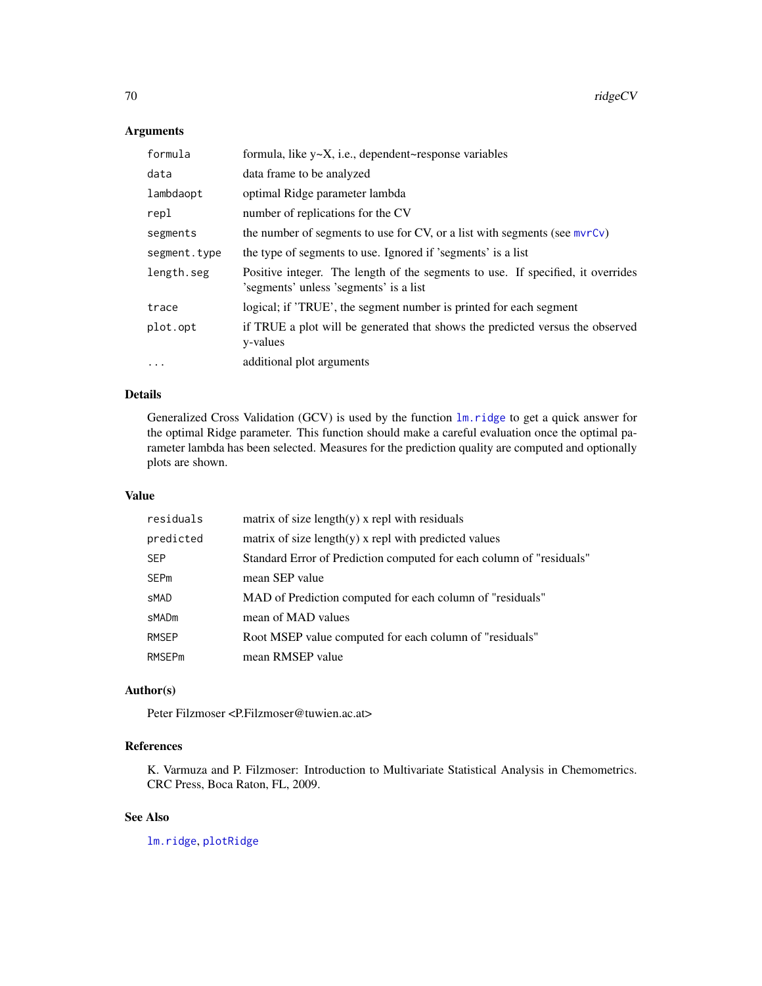# Arguments

| formula      | formula, like y~X, i.e., dependent~response variables                                                                       |
|--------------|-----------------------------------------------------------------------------------------------------------------------------|
| data         | data frame to be analyzed                                                                                                   |
| lambdaopt    | optimal Ridge parameter lambda                                                                                              |
| repl         | number of replications for the CV                                                                                           |
| segments     | the number of segments to use for CV, or a list with segments (see mvrCv)                                                   |
| segment.type | the type of segments to use. Ignored if 'segments' is a list                                                                |
| length.seg   | Positive integer. The length of the segments to use. If specified, it overrides<br>'s egments' unless 's egments' is a list |
| trace        | logical; if 'TRUE', the segment number is printed for each segment                                                          |
| plot.opt     | if TRUE a plot will be generated that shows the predicted versus the observed<br>y-values                                   |
| $\cdots$     | additional plot arguments                                                                                                   |

# Details

Generalized Cross Validation (GCV) is used by the function [lm.ridge](#page-0-0) to get a quick answer for the optimal Ridge parameter. This function should make a careful evaluation once the optimal parameter lambda has been selected. Measures for the prediction quality are computed and optionally plots are shown.

## Value

| residuals     | matrix of size length $(y)$ x repl with residuals                    |
|---------------|----------------------------------------------------------------------|
| predicted     | matrix of size length $(y)$ x repl with predicted values             |
| <b>SEP</b>    | Standard Error of Prediction computed for each column of "residuals" |
| <b>SEPm</b>   | mean SEP value                                                       |
| sMAD          | MAD of Prediction computed for each column of "residuals"            |
| sMADm         | mean of MAD values                                                   |
| <b>RMSEP</b>  | Root MSEP value computed for each column of "residuals"              |
| <b>RMSEPm</b> | mean RMSEP value                                                     |

## Author(s)

Peter Filzmoser <P.Filzmoser@tuwien.ac.at>

# References

K. Varmuza and P. Filzmoser: Introduction to Multivariate Statistical Analysis in Chemometrics. CRC Press, Boca Raton, FL, 2009.

# See Also

[lm.ridge](#page-0-0), [plotRidge](#page-55-0)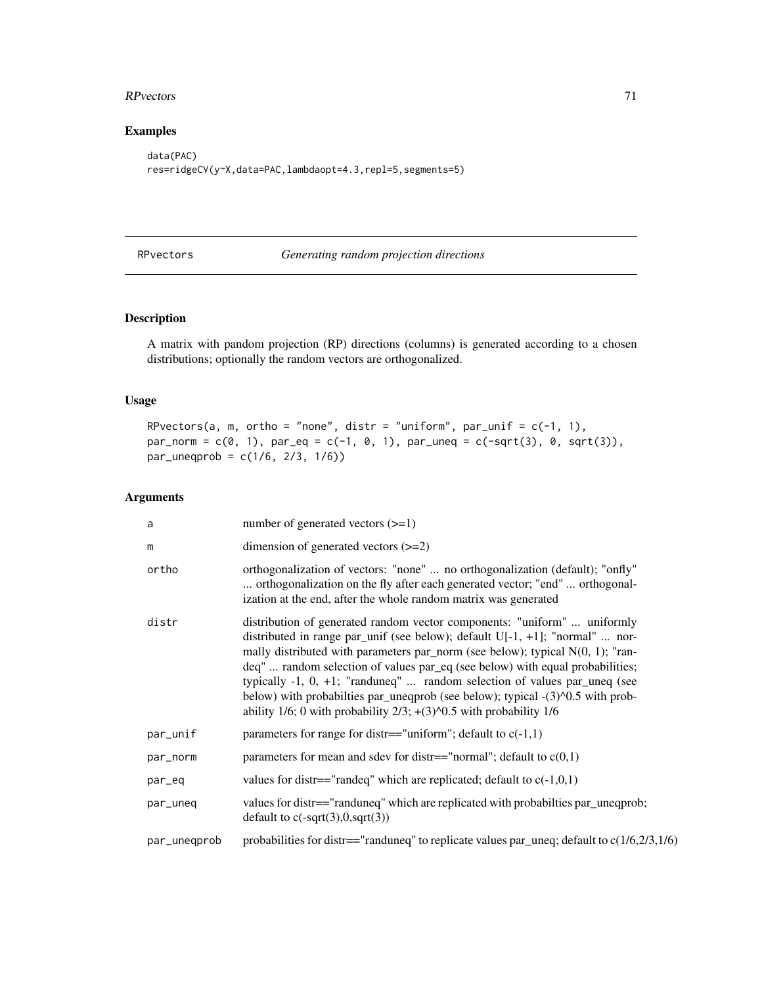#### RPvectors 71

# Examples

```
data(PAC)
res=ridgeCV(y~X,data=PAC,lambdaopt=4.3,repl=5,segments=5)
```
RPvectors *Generating random projection directions*

# Description

A matrix with pandom projection (RP) directions (columns) is generated according to a chosen distributions; optionally the random vectors are orthogonalized.

## Usage

```
RPvectors(a, m, ortho = "none", distr = "uniform", par_unif = c(-1, 1),
par\_norm = c(0, 1), par\_eq = c(-1, 0, 1), par\_uneq = c(-sqrt(3), 0, sqrt(3)),par_uneqprob = c(1/6, 2/3, 1/6))
```
# Arguments

| a            | number of generated vectors $(\geq=1)$                                                                                                                                                                                                                                                                                                                                                                                                                                                                                                                                                      |
|--------------|---------------------------------------------------------------------------------------------------------------------------------------------------------------------------------------------------------------------------------------------------------------------------------------------------------------------------------------------------------------------------------------------------------------------------------------------------------------------------------------------------------------------------------------------------------------------------------------------|
| m            | dimension of generated vectors $(>=2)$                                                                                                                                                                                                                                                                                                                                                                                                                                                                                                                                                      |
| ortho        | orthogonalization of vectors: "none"  no orthogonalization (default); "onfly"<br>orthogonalization on the fly after each generated vector; "end"  orthogonal-<br>ization at the end, after the whole random matrix was generated                                                                                                                                                                                                                                                                                                                                                            |
| distr        | distribution of generated random vector components: "uniform"  uniformly<br>distributed in range par_unif (see below); default $U[-1, +1]$ ; "normal"  nor-<br>mally distributed with parameters par_norm (see below); typical $N(0, 1)$ ; "ran-<br>deq"  random selection of values par_eq (see below) with equal probabilities;<br>typically $-1$ , $0$ , $+1$ ; "randuneq"  random selection of values par_uneq (see<br>below) with probabilties par_uneqprob (see below); typical -(3)^0.5 with prob-<br>ability $1/6$ ; 0 with probability $2/3$ ; $+(3)$ $0.5$ with probability $1/6$ |
| par_unif     | parameters for range for distr=="uniform"; default to $c(-1,1)$                                                                                                                                                                                                                                                                                                                                                                                                                                                                                                                             |
| par_norm     | parameters for mean and sdev for distr=="normal"; default to $c(0,1)$                                                                                                                                                                                                                                                                                                                                                                                                                                                                                                                       |
| par_eq       | values for distr=="randeq" which are replicated; default to $c(-1,0,1)$                                                                                                                                                                                                                                                                                                                                                                                                                                                                                                                     |
| par_uneq     | values for distr=="randuneq" which are replicated with probabilities par_uneqprob;<br>default to $c(-sqrt(3),0,sqrt(3))$                                                                                                                                                                                                                                                                                                                                                                                                                                                                    |
| par_unegprob | probabilities for distr=="randuneq" to replicate values par_uneq; default to $c(1/6,2/3,1/6)$                                                                                                                                                                                                                                                                                                                                                                                                                                                                                               |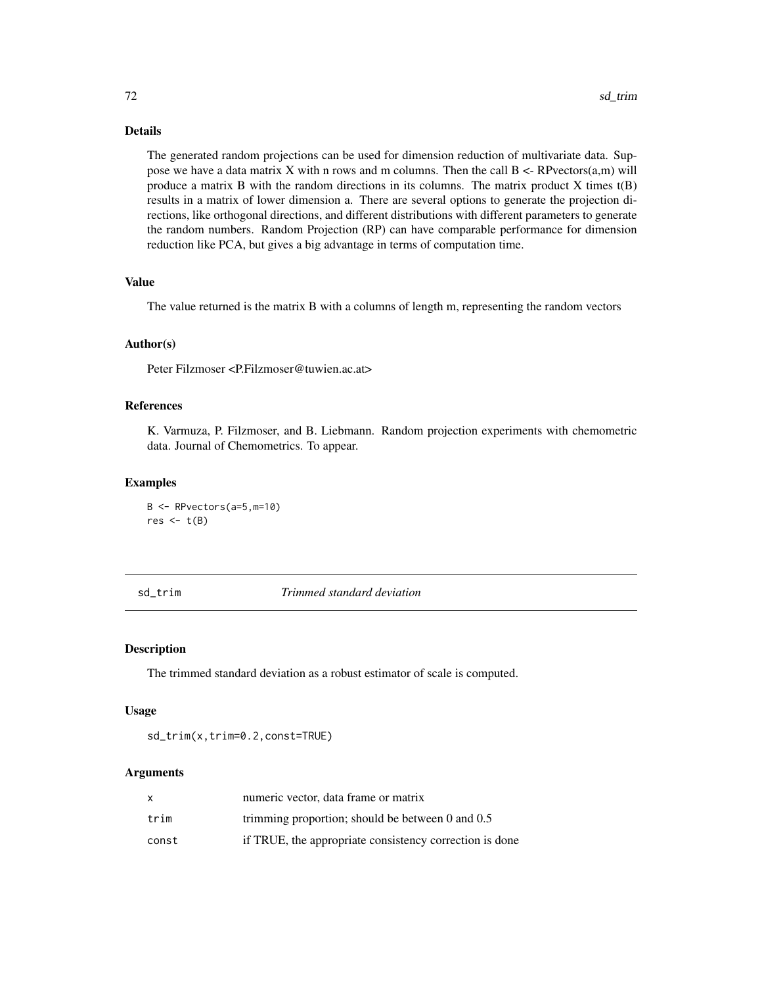# Details

The generated random projections can be used for dimension reduction of multivariate data. Suppose we have a data matrix  $X$  with n rows and m columns. Then the call  $B \leq R$  Pvectors $(a,m)$  will produce a matrix B with the random directions in its columns. The matrix product X times t(B) results in a matrix of lower dimension a. There are several options to generate the projection directions, like orthogonal directions, and different distributions with different parameters to generate the random numbers. Random Projection (RP) can have comparable performance for dimension reduction like PCA, but gives a big advantage in terms of computation time.

# Value

The value returned is the matrix B with a columns of length m, representing the random vectors

#### Author(s)

Peter Filzmoser <P.Filzmoser@tuwien.ac.at>

# References

K. Varmuza, P. Filzmoser, and B. Liebmann. Random projection experiments with chemometric data. Journal of Chemometrics. To appear.

#### Examples

B <- RPvectors(a=5,m=10) res  $<-t(B)$ 

sd\_trim *Trimmed standard deviation*

#### Description

The trimmed standard deviation as a robust estimator of scale is computed.

## Usage

sd\_trim(x,trim=0.2,const=TRUE)

## Arguments

| x     | numeric vector, data frame or matrix                    |
|-------|---------------------------------------------------------|
| trim  | trimming proportion; should be between $0$ and $0.5$    |
| const | if TRUE, the appropriate consistency correction is done |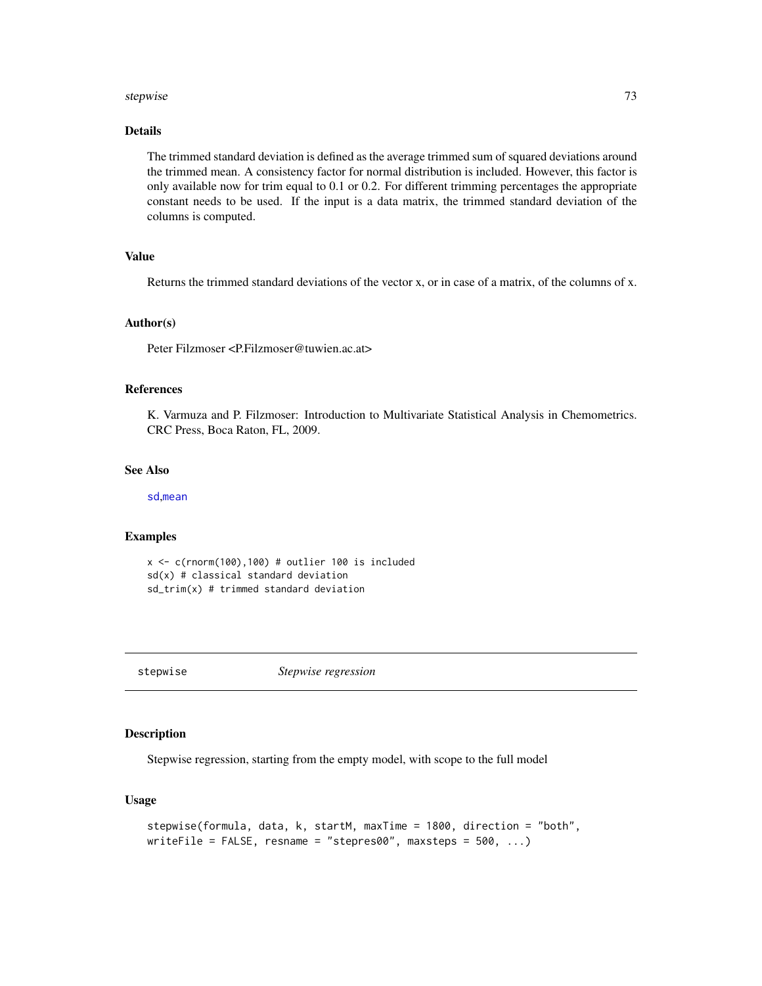#### <span id="page-72-0"></span>stepwise 73

## Details

The trimmed standard deviation is defined as the average trimmed sum of squared deviations around the trimmed mean. A consistency factor for normal distribution is included. However, this factor is only available now for trim equal to 0.1 or 0.2. For different trimming percentages the appropriate constant needs to be used. If the input is a data matrix, the trimmed standard deviation of the columns is computed.

## Value

Returns the trimmed standard deviations of the vector x, or in case of a matrix, of the columns of x.

## Author(s)

Peter Filzmoser <P.Filzmoser@tuwien.ac.at>

## References

K. Varmuza and P. Filzmoser: Introduction to Multivariate Statistical Analysis in Chemometrics. CRC Press, Boca Raton, FL, 2009.

## See Also

[sd](#page-0-0),[mean](#page-0-0)

# Examples

```
x \leq c(rnorm(100),100) # outlier 100 is included
sd(x) # classical standard deviation
sd_trim(x) # trimmed standard deviation
```
stepwise *Stepwise regression*

## Description

Stepwise regression, starting from the empty model, with scope to the full model

## Usage

```
stepwise(formula, data, k, startM, maxTime = 1800, direction = "both",
writeFile = FALSE, resname = "stepres00", maxsteps = 500, ...)
```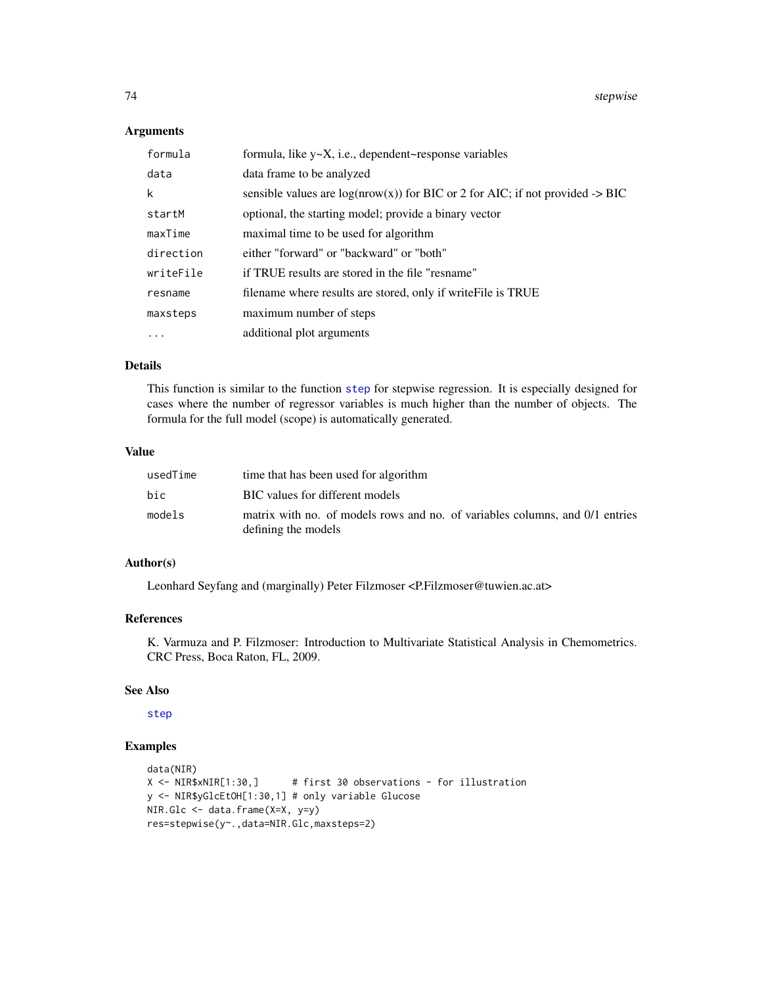74 stepwise

# Arguments

| formula   | formula, like $y \sim X$ , i.e., dependent~response variables                              |
|-----------|--------------------------------------------------------------------------------------------|
| data      | data frame to be analyzed                                                                  |
| k         | sensible values are $log(nrow(x))$ for BIC or 2 for AIC; if not provided $\rightarrow$ BIC |
| startM    | optional, the starting model; provide a binary vector                                      |
| maxTime   | maximal time to be used for algorithm                                                      |
| direction | either "forward" or "backward" or "both"                                                   |
| writeFile | if TRUE results are stored in the file "resname"                                           |
| resname   | filename where results are stored, only if write File is TRUE                              |
| maxsteps  | maximum number of steps                                                                    |
| $\cdots$  | additional plot arguments                                                                  |

## Details

This function is similar to the function [step](#page-0-0) for stepwise regression. It is especially designed for cases where the number of regressor variables is much higher than the number of objects. The formula for the full model (scope) is automatically generated.

# Value

| usedTime | time that has been used for algorithm                                                               |
|----------|-----------------------------------------------------------------------------------------------------|
| bic      | BIC values for different models                                                                     |
| models   | matrix with no. of models rows and no. of variables columns, and 0/1 entries<br>defining the models |

# Author(s)

Leonhard Seyfang and (marginally) Peter Filzmoser <P.Filzmoser@tuwien.ac.at>

## References

K. Varmuza and P. Filzmoser: Introduction to Multivariate Statistical Analysis in Chemometrics. CRC Press, Boca Raton, FL, 2009.

## See Also

[step](#page-0-0)

# Examples

```
data(NIR)
X <- NIR$xNIR[1:30,] # first 30 observations - for illustration
y <- NIR$yGlcEtOH[1:30,1] # only variable Glucose
NIR.Glc <- data.frame(X=X, y=y)
res=stepwise(y~.,data=NIR.Glc,maxsteps=2)
```
<span id="page-73-0"></span>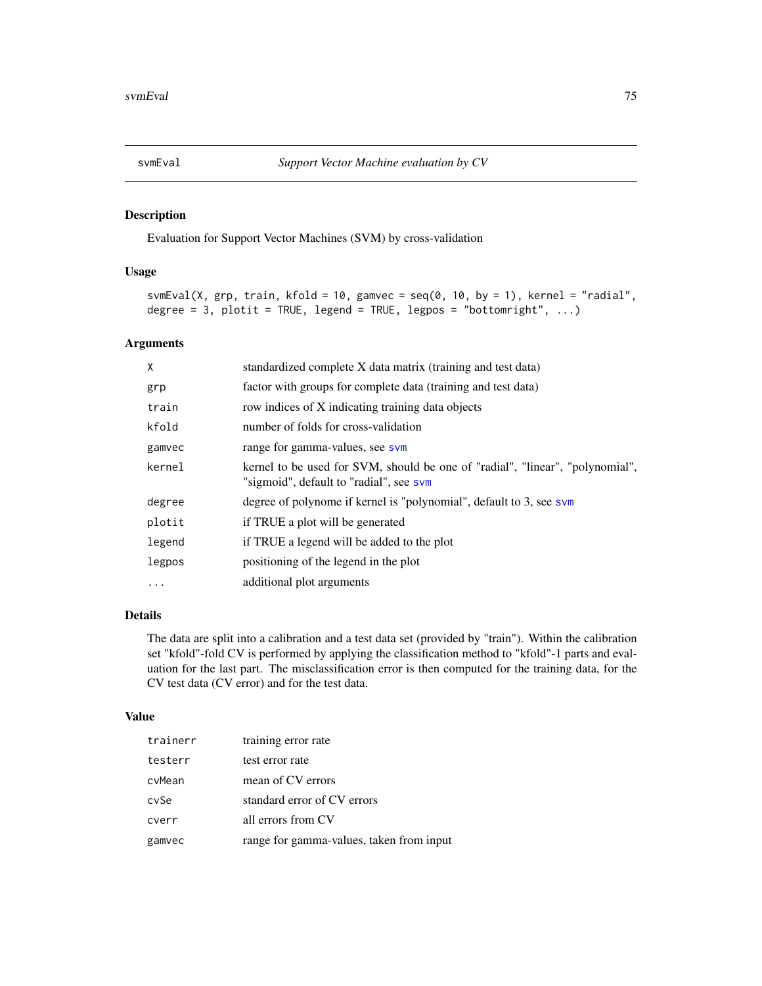<span id="page-74-0"></span>

## Description

Evaluation for Support Vector Machines (SVM) by cross-validation

## Usage

```
svmEval(X, grp, train, kfold = 10, gamvec = seq(0, 10, by = 1), kernel = "radial",
degree = 3, plotit = TRUE, legend = TRUE, legpos = "bottomright", ...)
```
## Arguments

| X      | standardized complete X data matrix (training and test data)                                                             |
|--------|--------------------------------------------------------------------------------------------------------------------------|
| grp    | factor with groups for complete data (training and test data)                                                            |
| train  | row indices of X indicating training data objects                                                                        |
| kfold  | number of folds for cross-validation                                                                                     |
| gamvec | range for gamma-values, see sym                                                                                          |
| kernel | kernel to be used for SVM, should be one of "radial", "linear", "polynomial",<br>"sigmoid", default to "radial", see sym |
| degree | degree of polynome if kernel is "polynomial", default to 3, see sym                                                      |
| plotit | if TRUE a plot will be generated                                                                                         |
| legend | if TRUE a legend will be added to the plot                                                                               |
| legpos | positioning of the legend in the plot                                                                                    |
| .      | additional plot arguments                                                                                                |
|        |                                                                                                                          |

# Details

The data are split into a calibration and a test data set (provided by "train"). Within the calibration set "kfold"-fold CV is performed by applying the classification method to "kfold"-1 parts and evaluation for the last part. The misclassification error is then computed for the training data, for the CV test data (CV error) and for the test data.

#### Value

| trainerr | training error rate                      |
|----------|------------------------------------------|
| testerr  | test error rate                          |
| cvMean   | mean of CV errors                        |
| cySe     | standard error of CV errors              |
| cverr    | all errors from CV                       |
| gamvec   | range for gamma-values, taken from input |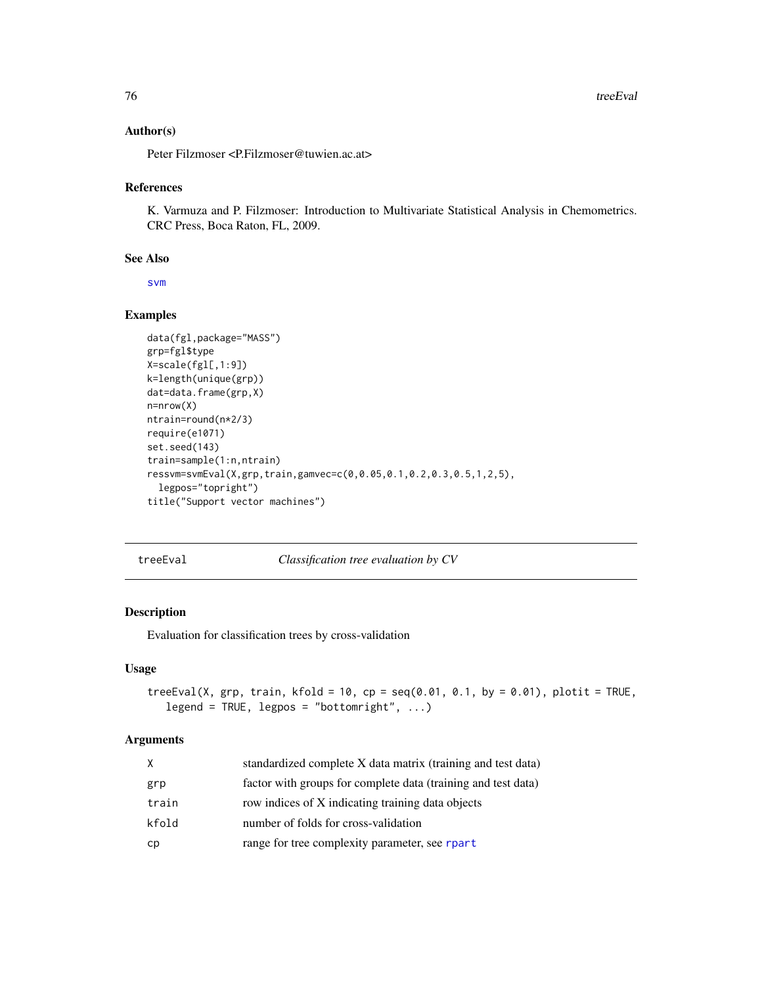## <span id="page-75-0"></span>Author(s)

Peter Filzmoser <P.Filzmoser@tuwien.ac.at>

## References

K. Varmuza and P. Filzmoser: Introduction to Multivariate Statistical Analysis in Chemometrics. CRC Press, Boca Raton, FL, 2009.

## See Also

[svm](#page-0-0)

## Examples

```
data(fgl,package="MASS")
grp=fgl$type
X=scale(fgl[,1:9])
k=length(unique(grp))
dat=data.frame(grp,X)
n=nrow(X)
ntrain=round(n*2/3)
require(e1071)
set.seed(143)
train=sample(1:n,ntrain)
ressvm=svmEval(X,grp,train,gamvec=c(0,0.05,0.1,0.2,0.3,0.5,1,2,5),
  legpos="topright")
title("Support vector machines")
```
treeEval *Classification tree evaluation by CV*

## Description

Evaluation for classification trees by cross-validation

# Usage

```
treeEval(X, grp, train, kfold = 10, cp = seq(0.01, 0.1, by = 0.01), plotit = TRUE,
   legend = TRUE, legpos = "bottomright", \dots)
```
## Arguments

| X     | standardized complete X data matrix (training and test data)  |
|-------|---------------------------------------------------------------|
| grp   | factor with groups for complete data (training and test data) |
| train | row indices of X indicating training data objects             |
| kfold | number of folds for cross-validation                          |
| сp    | range for tree complexity parameter, see rpart                |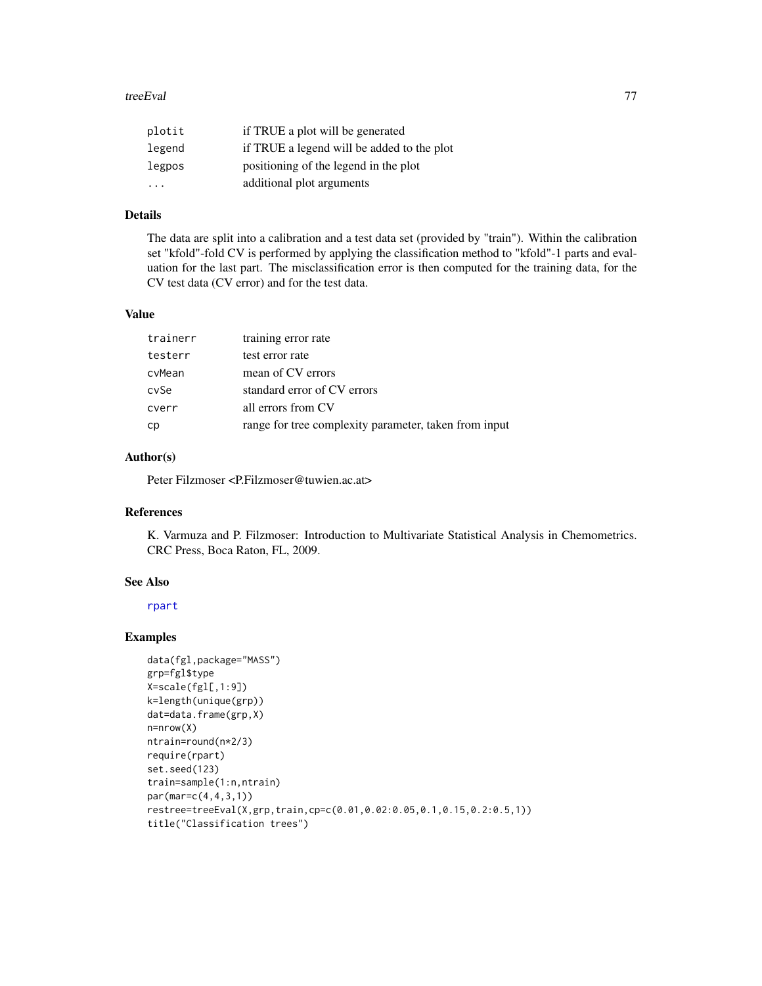## <span id="page-76-0"></span>treeEval 77

| plotit                  | if TRUE a plot will be generated           |
|-------------------------|--------------------------------------------|
| legend                  | if TRUE a legend will be added to the plot |
| legpos                  | positioning of the legend in the plot      |
| $\cdot$ $\cdot$ $\cdot$ | additional plot arguments                  |

# Details

The data are split into a calibration and a test data set (provided by "train"). Within the calibration set "kfold"-fold CV is performed by applying the classification method to "kfold"-1 parts and evaluation for the last part. The misclassification error is then computed for the training data, for the CV test data (CV error) and for the test data.

## Value

| trainerr | training error rate                                   |
|----------|-------------------------------------------------------|
| testerr  | test error rate                                       |
| cvMean   | mean of CV errors                                     |
| cvSe     | standard error of CV errors                           |
| cverr    | all errors from CV                                    |
| сp       | range for tree complexity parameter, taken from input |

# Author(s)

Peter Filzmoser <P.Filzmoser@tuwien.ac.at>

# References

K. Varmuza and P. Filzmoser: Introduction to Multivariate Statistical Analysis in Chemometrics. CRC Press, Boca Raton, FL, 2009.

# See Also

[rpart](#page-0-0)

# Examples

```
data(fgl,package="MASS")
grp=fgl$type
X=scale(fgl[,1:9])
k=length(unique(grp))
dat=data.frame(grp,X)
n=nrow(X)
ntrain=round(n*2/3)
require(rpart)
set.seed(123)
train=sample(1:n,ntrain)
par(mar=c(4,4,3,1))
restree=treeEval(X,grp,train,cp=c(0.01,0.02:0.05,0.1,0.15,0.2:0.5,1))
title("Classification trees")
```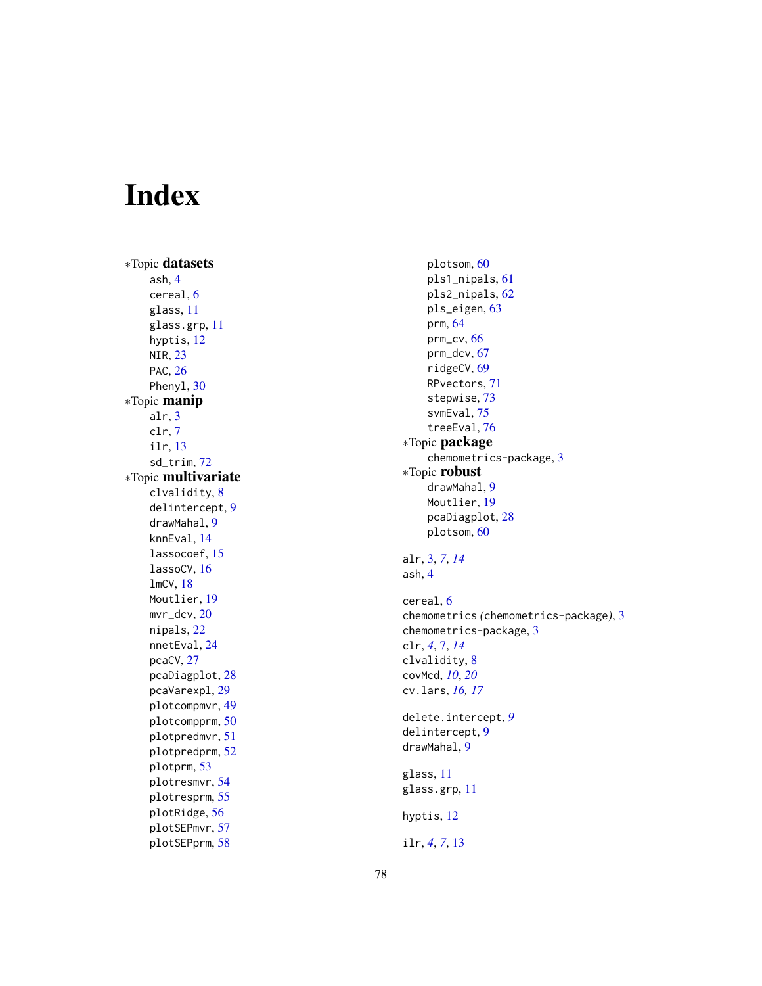# Index

∗Topic datasets ash , [4](#page-3-0) cereal , [6](#page-5-0) glass , [11](#page-10-0) glass.grp , [11](#page-10-0) hyptis , [12](#page-11-0) NIR , [23](#page-22-0) PAC, [26](#page-25-0) Pheny1, [30](#page-29-0) ∗Topic manip alr , [3](#page-2-0) clr , [7](#page-6-0) ilr , [13](#page-12-0) sd\_trim , [72](#page-71-0) ∗Topic multivariate clvalidity , [8](#page-7-0) delintercept , [9](#page-8-0) drawMahal , [9](#page-8-0) knnEval , [14](#page-13-0) lassocoef , [15](#page-14-0) lassoCV , [16](#page-15-0) lmCV , [18](#page-17-0) Moutlier , [19](#page-18-0) mvr\_dcv , [20](#page-19-0) nipals , [22](#page-21-0) nnetEval , [24](#page-23-0) pcaCV , [27](#page-26-0) pcaDiagplot , [28](#page-27-0) pcaVarexpl , [29](#page-28-0) plotcompmvr , [49](#page-48-0) plotcompprm , [50](#page-49-0) plotpredmvr , [51](#page-50-0) plotpredprm , [52](#page-51-0) plotprm , [53](#page-52-0) plotresmvr , [54](#page-53-0) plotresprm , [55](#page-54-0) plotRidge , [56](#page-55-0) plotSEPmvr , [57](#page-56-0) plotSEPprm , [58](#page-57-0)

plotsom , [60](#page-59-0) pls1\_nipals , [61](#page-60-0) pls2\_nipals , [62](#page-61-0) pls\_eigen , [63](#page-62-0) prm , [64](#page-63-0) prm\_cv , [66](#page-65-0) prm\_dcv , [67](#page-66-0) ridgeCV, [69](#page-68-0) RPvectors , [71](#page-70-0) stepwise , [73](#page-72-0) svmEval , [75](#page-74-0) treeEval , [76](#page-75-0) ∗Topic package chemometrics-package, [3](#page-2-0) ∗Topic robust drawMahal , [9](#page-8-0) Moutlier , [19](#page-18-0) pcaDiagplot , [28](#page-27-0) plotsom , [60](#page-59-0) alr , [3](#page-2-0) , *[7](#page-6-0)* , *[14](#page-13-0)* ash , [4](#page-3-0) cereal , [6](#page-5-0) chemometrics *(*chemometrics-package *)* , [3](#page-2-0) chemometrics-package, [3](#page-2-0) clr , *[4](#page-3-0)* , [7](#page-6-0) , *[14](#page-13-0)* clvalidity , [8](#page-7-0) covMcd , *[10](#page-9-0)* , *[20](#page-19-0)* cv.lars , *[16,](#page-15-0) [17](#page-16-0)* delete.intercept , *[9](#page-8-0)* delintercept , [9](#page-8-0) drawMahal , [9](#page-8-0) glass , [11](#page-10-0) glass.grp , [11](#page-10-0) hyptis , [12](#page-11-0) ilr , *[4](#page-3-0)* , *[7](#page-6-0)* , [13](#page-12-0)